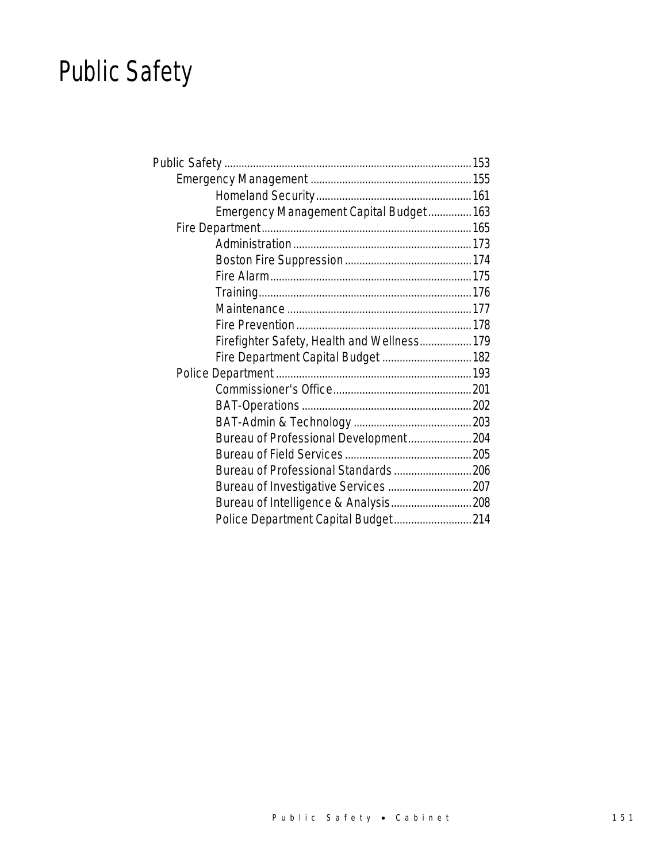# Public Safety

| Emergency Management Capital Budget 163     |  |
|---------------------------------------------|--|
|                                             |  |
|                                             |  |
|                                             |  |
|                                             |  |
|                                             |  |
|                                             |  |
|                                             |  |
| Firefighter Safety, Health and Wellness 179 |  |
| Fire Department Capital Budget  182         |  |
|                                             |  |
|                                             |  |
|                                             |  |
|                                             |  |
| Bureau of Professional Development 204      |  |
|                                             |  |
| Bureau of Professional Standards 206        |  |
|                                             |  |
| Bureau of Intelligence & Analysis 208       |  |
| Police Department Capital Budget 214        |  |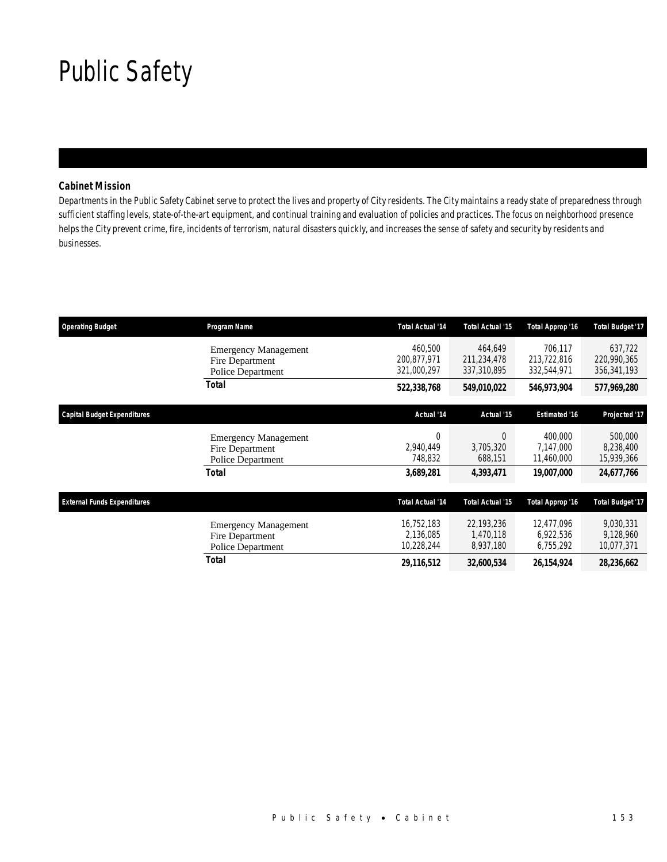## Public Safety

## *Cabinet Mission*

Departments in the Public Safety Cabinet serve to protect the lives and property of City residents. The City maintains a ready state of preparedness through sufficient staffing levels, state-of-the-art equipment, and continual training and evaluation of policies and practices. The focus on neighborhood presence helps the City prevent crime, fire, incidents of terrorism, natural disasters quickly, and increases the sense of safety and security by residents and businesses.

| <b>Operating Budget</b>            | Program Name                                                        | <b>Total Actual '14</b>               | Total Actual '15                      | Total Approp '16                      | <b>Total Budget '17</b>               |
|------------------------------------|---------------------------------------------------------------------|---------------------------------------|---------------------------------------|---------------------------------------|---------------------------------------|
|                                    | <b>Emergency Management</b><br>Fire Department<br>Police Department | 460.500<br>200,877,971<br>321,000,297 | 464.649<br>211,234,478<br>337,310,895 | 706,117<br>213,722,816<br>332,544,971 | 637,722<br>220,990,365<br>356,341,193 |
|                                    | Total                                                               | 522,338,768                           | 549,010,022                           | 546,973,904                           | 577,969,280                           |
| <b>Capital Budget Expenditures</b> |                                                                     | Actual '14                            | Actual '15                            | <b>Estimated '16</b>                  | Projected '17                         |
|                                    | <b>Emergency Management</b><br>Fire Department<br>Police Department | 0<br>2,940,449<br>748,832             | 0<br>3,705,320<br>688,151             | 400,000<br>7,147,000<br>11,460,000    | 500,000<br>8,238,400<br>15,939,366    |
|                                    | Total                                                               | 3,689,281                             | 4,393,471                             | <i><b>19,007,000</b></i>              | 24,677,766                            |
| <b>External Funds Expenditures</b> |                                                                     | <b>Total Actual '14</b>               | Total Actual '15                      | <b>Total Approp '16</b>               | <b>Total Budget '17</b>               |
|                                    | <b>Emergency Management</b><br>Fire Department<br>Police Department | 16,752,183<br>2.136.085<br>10,228,244 | 22,193,236<br>1.470.118<br>8,937,180  | 12,477,096<br>6,922,536<br>6,755,292  | 9,030,331<br>9,128,960<br>10,077,371  |
|                                    | Total                                                               | 29,116,512                            | 32,600,534                            | 26, 154, 924                          | 28,236,662                            |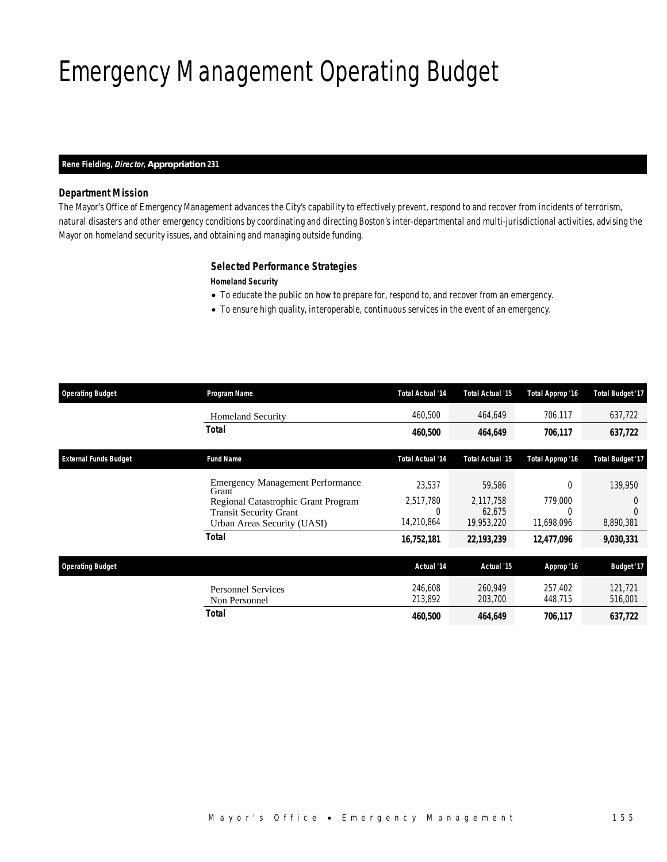## Emergency Management Operating Budget

### *Rene Fielding, Director, Appropriation 231*

## *Department Mission*

The Mayor's Office of Emergency Management advances the City's capability to effectively prevent, respond to and recover from incidents of terrorism, natural disasters and other emergency conditions by coordinating and directing Boston's inter-departmental and multi-jurisdictional activities, advising the Mayor on homeland security issues, and obtaining and managing outside funding.

## *Selected Performance Strategies*

*Homeland Security* 

- To educate the public on how to prepare for, respond to, and recover from an emergency.
- To ensure high quality, interoperable, continuous services in the event of an emergency.

| <b>Operating Budget</b>      | Program Name                                                                                        | <b>Total Actual '14</b>      | Total Actual '15                  | Total Approp '16                  | <b>Total Budget '17</b> |
|------------------------------|-----------------------------------------------------------------------------------------------------|------------------------------|-----------------------------------|-----------------------------------|-------------------------|
|                              | <b>Homeland Security</b>                                                                            | 460.500                      | 464,649                           | 706,117                           | 637,722                 |
|                              | Total                                                                                               | 460,500                      | 464,649                           | 706,117                           | 637,722                 |
| <b>External Funds Budget</b> | <b>Fund Name</b>                                                                                    | <b>Total Actual '14</b>      | Total Actual '15                  | Total Approp '16                  | <b>Total Budget '17</b> |
|                              | <b>Emergency Management Performance</b><br>Grant                                                    | 23.537                       | 59,586                            | $\Omega$                          | 139,950                 |
|                              | Regional Catastrophic Grant Program<br><b>Transit Security Grant</b><br>Urban Areas Security (UASI) | 2,517,780<br>0<br>14,210,864 | 2,117,758<br>62,675<br>19,953,220 | 779,000<br>$\Omega$<br>11,698,096 | 0<br>8,890,381          |
|                              | Total                                                                                               | 16,752,181                   | 22,193,239                        | 12,477,096                        | 9,030,331               |
| <b>Operating Budget</b>      |                                                                                                     | Actual '14                   | Actual '15                        | Approp '16                        | <b>Budget '17</b>       |
|                              | <b>Personnel Services</b><br>Non Personnel                                                          | 246,608<br>213,892           | 260.949<br>203,700                | 257,402<br>448,715                | 121,721<br>516,001      |
|                              | <b>Total</b>                                                                                        | 460,500                      | 464,649                           | 706,117                           | 637,722                 |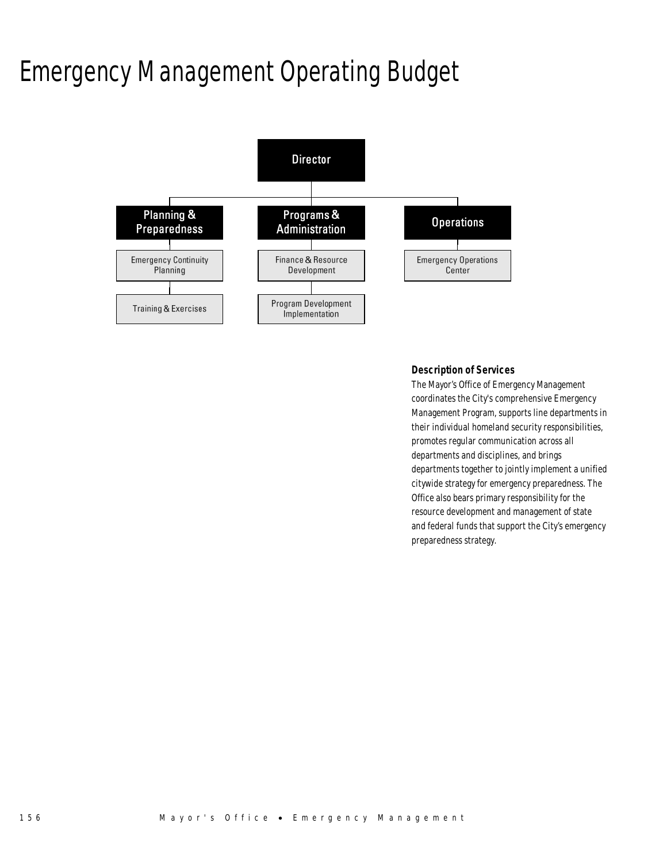## Emergency Management Operating Budget



### *Description of Services*

The Mayor's Office of Emergency Management coordinates the City's comprehensive Emergency Management Program, supports line departments in their individual homeland security responsibilities, promotes regular communication across all departments and disciplines, and brings departments together to jointly implement a unified citywide strategy for emergency preparedness. The Office also bears primary responsibility for the resource development and management of state and federal funds that support the City's emergency preparedness strategy.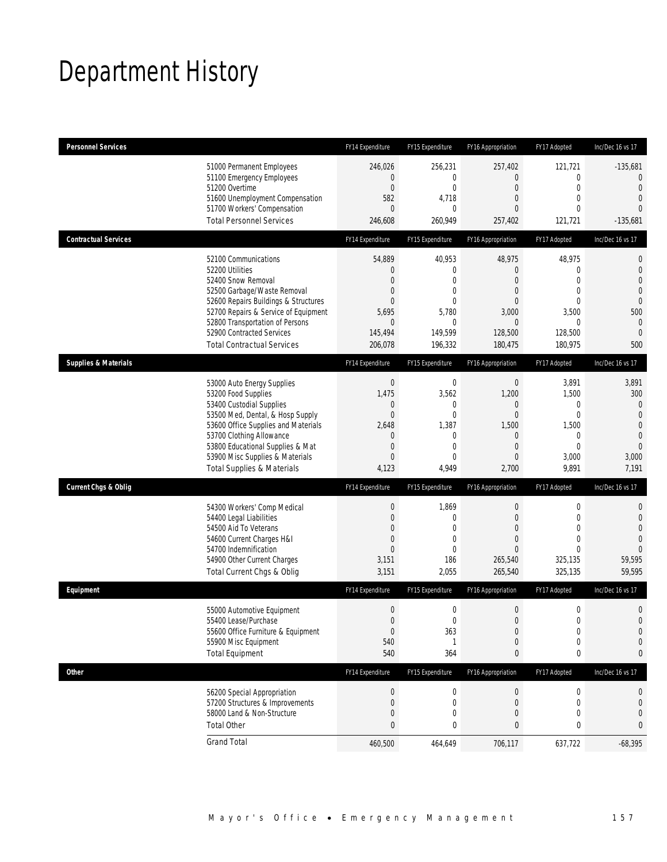## Department History

| <b>Personnel Services</b>       |                                                                                                                                                                                                                                                                                                      | FY14 Expenditure                                                                                                | FY15 Expenditure                                                                                 | FY16 Appropriation                                                                                                      | FY17 Adopted                                                                                             | Inc/Dec 16 vs 17                                                                                                            |
|---------------------------------|------------------------------------------------------------------------------------------------------------------------------------------------------------------------------------------------------------------------------------------------------------------------------------------------------|-----------------------------------------------------------------------------------------------------------------|--------------------------------------------------------------------------------------------------|-------------------------------------------------------------------------------------------------------------------------|----------------------------------------------------------------------------------------------------------|-----------------------------------------------------------------------------------------------------------------------------|
|                                 | 51000 Permanent Employees<br>51100 Emergency Employees<br>51200 Overtime<br>51600 Unemployment Compensation<br>51700 Workers' Compensation<br><b>Total Personnel Services</b>                                                                                                                        | 246,026<br>0<br>$\boldsymbol{0}$<br>582<br>$\theta$<br>246,608                                                  | 256,231<br>0<br>$\boldsymbol{0}$<br>4.718<br>0<br>260,949                                        | 257,402<br>0<br>$\boldsymbol{0}$<br>0<br>0<br>257,402                                                                   | 121,721<br>0<br>$\mathbf 0$<br>$\mathbf{0}$<br>$\Omega$<br>121,721                                       | $-135,681$<br>$\mathbf{0}$<br>$\mathbf{0}$<br>$\overline{0}$<br>$\Omega$<br>$-135,681$                                      |
| <b>Contractual Services</b>     |                                                                                                                                                                                                                                                                                                      | FY14 Expenditure                                                                                                | FY15 Expenditure                                                                                 | FY16 Appropriation                                                                                                      | FY17 Adopted                                                                                             | Inc/Dec 16 vs 17                                                                                                            |
|                                 | 52100 Communications<br>52200 Utilities<br>52400 Snow Removal<br>52500 Garbage/Waste Removal<br>52600 Repairs Buildings & Structures<br>52700 Repairs & Service of Equipment<br>52800 Transportation of Persons<br>52900 Contracted Services<br><b>Total Contractual Services</b>                    | 54,889<br>$\mathbf 0$<br>$\overline{0}$<br>0<br>0<br>5,695<br>$\mathbf 0$<br>145,494<br>206,078                 | 40,953<br>0<br>0<br>0<br>$\mathbf{0}$<br>5,780<br>0<br>149,599<br>196,332                        | 48,975<br>$\mathbf{0}$<br>0<br>0<br>0<br>3,000<br>$\mathbf{0}$<br>128,500<br>180,475                                    | 48,975<br>$\mathbf{0}$<br>$\overline{0}$<br>$\mathbf{0}$<br>$\Omega$<br>3,500<br>0<br>128,500<br>180,975 | $\mathbf 0$<br>$\mathbf 0$<br>$\overline{0}$<br>$\overline{0}$<br>$\mathbf 0$<br>500<br>$\mathbf{0}$<br>$\mathbf{0}$<br>500 |
| <b>Supplies &amp; Materials</b> |                                                                                                                                                                                                                                                                                                      | FY14 Expenditure                                                                                                | FY15 Expenditure                                                                                 | FY16 Appropriation                                                                                                      | FY17 Adopted                                                                                             | Inc/Dec 16 vs 17                                                                                                            |
|                                 | 53000 Auto Energy Supplies<br>53200 Food Supplies<br>53400 Custodial Supplies<br>53500 Med, Dental, & Hosp Supply<br>53600 Office Supplies and Materials<br>53700 Clothing Allowance<br>53800 Educational Supplies & Mat<br>53900 Misc Supplies & Materials<br><b>Total Supplies &amp; Materials</b> | $\boldsymbol{0}$<br>1,475<br>0<br>$\boldsymbol{0}$<br>2,648<br>0<br>$\boldsymbol{0}$<br>$\overline{0}$<br>4,123 | $\boldsymbol{0}$<br>3,562<br>0<br>$\mathbf 0$<br>1,387<br>0<br>$\mathbf{0}$<br>$\Omega$<br>4,949 | $\boldsymbol{0}$<br>1,200<br>0<br>$\boldsymbol{0}$<br>1,500<br>$\mathbf 0$<br>$\overline{0}$<br>$\overline{0}$<br>2,700 | 3,891<br>1,500<br>$\mathbf{0}$<br>$\mathbf 0$<br>1,500<br>0<br>$\overline{0}$<br>3,000<br>9,891          | 3,891<br>300<br>$\mathbf{0}$<br>$\overline{0}$<br>$\mathbf 0$<br>$\overline{0}$<br>$\overline{0}$<br>3,000<br>7,191         |
| <b>Current Chgs &amp; Oblig</b> |                                                                                                                                                                                                                                                                                                      | FY14 Expenditure                                                                                                | FY15 Expenditure                                                                                 | FY16 Appropriation                                                                                                      | FY17 Adopted                                                                                             | Inc/Dec 16 vs 17                                                                                                            |
|                                 | 54300 Workers' Comp Medical<br>54400 Legal Liabilities<br>54500 Aid To Veterans<br>54600 Current Charges H&I<br>54700 Indemnification<br>54900 Other Current Charges<br>Total Current Chgs & Oblig                                                                                                   | $\boldsymbol{0}$<br>$\boldsymbol{0}$<br>0<br>$\boldsymbol{0}$<br>$\overline{0}$<br>3,151<br>3,151               | 1,869<br>$\boldsymbol{0}$<br>$\mathbf{0}$<br>$\mathbf 0$<br>0<br>186<br>2,055                    | $\boldsymbol{0}$<br>$\overline{0}$<br>0<br>$\mathbf{0}$<br>0<br>265,540<br>265,540                                      | 0<br>$\mathbf 0$<br>$\mathbf{0}$<br>$\mathbf{0}$<br>$\Omega$<br>325,135<br>325,135                       | $\mathbf 0$<br>$\mathbf 0$<br>$\overline{0}$<br>$\overline{0}$<br>$\Omega$<br>59,595<br>59,595                              |
| Equipment                       |                                                                                                                                                                                                                                                                                                      | FY14 Expenditure                                                                                                | FY15 Expenditure                                                                                 | FY16 Appropriation                                                                                                      | FY17 Adopted                                                                                             | Inc/Dec 16 vs 17                                                                                                            |
|                                 | 55000 Automotive Equipment<br>55400 Lease/Purchase<br>55600 Office Furniture & Equipment<br>55900 Misc Equipment<br><b>Total Equipment</b>                                                                                                                                                           | $\boldsymbol{0}$<br>$\boldsymbol{0}$<br>$\boldsymbol{0}$<br>540<br>540                                          | 0<br>$\mathbf 0$<br>363<br>1<br>364                                                              | $\boldsymbol{0}$<br>$\mathbf{0}$<br>$\boldsymbol{0}$<br>$\boldsymbol{0}$<br>0                                           | $\mathbf 0$<br>$\mathbf 0$<br>$\boldsymbol{0}$<br>$\mathbf 0$<br>0                                       | $\mathbf 0$<br>$\overline{0}$<br>$\mathbf 0$<br>$\mathbf 0$<br>0                                                            |
| <b>Other</b>                    |                                                                                                                                                                                                                                                                                                      | FY14 Expenditure                                                                                                | FY15 Expenditure                                                                                 | FY16 Appropriation                                                                                                      | FY17 Adopted                                                                                             | Inc/Dec 16 vs 17                                                                                                            |
|                                 | 56200 Special Appropriation<br>57200 Structures & Improvements<br>58000 Land & Non-Structure<br><b>Total Other</b>                                                                                                                                                                                   | $\pmb{0}$<br>$\pmb{0}$<br>$\boldsymbol{0}$<br>$\bf{0}$                                                          | 0<br>0<br>0<br>0                                                                                 | $\boldsymbol{0}$<br>$\mathbf 0$<br>$\boldsymbol{0}$<br>0                                                                | 0<br>0<br>0<br>0                                                                                         | 0<br>$\mathbf 0$<br>$\mathbf 0$<br>0                                                                                        |
|                                 | <b>Grand Total</b>                                                                                                                                                                                                                                                                                   | 460,500                                                                                                         | 464,649                                                                                          | 706,117                                                                                                                 | 637,722                                                                                                  | $-68,395$                                                                                                                   |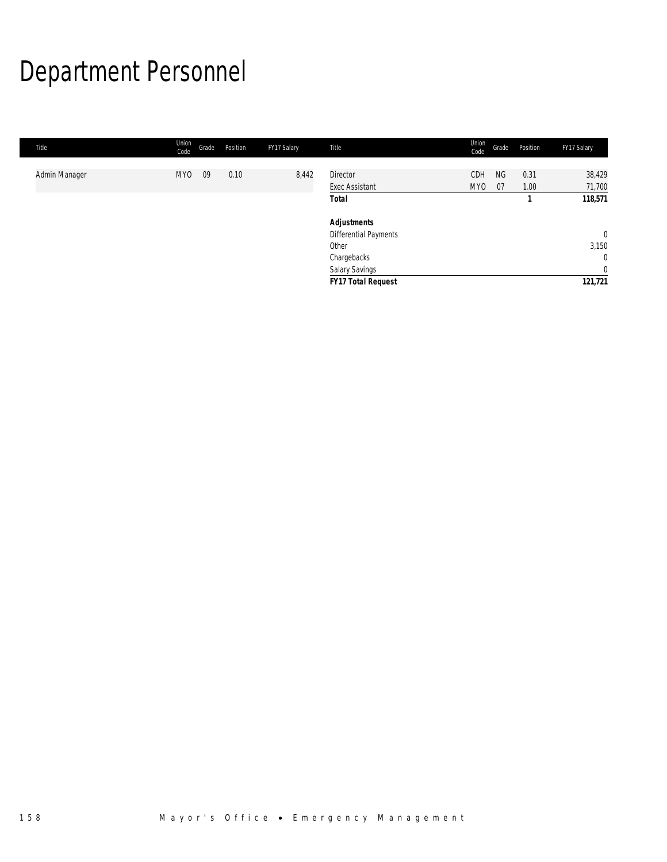# Department Personnel

| Title         | Union<br>Code   | Grade | Position | FY17 Salary | Title                                              | Union<br>Code | Grade           | Position     | FY17 Salary      |
|---------------|-----------------|-------|----------|-------------|----------------------------------------------------|---------------|-----------------|--------------|------------------|
| Admin Manager | MY <sub>0</sub> | 09    | 0.10     | 8,442       | <b>Director</b><br><b>Exec Assistant</b>           | CDH<br>MY0    | <b>NG</b><br>07 | 0.31<br>1.00 | 38,429<br>71,700 |
|               |                 |       |          |             | <b>Total</b>                                       |               |                 |              | 118,571          |
|               |                 |       |          |             | <b>Adjustments</b><br><b>Differential Payments</b> |               |                 |              | $\mathbf 0$      |
|               |                 |       |          |             | Other                                              |               |                 |              | 3,150            |
|               |                 |       |          |             | Chargebacks                                        |               |                 |              | $\mathbf{0}$     |
|               |                 |       |          |             | Salary Savings                                     |               |                 |              | $\overline{0}$   |
|               |                 |       |          |             | <b>FY17 Total Request</b>                          |               |                 |              | 121,721          |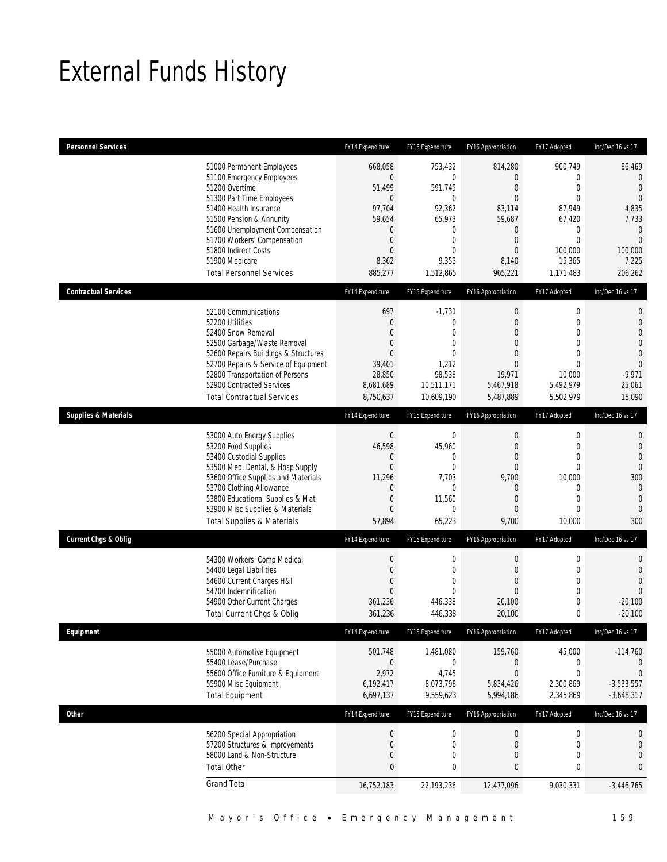## External Funds History

| <b>Personnel Services</b>       |                                                                                                                                                                                                                                                                                                            | FY14 Expenditure                                                                                                                         | FY15 Expenditure                                                                                                  | FY16 Appropriation                                                                                                                 | FY17 Adopted                                                                                                                   | Inc/Dec 16 vs 17                                                                                                                          |
|---------------------------------|------------------------------------------------------------------------------------------------------------------------------------------------------------------------------------------------------------------------------------------------------------------------------------------------------------|------------------------------------------------------------------------------------------------------------------------------------------|-------------------------------------------------------------------------------------------------------------------|------------------------------------------------------------------------------------------------------------------------------------|--------------------------------------------------------------------------------------------------------------------------------|-------------------------------------------------------------------------------------------------------------------------------------------|
|                                 | 51000 Permanent Employees<br>51100 Emergency Employees<br>51200 Overtime<br>51300 Part Time Employees<br>51400 Health Insurance<br>51500 Pension & Annunity<br>51600 Unemployment Compensation<br>51700 Workers' Compensation<br>51800 Indirect Costs<br>51900 Medicare<br><b>Total Personnel Services</b> | 668,058<br>$\overline{0}$<br>51,499<br>$\overline{0}$<br>97,704<br>59,654<br>0<br>$\boldsymbol{0}$<br>$\overline{0}$<br>8,362<br>885,277 | 753,432<br>0<br>591,745<br>$\mathbf{0}$<br>92,362<br>65,973<br>0<br>$\mathbf 0$<br>$\Omega$<br>9,353<br>1,512,865 | 814,280<br>0<br>$\mathbf{0}$<br>$\mathbf{0}$<br>83,114<br>59,687<br>0<br>$\boldsymbol{0}$<br>$\theta$<br>8,140<br>965,221          | 900,749<br>0<br>$\boldsymbol{0}$<br>$\mathbf{0}$<br>87,949<br>67,420<br>0<br>$\mathbf 0$<br>100.000<br>15,365<br>1,171,483     | 86,469<br>$\mathbf{0}$<br>$\overline{0}$<br>$\theta$<br>4,835<br>7,733<br>$\overline{0}$<br>$\overline{0}$<br>100,000<br>7,225<br>206,262 |
| <b>Contractual Services</b>     |                                                                                                                                                                                                                                                                                                            | FY14 Expenditure                                                                                                                         | FY15 Expenditure                                                                                                  | FY16 Appropriation                                                                                                                 | FY17 Adopted                                                                                                                   | Inc/Dec 16 vs 17                                                                                                                          |
|                                 | 52100 Communications<br>52200 Utilities<br>52400 Snow Removal<br>52500 Garbage/Waste Removal<br>52600 Repairs Buildings & Structures<br>52700 Repairs & Service of Equipment<br>52800 Transportation of Persons<br>52900 Contracted Services<br><b>Total Contractual Services</b>                          | 697<br>0<br>$\boldsymbol{0}$<br>$\overline{0}$<br>$\Omega$<br>39,401<br>28,850<br>8,681,689<br>8,750,637                                 | $-1,731$<br>0<br>$\mathbf 0$<br>0<br>$\Omega$<br>1,212<br>98,538<br>10,511,171<br>10,609,190                      | $\boldsymbol{0}$<br>$\mathbf{0}$<br>$\mathbf{0}$<br>$\overline{0}$<br>$\Omega$<br>$\mathbf{0}$<br>19,971<br>5,467,918<br>5,487,889 | $\boldsymbol{0}$<br>$\mathbf{0}$<br>$\mathbf 0$<br>$\mathbf{0}$<br>$\theta$<br>$\mathbf 0$<br>10,000<br>5,492,979<br>5,502,979 | $\mathbf{0}$<br>$\mathbf 0$<br>$\overline{0}$<br>$\overline{0}$<br>$\overline{0}$<br>$\overline{0}$<br>$-9,971$<br>25,061<br>15,090       |
| <b>Supplies &amp; Materials</b> |                                                                                                                                                                                                                                                                                                            | FY14 Expenditure                                                                                                                         | FY15 Expenditure                                                                                                  | FY16 Appropriation                                                                                                                 | FY17 Adopted                                                                                                                   | Inc/Dec 16 vs 17                                                                                                                          |
|                                 | 53000 Auto Energy Supplies<br>53200 Food Supplies<br>53400 Custodial Supplies<br>53500 Med, Dental, & Hosp Supply<br>53600 Office Supplies and Materials<br>53700 Clothing Allowance<br>53800 Educational Supplies & Mat<br>53900 Misc Supplies & Materials<br><b>Total Supplies &amp; Materials</b>       | $\boldsymbol{0}$<br>46,598<br>0<br>$\mathbf 0$<br>11,296<br>0<br>$\overline{0}$<br>$\overline{0}$<br>57,894                              | $\mathbf 0$<br>45,960<br>0<br>$\mathbf 0$<br>7,703<br>$\mathbf{0}$<br>11,560<br>$\mathbf 0$<br>65,223             | $\boldsymbol{0}$<br>$\mathbf{0}$<br>$\mathbf{0}$<br>$\mathbf{0}$<br>9,700<br>$\mathbf{0}$<br>$\mathbf{0}$<br>$\mathbf{0}$<br>9,700 | $\boldsymbol{0}$<br>$\mathbf{0}$<br>$\mathbf 0$<br>$\mathbf 0$<br>10,000<br>0<br>$\mathbf{0}$<br>$\mathbf 0$<br>10,000         | $\mathbf{0}$<br>$\mathbf 0$<br>$\overline{0}$<br>$\mathbf{0}$<br>300<br>$\mathbf{0}$<br>$\mathbf{0}$<br>$\overline{0}$<br>300             |
| <b>Current Chgs &amp; Oblig</b> |                                                                                                                                                                                                                                                                                                            | FY14 Expenditure                                                                                                                         | FY15 Expenditure                                                                                                  | FY16 Appropriation                                                                                                                 | FY17 Adopted                                                                                                                   | Inc/Dec 16 vs 17                                                                                                                          |
|                                 | 54300 Workers' Comp Medical<br>54400 Legal Liabilities<br>54600 Current Charges H&I<br>54700 Indemnification<br>54900 Other Current Charges<br>Total Current Chgs & Oblig                                                                                                                                  | $\boldsymbol{0}$<br>$\overline{0}$<br>$\boldsymbol{0}$<br>$\mathbf 0$<br>361,236<br>361,236                                              | $\mathbf 0$<br>$\overline{0}$<br>$\mathbf 0$<br>$\overline{0}$<br>446,338<br>446,338                              | $\boldsymbol{0}$<br>$\mathbf{0}$<br>$\mathbf{0}$<br>$\mathbf{0}$<br>20,100<br>20,100                                               | $\boldsymbol{0}$<br>$\mathbf{0}$<br>$\boldsymbol{0}$<br>$\boldsymbol{0}$<br>$\mathbf 0$<br>0                                   | $\mathbf{0}$<br>$\mathbf{0}$<br>$\overline{0}$<br>$\overline{0}$<br>$-20,100$<br>$-20,100$                                                |
| Equipment                       |                                                                                                                                                                                                                                                                                                            | FY14 Expenditure                                                                                                                         | FY15 Expenditure                                                                                                  | FY16 Appropriation                                                                                                                 | FY17 Adopted                                                                                                                   | Inc/Dec 16 vs 17                                                                                                                          |
|                                 | 55000 Automotive Equipment<br>55400 Lease/Purchase<br>55600 Office Furniture & Equipment<br>55900 Misc Equipment<br><b>Total Equipment</b>                                                                                                                                                                 | 501,748<br>$\overline{0}$<br>2,972<br>6,192,417<br>6,697,137                                                                             | 1,481,080<br>$\mathbf 0$<br>4,745<br>8,073,798<br>9,559,623                                                       | 159,760<br>$\mathbf 0$<br>0<br>5,834,426<br>5,994,186                                                                              | 45,000<br>$\mathbf 0$<br>$\boldsymbol{0}$<br>2,300,869<br>2,345,869                                                            | $-114,760$<br>$\theta$<br>$\mathbf 0$<br>$-3,533,557$<br>$-3,648,317$                                                                     |
| Other                           |                                                                                                                                                                                                                                                                                                            | FY14 Expenditure                                                                                                                         | FY15 Expenditure                                                                                                  | FY16 Appropriation                                                                                                                 | FY17 Adopted                                                                                                                   | Inc/Dec 16 vs 17                                                                                                                          |
|                                 | 56200 Special Appropriation<br>57200 Structures & Improvements<br>58000 Land & Non-Structure<br><b>Total Other</b>                                                                                                                                                                                         | $\boldsymbol{0}$<br>0<br>$\boldsymbol{0}$<br>$\bf 0$                                                                                     | $\pmb{0}$<br>0<br>0<br>0                                                                                          | $\mathbf 0$<br>$\boldsymbol{0}$<br>$\boldsymbol{0}$<br>0                                                                           | $\boldsymbol{0}$<br>$\boldsymbol{0}$<br>$\mathbf 0$<br>0                                                                       | 0<br>$\mathbf 0$<br>$\overline{0}$<br>0                                                                                                   |
|                                 | <b>Grand Total</b>                                                                                                                                                                                                                                                                                         | 16,752,183                                                                                                                               | 22,193,236                                                                                                        | 12,477,096                                                                                                                         | 9,030,331                                                                                                                      | $-3,446,765$                                                                                                                              |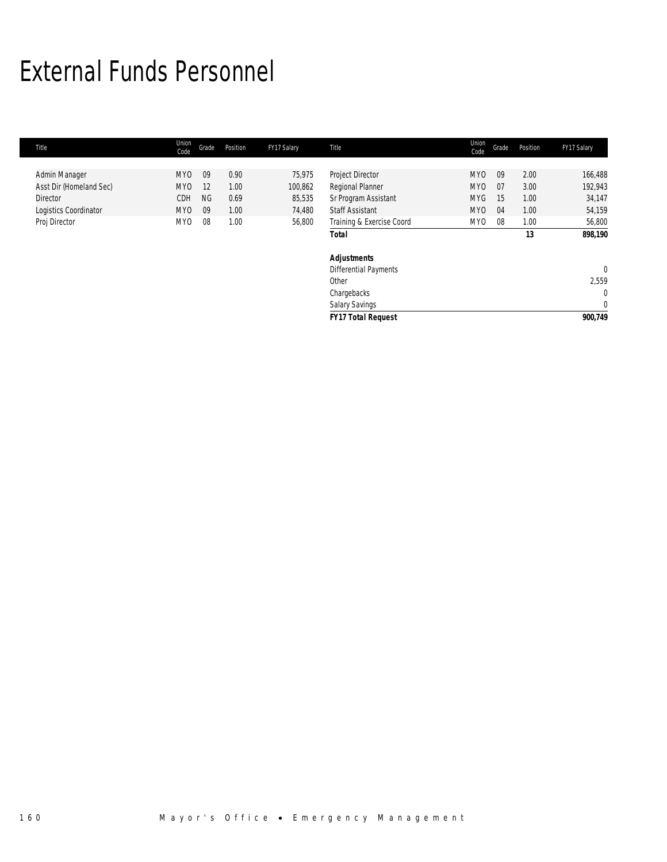## External Funds Personnel

| Title                   | Union<br>Code   | Grade     | Position | FY17 Salary | Title                        | Union<br>Code   | Grade | Position | FY17 Salary    |
|-------------------------|-----------------|-----------|----------|-------------|------------------------------|-----------------|-------|----------|----------------|
|                         |                 |           |          |             |                              |                 |       |          |                |
| Admin Manager           | MY0             | 09        | 0.90     | 75,975      | Project Director             | <b>MYO</b>      | 09    | 2.00     | 166,488        |
| Asst Dir (Homeland Sec) | MY <sub>0</sub> | 12        | 1.00     | 100,862     | Regional Planner             | MY <sub>0</sub> | 07    | 3.00     | 192,943        |
| <b>Director</b>         | CDH             | <b>NG</b> | 0.69     | 85,535      | Sr Program Assistant         | <b>MYG</b>      | 15    | 1.00     | 34,147         |
| Logistics Coordinator   | MY0             | 09        | 1.00     | 74,480      | <b>Staff Assistant</b>       | MYO             | 04    | 1.00     | 54,159         |
| Proj Director           | MY <sub>0</sub> | 08        | 1.00     | 56,800      | Training & Exercise Coord    | MY0             | 08    | 1.00     | 56,800         |
|                         |                 |           |          |             | <b>Total</b>                 |                 |       | 13       | 898,190        |
|                         |                 |           |          |             | <b>Adjustments</b>           |                 |       |          |                |
|                         |                 |           |          |             | <b>Differential Payments</b> |                 |       |          | $\overline{0}$ |
|                         |                 |           |          |             | Other                        |                 |       |          | 2,559          |
|                         |                 |           |          |             | Chargebacks                  |                 |       |          | $\mathbf 0$    |
|                         |                 |           |          |             | <b>Salary Savings</b>        |                 |       |          | $\mathbf{0}$   |
|                         |                 |           |          |             | <b>FY17 Total Request</b>    |                 |       |          | 900,749        |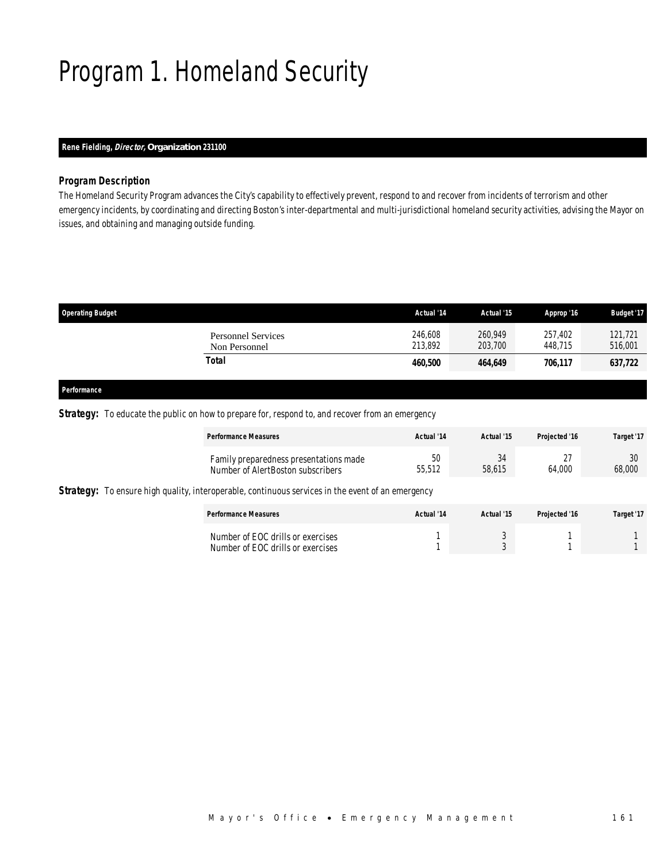## Program 1. Homeland Security

## *Rene Fielding, Director, Organization 231100*

### *Program Description*

The Homeland Security Program advances the City's capability to effectively prevent, respond to and recover from incidents of terrorism and other emergency incidents, by coordinating and directing Boston's inter-departmental and multi-jurisdictional homeland security activities, advising the Mayor on issues, and obtaining and managing outside funding.

| <b>Operating Budget</b>                    | Actual '14         | Actual '15         | Approp '16         | <b>Budget '17</b>  |
|--------------------------------------------|--------------------|--------------------|--------------------|--------------------|
| <b>Personnel Services</b><br>Non Personnel | 246,608<br>213,892 | 260.949<br>203,700 | 257.402<br>448.715 | 121,721<br>516,001 |
| Total                                      | 460,500            | 464,649            | 706,117            | 637,722            |
|                                            |                    |                    |                    |                    |

#### *Performance*

### **Strategy:** To educate the public on how to prepare for, respond to, and recover from an emergency

| <b>Performance Measures</b>            | Actual '14 | Actual '15 | Projected '16 | Target '17 |
|----------------------------------------|------------|------------|---------------|------------|
| Family preparedness presentations made | 50         | 34         | $\sim$ -      | 30         |
| Number of AlertBoston subscribers      | 55,512     | 58.615     | 64.000        | 68,000     |

**Strategy:** To ensure high quality, interoperable, continuous services in the event of an emergency

| <b>Performance Measures</b>                                            | Actual '14 | Actual '15 | Projected '16 | Target '17 |
|------------------------------------------------------------------------|------------|------------|---------------|------------|
| Number of EOC drills or exercises<br>Number of EOC drills or exercises |            |            |               |            |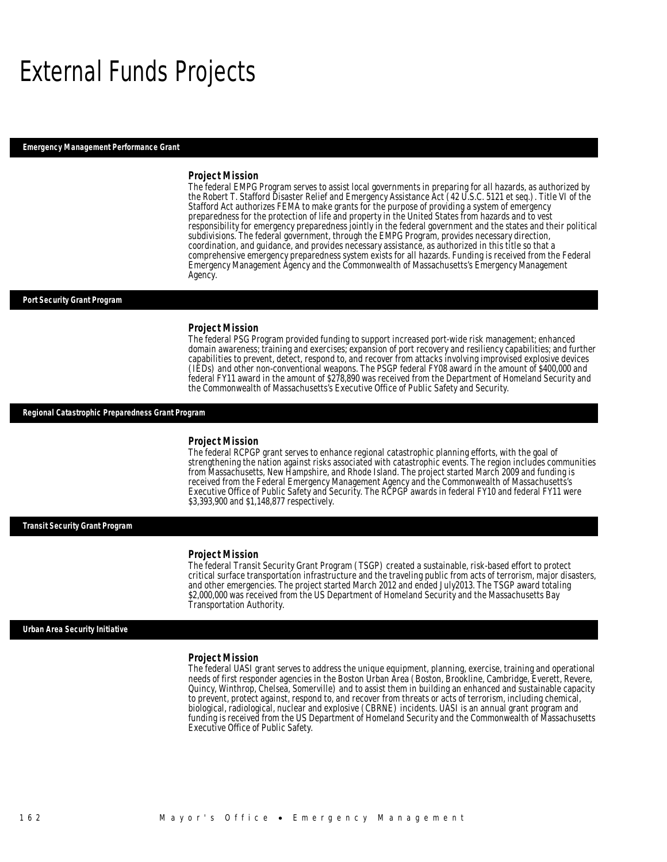## External Funds Projects

*Emergency Management Performance Grant* 

#### *Project Mission*

The federal EMPG Program serves to assist local governments in preparing for all hazards, as authorized by the Robert T. Stafford Disaster Relief and Emergency Assistance Act (42 U.S.C. 5121 et seq.). Title VI of the Stafford Act authorizes FEMA to make grants for the purpose of providing a system of emergency preparedness for the protection of life and property in the United States from hazards and to vest responsibility for emergency preparedness jointly in the federal government and the states and their political subdivisions. The federal government, through the EMPG Program, provides necessary direction, coordination, and guidance, and provides necessary assistance, as authorized in this title so that a comprehensive emergency preparedness system exists for all hazards. Funding is received from the Federal Emergency Management Agency and the Commonwealth of Massachusetts's Emergency Management Agency.

#### *Port Security Grant Program*

### *Project Mission*

The federal PSG Program provided funding to support increased port-wide risk management; enhanced domain awareness; training and exercises; expansion of port recovery and resiliency capabilities; and further capabilities to prevent, detect, respond to, and recover from attacks involving improvised explosive devices (IEDs) and other non-conventional weapons. The PSGP federal FY08 award in the amount of \$400,000 and federal FY11 award in the amount of \$278,890 was received from the Department of Homeland Security and the Commonwealth of Massachusetts's Executive Office of Public Safety and Security.

#### *Regional Catastrophic Preparedness Grant Program*

#### *Project Mission*

The federal RCPGP grant serves to enhance regional catastrophic planning efforts, with the goal of strengthening the nation against risks associated with catastrophic events. The region includes communities from Massachusetts, New Hampshire, and Rhode Island. The project started March 2009 and funding is received from the Federal Emergency Management Agency and the Commonwealth of Massachusetts's Executive Office of Public Safety and Security. The RCPGP awards in federal FY10 and federal FY11 were \$3,393,900 and \$1,148,877 respectively.

*Transit Security Grant Program* 

#### *Project Mission*

The federal Transit Security Grant Program (TSGP) created a sustainable, risk-based effort to protect critical surface transportation infrastructure and the traveling public from acts of terrorism, major disasters, and other emergencies. The project started March 2012 and ended July2013. The TSGP award totaling \$2,000,000 was received from the US Department of Homeland Security and the Massachusetts Bay Transportation Authority.

### *Urban Area Security Initiative*

#### *Project Mission*

The federal UASI grant serves to address the unique equipment, planning, exercise, training and operational needs of first responder agencies in the Boston Urban Area (Boston, Brookline, Cambridge, Everett, Revere, Quincy, Winthrop, Chelsea, Somerville) and to assist them in building an enhanced and sustainable capacity to prevent, protect against, respond to, and recover from threats or acts of terrorism, including chemical, biological, radiological, nuclear and explosive (CBRNE) incidents. UASI is an annual grant program and funding is received from the US Department of Homeland Security and the Commonwealth of Massachusetts Executive Office of Public Safety.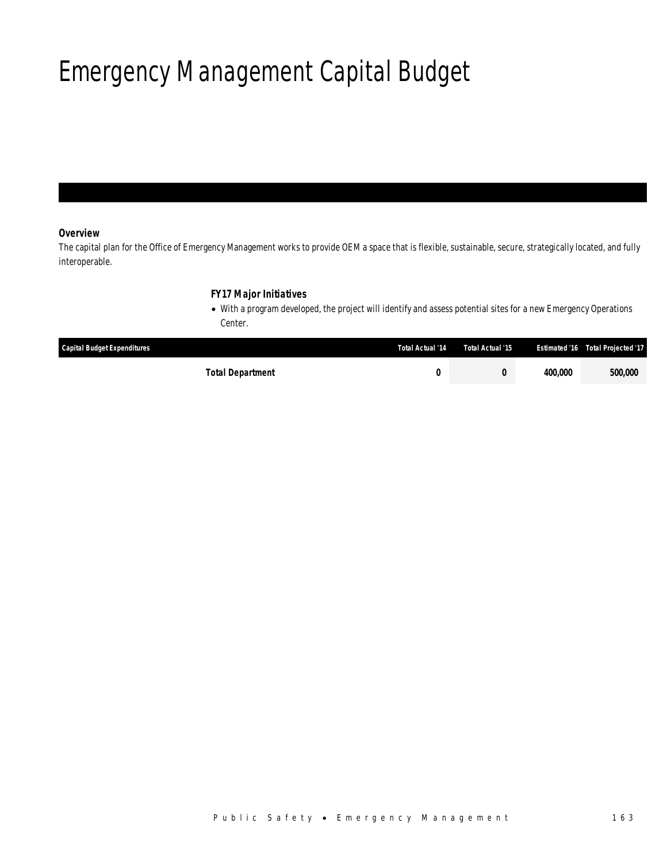## Emergency Management Capital Budget

## *Overview*

The capital plan for the Office of Emergency Management works to provide OEM a space that is flexible, sustainable, secure, strategically located, and fully interoperable.

## *FY17 Major Initiatives*

• With a program developed, the project will identify and assess potential sites for a new Emergency Operations Center.

| <b>Capital Budget Expenditures</b> | Total Actual '14 | Total Actual '15 | <b>Estimated '16</b> | <b>Total Projected '17</b> |
|------------------------------------|------------------|------------------|----------------------|----------------------------|
| Total Department                   |                  |                  | 400,000              | 500,000                    |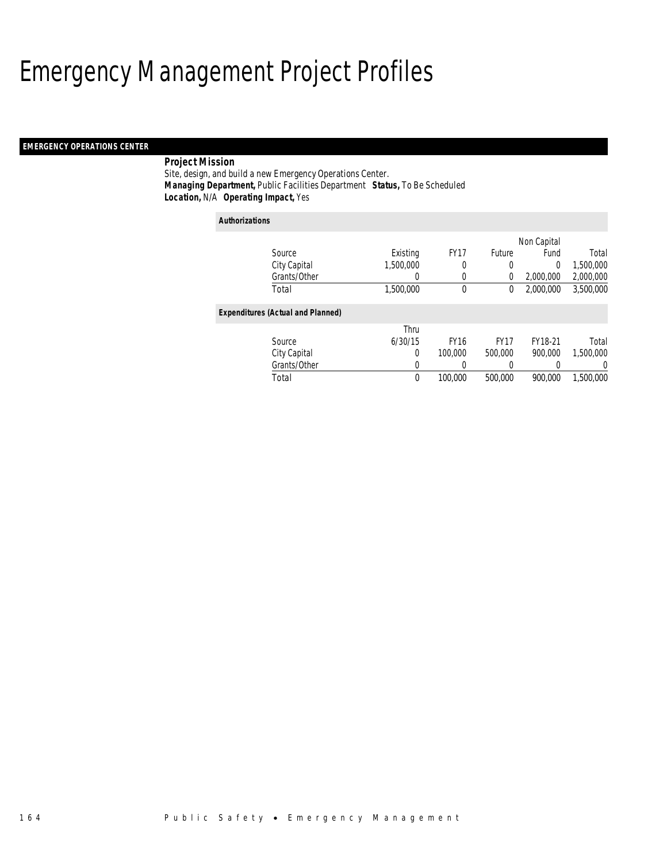## Emergency Management Project Profiles

## *EMERGENCY OPERATIONS CENTER*

## *Project Mission*

Site, design, and build a new Emergency Operations Center. *Managing Department,* Public Facilities Department *Status,* To Be Scheduled*Location,* N/A *Operating Impact,* Yes

#### *Authorizations*

|                                          |              |           |             |             | Non Capital |           |
|------------------------------------------|--------------|-----------|-------------|-------------|-------------|-----------|
| Source                                   |              | Existing  | <b>FY17</b> | Future      | Fund        | Total     |
| City Capital                             |              | 1,500,000 | 0           | 0           | 0           | 1,500,000 |
|                                          | Grants/Other | $\left($  | 0           | 0           | 2,000,000   | 2,000,000 |
| Total                                    |              | 1,500,000 | 0           | 0           | 2,000,000   | 3,500,000 |
| <b>Expenditures (Actual and Planned)</b> |              |           |             |             |             |           |
|                                          |              | Thru      |             |             |             |           |
| Source                                   |              | 6/30/15   | <b>FY16</b> | <b>FY17</b> | FY18-21     | Total     |
| City Capital                             |              | 0         | 100,000     | 500,000     | 900.000     | 1.500.000 |
|                                          | Grants/Other | 0         | 0           | 0           | 0           | 0         |
| Total                                    |              | 0         | 100,000     | 500,000     | 900.000     | 1,500,000 |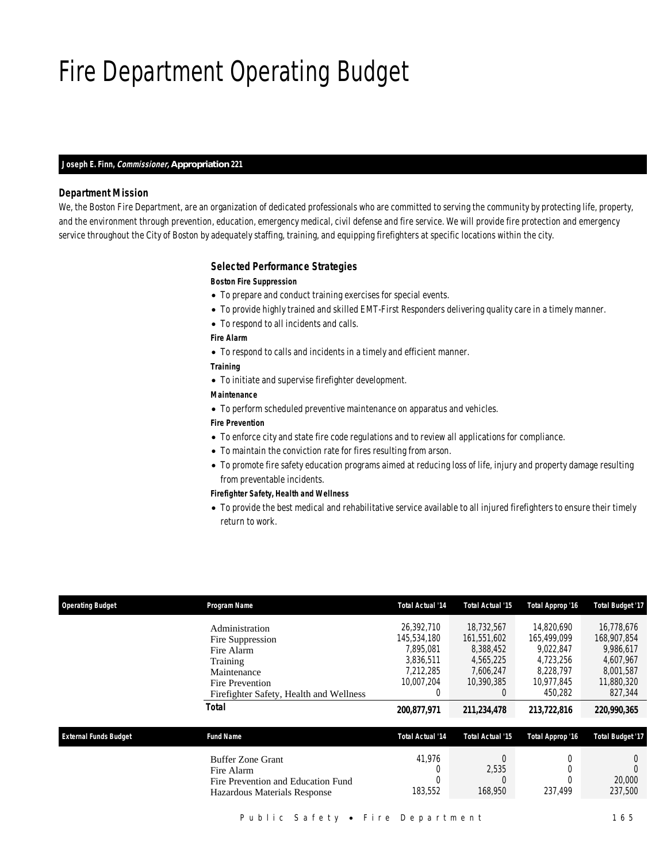## Fire Department Operating Budget

### *Joseph E. Finn, Commissioner, Appropriation 221*

### *Department Mission*

We, the Boston Fire Department, are an organization of dedicated professionals who are committed to serving the community by protecting life, property, and the environment through prevention, education, emergency medical, civil defense and fire service. We will provide fire protection and emergency service throughout the City of Boston by adequately staffing, training, and equipping firefighters at specific locations within the city.

### *Selected Performance Strategies*

### *Boston Fire Suppression*

- To prepare and conduct training exercises for special events.
- To provide highly trained and skilled EMT-First Responders delivering quality care in a timely manner.
- To respond to all incidents and calls.

#### *Fire Alarm*

• To respond to calls and incidents in a timely and efficient manner.

### *Training*

- To initiate and supervise firefighter development.
- *Maintenance*
- To perform scheduled preventive maintenance on apparatus and vehicles.

## *Fire Prevention*

- To enforce city and state fire code regulations and to review all applications for compliance.
- To maintain the conviction rate for fires resulting from arson.
- To promote fire safety education programs aimed at reducing loss of life, injury and property damage resulting from preventable incidents.

#### *Firefighter Safety, Health and Wellness*

• To provide the best medical and rehabilitative service available to all injured firefighters to ensure their timely return to work.

| <b>Operating Budget</b>      | Program Name                            | <b>Total Actual '14</b> | <b>Total Actual '15</b> | Total Approp '16 | <b>Total Budget '17</b> |
|------------------------------|-----------------------------------------|-------------------------|-------------------------|------------------|-------------------------|
|                              | Administration                          | 26.392.710              | 18,732,567              | 14.820.690       | 16.778.676              |
|                              | Fire Suppression                        | 145,534,180             | 161.551.602             | 165,499,099      | 168,907,854             |
|                              | Fire Alarm                              | 7.895.081               | 8,388,452               | 9.022.847        | 9,986,617               |
|                              | Training                                | 3.836.511               | 4,565,225               | 4.723.256        | 4,607,967               |
|                              | Maintenance                             | 7,212,285               | 7,606,247               | 8,228,797        | 8,001,587               |
|                              | Fire Prevention                         | 10,007,204              | 10,390,385              | 10,977,845       | 11,880,320              |
|                              | Firefighter Safety, Health and Wellness | 0                       | 0                       | 450.282          | 827,344                 |
|                              | Total                                   | 200,877,971             | 211,234,478             | 213,722,816      | 220,990,365             |
| <b>External Funds Budget</b> | <b>Fund Name</b>                        | <b>Total Actual '14</b> | <b>Total Actual '15</b> | Total Approp '16 | <b>Total Budget '17</b> |
|                              | <b>Buffer Zone Grant</b>                | 41.976                  | 0                       |                  | $\left($                |
|                              | Fire Alarm                              |                         | 2,535                   |                  |                         |
|                              | Fire Prevention and Education Fund      |                         | 0                       |                  | 20,000                  |
|                              | Hazardous Materials Response            | 183,552                 | 168,950                 | 237,499          | 237,500                 |
|                              |                                         |                         |                         |                  |                         |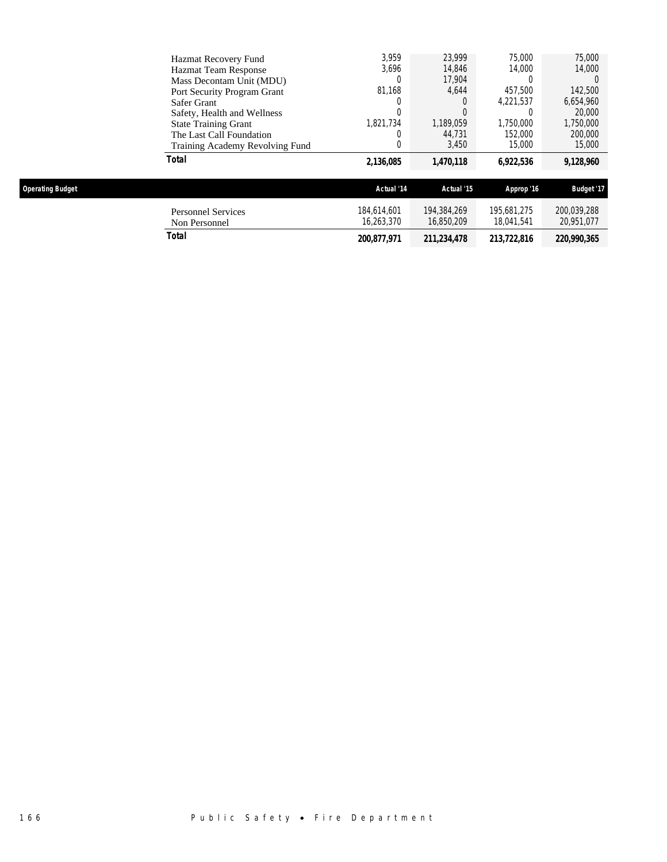| Total                           | 2,136,085 | 1,470,118 | 6,922,536 | 9,128,960 |
|---------------------------------|-----------|-----------|-----------|-----------|
| Training Academy Revolving Fund |           | 3.450     | 15,000    | 15,000    |
| The Last Call Foundation        |           | 44.731    | 152,000   | 200,000   |
| <b>State Training Grant</b>     | 1.821.734 | 1.189.059 | 1.750.000 | 1,750,000 |
| Safety, Health and Wellness     |           | 0         |           | 20,000    |
| Safer Grant                     |           | 0         | 4.221.537 | 6,654,960 |
| Port Security Program Grant     | 81.168    | 4.644     | 457.500   | 142,500   |
| Mass Decontam Unit (MDU)        |           | 17,904    |           |           |
| <b>Hazmat Team Response</b>     | 3.696     | 14,846    | 14,000    | 14,000    |
| Hazmat Recovery Fund            | 3.959     | 23.999    | 75,000    | 75,000    |

| <b>Operating Budget</b>                    | Actual '14                | Actual '15                | Approp '16                | <b>Budget '17</b>         |
|--------------------------------------------|---------------------------|---------------------------|---------------------------|---------------------------|
| <b>Personnel Services</b><br>Non Personnel | 184.614.601<br>16.263.370 | 194.384.269<br>16,850,209 | 195.681.275<br>18.041.541 | 200,039,288<br>20.951.077 |
| Total                                      | 200.877.971               | 211,234,478               | 213,722,816               | 220,990,365               |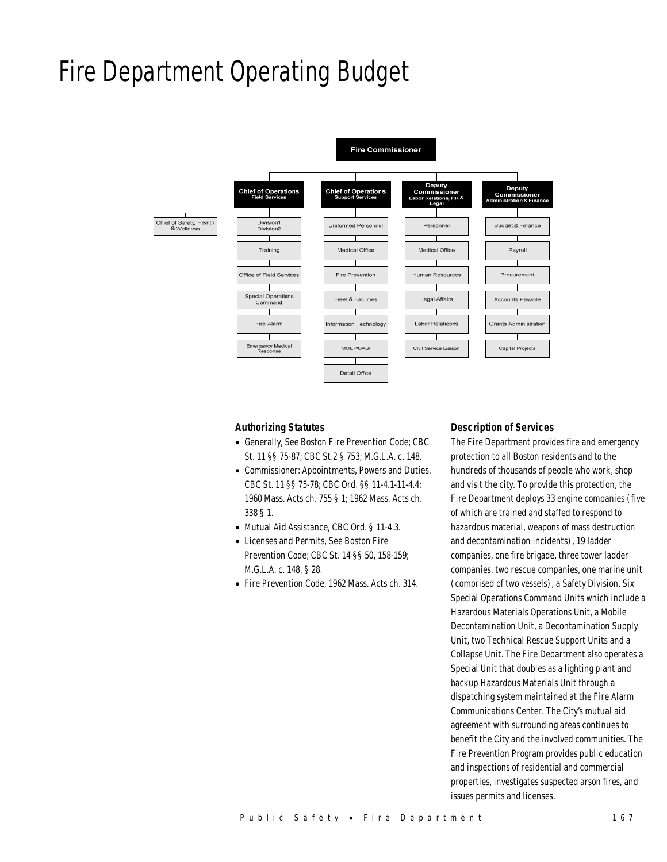## Fire Department Operating Budget



#### *Authorizing Statutes*

- Generally, See Boston Fire Prevention Code; CBC St. 11 §§ 75-87; CBC St.2 § 753; M.G.L.A. c. 148.
- Commissioner: Appointments, Powers and Duties, CBC St. 11 §§ 75-78; CBC Ord. §§ 11-4.1-11-4.4; 1960 Mass. Acts ch. 755 § 1; 1962 Mass. Acts ch. 338 § 1.
- Mutual Aid Assistance, CBC Ord. § 11-4.3.
- Licenses and Permits, See Boston Fire Prevention Code; CBC St. 14 §§ 50, 158-159; M.G.L.A. c. 148, § 28.
- Fire Prevention Code, 1962 Mass. Acts ch. 314.

#### *Description of Services*

The Fire Department provides fire and emergency protection to all Boston residents and to the hundreds of thousands of people who work, shop and visit the city. To provide this protection, the Fire Department deploys 33 engine companies (five of which are trained and staffed to respond to hazardous material, weapons of mass destruction and decontamination incidents), 19 ladder companies, one fire brigade, three tower ladder companies, two rescue companies, one marine unit (comprised of two vessels), a Safety Division, Six Special Operations Command Units which include a Hazardous Materials Operations Unit, a Mobile Decontamination Unit, a Decontamination Supply Unit, two Technical Rescue Support Units and a Collapse Unit. The Fire Department also operates a Special Unit that doubles as a lighting plant and backup Hazardous Materials Unit through a dispatching system maintained at the Fire Alarm Communications Center. The City's mutual aid agreement with surrounding areas continues to benefit the City and the involved communities. The Fire Prevention Program provides public education and inspections of residential and commercial properties, investigates suspected arson fires, and issues permits and licenses.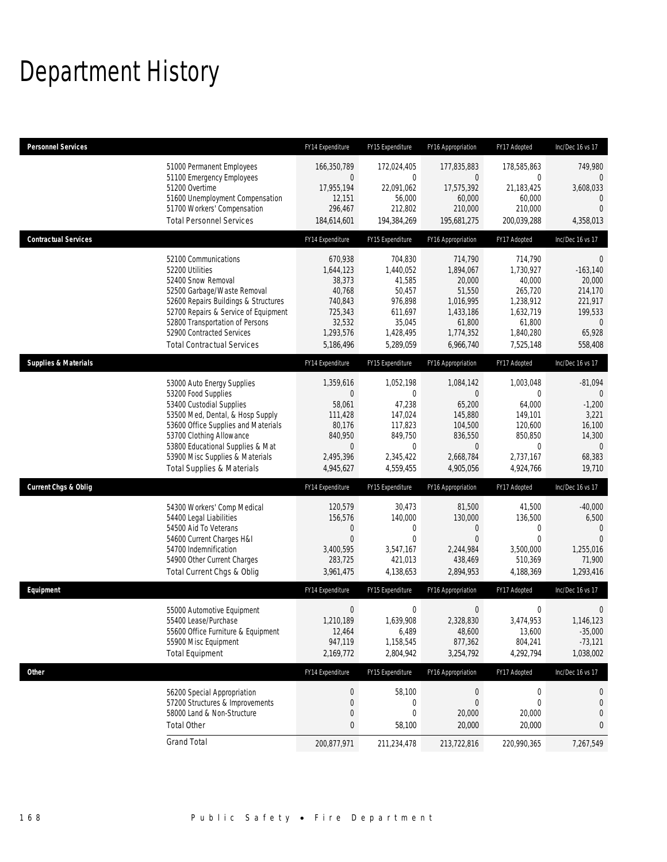## Department History

| <b>Personnel Services</b>       |                                                                                                                                                                                                                                                                                                      | FY14 Expenditure                                                                                         | FY15 Expenditure                                                                                   | FY16 Appropriation                                                                                     | FY17 Adopted                                                                                                   | Inc/Dec 16 vs 17                                                                                            |
|---------------------------------|------------------------------------------------------------------------------------------------------------------------------------------------------------------------------------------------------------------------------------------------------------------------------------------------------|----------------------------------------------------------------------------------------------------------|----------------------------------------------------------------------------------------------------|--------------------------------------------------------------------------------------------------------|----------------------------------------------------------------------------------------------------------------|-------------------------------------------------------------------------------------------------------------|
|                                 | 51000 Permanent Employees<br>51100 Emergency Employees<br>51200 Overtime<br>51600 Unemployment Compensation<br>51700 Workers' Compensation<br><b>Total Personnel Services</b>                                                                                                                        | 166,350,789<br>0<br>17,955,194<br>12,151<br>296,467<br>184,614,601                                       | 172,024,405<br>$\mathbf 0$<br>22,091,062<br>56,000<br>212,802<br>194,384,269                       | 177,835,883<br>0<br>17,575,392<br>60,000<br>210,000<br>195,681,275                                     | 178,585,863<br>$\mathbf 0$<br>21,183,425<br>60,000<br>210,000<br>200,039,288                                   | 749,980<br>$\mathbf{0}$<br>3,608,033<br>$\mathbf 0$<br>$\overline{0}$<br>4,358,013                          |
| <b>Contractual Services</b>     |                                                                                                                                                                                                                                                                                                      | FY14 Expenditure                                                                                         | FY15 Expenditure                                                                                   | FY16 Appropriation                                                                                     | FY17 Adopted                                                                                                   | Inc/Dec 16 vs 17                                                                                            |
|                                 | 52100 Communications<br>52200 Utilities<br>52400 Snow Removal<br>52500 Garbage/Waste Removal<br>52600 Repairs Buildings & Structures<br>52700 Repairs & Service of Equipment<br>52800 Transportation of Persons<br>52900 Contracted Services<br><b>Total Contractual Services</b>                    | 670.938<br>1,644,123<br>38,373<br>40,768<br>740,843<br>725,343<br>32,532<br>1,293,576<br>5,186,496       | 704,830<br>1,440,052<br>41,585<br>50,457<br>976,898<br>611,697<br>35,045<br>1,428,495<br>5,289,059 | 714,790<br>1,894,067<br>20,000<br>51,550<br>1,016,995<br>1,433,186<br>61,800<br>1,774,352<br>6,966,740 | 714,790<br>1,730,927<br>40,000<br>265,720<br>1,238,912<br>1,632,719<br>61,800<br>1,840,280<br>7,525,148        | $\mathbf 0$<br>$-163,140$<br>20,000<br>214,170<br>221,917<br>199,533<br>$\overline{0}$<br>65,928<br>558,408 |
| <b>Supplies &amp; Materials</b> |                                                                                                                                                                                                                                                                                                      | FY14 Expenditure                                                                                         | FY15 Expenditure                                                                                   | FY16 Appropriation                                                                                     | FY17 Adopted                                                                                                   | Inc/Dec 16 vs 17                                                                                            |
|                                 | 53000 Auto Energy Supplies<br>53200 Food Supplies<br>53400 Custodial Supplies<br>53500 Med, Dental, & Hosp Supply<br>53600 Office Supplies and Materials<br>53700 Clothing Allowance<br>53800 Educational Supplies & Mat<br>53900 Misc Supplies & Materials<br><b>Total Supplies &amp; Materials</b> | 1,359,616<br>$\mathbf 0$<br>58,061<br>111,428<br>80,176<br>840,950<br>$\theta$<br>2,495,396<br>4,945,627 | 1,052,198<br>0<br>47,238<br>147,024<br>117,823<br>849,750<br>$\mathbf 0$<br>2,345,422<br>4,559,455 | 1,084,142<br>0<br>65,200<br>145,880<br>104,500<br>836,550<br>$\overline{0}$<br>2,668,784<br>4,905,056  | 1,003,048<br>$\mathbf{0}$<br>64,000<br>149,101<br>120,600<br>850,850<br>$\mathbf{0}$<br>2,737,167<br>4,924,766 | $-81,094$<br>$\mathbf 0$<br>$-1,200$<br>3,221<br>16,100<br>14,300<br>$\overline{0}$<br>68,383<br>19,710     |
| <b>Current Chgs &amp; Oblig</b> |                                                                                                                                                                                                                                                                                                      | FY14 Expenditure                                                                                         | FY15 Expenditure                                                                                   | FY16 Appropriation                                                                                     | FY17 Adopted                                                                                                   | Inc/Dec 16 vs 17                                                                                            |
|                                 | 54300 Workers' Comp Medical<br>54400 Legal Liabilities<br>54500 Aid To Veterans<br>54600 Current Charges H&I<br>54700 Indemnification<br>54900 Other Current Charges<br>Total Current Chgs & Oblig                                                                                                   | 120,579<br>156,576<br>0<br>$\overline{0}$<br>3,400,595<br>283,725<br>3,961,475                           | 30,473<br>140,000<br>0<br>$\mathbf{0}$<br>3,547,167<br>421,013<br>4,138,653                        | 81,500<br>130,000<br>$\mathbf 0$<br>$\mathbf{0}$<br>2,244,984<br>438,469<br>2,894,953                  | 41,500<br>136,500<br>0<br>$\mathbf{0}$<br>3,500,000<br>510,369<br>4,188,369                                    | $-40,000$<br>6,500<br>$\mathbf{0}$<br>$\Omega$<br>1,255,016<br>71,900<br>1,293,416                          |
| Equipment                       |                                                                                                                                                                                                                                                                                                      | FY14 Expenditure                                                                                         | FY15 Expenditure                                                                                   | FY16 Appropriation                                                                                     | FY17 Adopted                                                                                                   | Inc/Dec 16 vs 17                                                                                            |
|                                 | 55000 Automotive Equipment<br>55400 Lease/Purchase<br>55600 Office Furniture & Equipment<br>55900 Misc Equipment<br><b>Total Equipment</b>                                                                                                                                                           | $\boldsymbol{0}$<br>1,210,189<br>12,464<br>947,119<br>2,169,772                                          | $\boldsymbol{0}$<br>1,639,908<br>6,489<br>1,158,545<br>2,804,942                                   | $\mathbf 0$<br>2,328,830<br>48,600<br>877,362<br>3,254,792                                             | 0<br>3,474,953<br>13,600<br>804,241<br>4,292,794                                                               | 0<br>1,146,123<br>$-35,000$<br>$-73,121$<br>1,038,002                                                       |
| Other                           |                                                                                                                                                                                                                                                                                                      | FY14 Expenditure                                                                                         | FY15 Expenditure                                                                                   | FY16 Appropriation                                                                                     | FY17 Adopted                                                                                                   | Inc/Dec 16 vs 17                                                                                            |
|                                 | 56200 Special Appropriation<br>57200 Structures & Improvements<br>58000 Land & Non-Structure<br><b>Total Other</b>                                                                                                                                                                                   | $\pmb{0}$<br>0<br>0<br>0                                                                                 | 58,100<br>0<br>$\mathbf 0$<br>58,100                                                               | 0<br>$\mathbf 0$<br>20,000<br>20,000                                                                   | $\boldsymbol{0}$<br>$\mathbf 0$<br>20,000<br>20,000                                                            | 0<br>$\theta$<br>$\boldsymbol{0}$<br>0                                                                      |
|                                 | <b>Grand Total</b>                                                                                                                                                                                                                                                                                   | 200,877,971                                                                                              | 211,234,478                                                                                        | 213,722,816                                                                                            | 220,990,365                                                                                                    | 7,267,549                                                                                                   |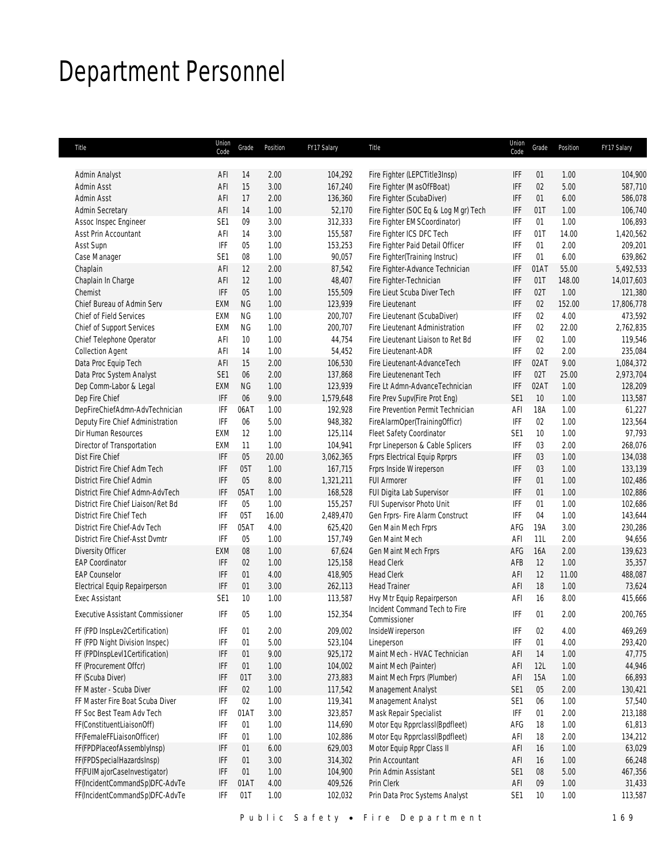## Department Personnel

| Title                                                  | Union<br>Code   | Grade     | Position      | FY17 Salary          | Title                                                              | Union<br>Code     | Grade    | Position     | FY17 Salary       |
|--------------------------------------------------------|-----------------|-----------|---------------|----------------------|--------------------------------------------------------------------|-------------------|----------|--------------|-------------------|
| Admin Analyst                                          | AFI             | 14        | 2.00          | 104,292              | Fire Fighter (LEPCTitle3Insp)                                      | <b>IFF</b>        | 01       | 1.00         | 104,900           |
| Admin Asst                                             | AFI             | 15        | 3.00          | 167,240              | Fire Fighter (MasOfFBoat)                                          | IFF               | 02       | 5.00         | 587,710           |
| Admin Asst                                             | AFI             | 17        | 2.00          | 136,360              | Fire Fighter (ScubaDiver)                                          | IFF               | 01       | 6.00         | 586,078           |
| <b>Admin Secretary</b>                                 | AFI             | 14        | 1.00          | 52,170               | Fire Fighter (SOC Eq & Log Mgr) Tech                               | IFF               | 01T      | 1.00         | 106,740           |
| Assoc Inspec Engineer                                  | SE <sub>1</sub> | 09        | 3.00          | 312,333              | Fire Fighter EMSCoordinator)                                       | IFF               | 01       | 1.00         | 106,893           |
| Asst Prin Accountant                                   | AFI             | 14        | 3.00          | 155,587              | Fire Fighter ICS DFC Tech                                          | IFF               | 01T      | 14.00        | 1,420,562         |
| Asst Supn                                              | IFF             | 05        | 1.00          | 153,253              | Fire Fighter Paid Detail Officer                                   | IFF               | 01       | 2.00         | 209,201           |
| Case Manager                                           | SE <sub>1</sub> | 08        | 1.00          | 90,057               | Fire Fighter(Training Instruc)                                     | IFF               | 01       | 6.00         | 639,862           |
| Chaplain                                               | AFI             | 12        | 2.00          | 87,542               | Fire Fighter-Advance Technician                                    | <b>IFF</b>        | 01AT     | 55.00        | 5,492,533         |
| Chaplain In Charge                                     | AFI             | 12        | 1.00          | 48,407               | Fire Fighter-Technician                                            | IFF               | 01T      | 148.00       | 14,017,603        |
| Chemist                                                | IFF             | 05        | 1.00          | 155,509              | Fire Lieut Scuba Diver Tech                                        | IFF               | 02T      | 1.00         | 121,380           |
| Chief Bureau of Admin Serv                             | <b>EXM</b>      | <b>NG</b> | 1.00          | 123,939              | Fire Lieutenant                                                    | IFF               | 02       | 152.00       | 17,806,778        |
| Chief of Field Services                                | <b>EXM</b>      | <b>NG</b> | 1.00          | 200,707              | Fire Lieutenant (ScubaDiver)                                       | IFF               | 02       | 4.00         | 473,592           |
| Chief of Support Services                              | EXM             | ΝG        | 1.00          | 200,707              | Fire Lieutenant Administration                                     | IFF               | 02       | 22.00        | 2,762,835         |
| Chief Telephone Operator                               | AFI             | 10        | 1.00          | 44,754               | Fire Lieutenant Liaison to Ret Bd                                  | IFF               | 02       | 1.00         | 119,546           |
| <b>Collection Agent</b>                                | AFI             | 14        | 1.00          | 54,452               | Fire Lieutenant-ADR                                                | IFF               | 02       | 2.00         | 235,084           |
| Data Proc Equip Tech                                   | AFI             | 15        | 2.00          | 106,530              | Fire Lieutenant-AdvanceTech                                        | IFF               | 02AT     | 9.00         | 1,084,372         |
| Data Proc System Analyst                               | SE1             | 06        | 2.00          | 137,868              | Fire Lieutenenant Tech                                             | IFF               | 02T      | 25.00        | 2,973,704         |
| Dep Comm-Labor & Legal                                 | EXM             | <b>NG</b> | 1.00          | 123,939              | Fire Lt Admn-AdvanceTechnician                                     | <b>IFF</b>        | 02AT     | 1.00         | 128,209           |
| Dep Fire Chief                                         | IFF             | 06        | 9.00          |                      |                                                                    | SE <sub>1</sub>   | 10       | 1.00         | 113,587           |
| DepFireChiefAdmn-AdvTechnician                         | IFF             | 06AT      | 1.00          | 1,579,648<br>192,928 | Fire Prev Supv(Fire Prot Eng)<br>Fire Prevention Permit Technician | AFI               | 18A      | 1.00         | 61,227            |
|                                                        | IFF             |           | 5.00          |                      |                                                                    | IFF               |          | 1.00         |                   |
| Deputy Fire Chief Administration                       | <b>EXM</b>      | 06        | 1.00          | 948,382              | FireAlarmOper(TrainingOfficr)                                      |                   | 02       | 1.00         | 123,564<br>97,793 |
| Dir Human Resources                                    |                 | 12        | 1.00          | 125,114              | Fleet Safety Coordinator<br>Frpr Lineperson & Cable Splicers       | SE <sub>1</sub>   | 10       |              |                   |
| Director of Transportation                             | EXM             | 11<br>05  |               | 104,941              |                                                                    | IFF               | 03       | 2.00         | 268,076           |
| Dist Fire Chief<br>District Fire Chief Adm Tech        | IFF<br>IFF      | 05T       | 20.00<br>1.00 | 3,062,365            | Frprs Electrical Equip Rprprs                                      | <b>IFF</b><br>IFF | 03<br>03 | 1.00<br>1.00 | 134,038           |
|                                                        |                 |           |               | 167,715              | Frprs Inside Wireperson                                            |                   |          |              | 133,139           |
| District Fire Chief Admin                              | IFF             | 05        | 8.00          | 1,321,211            | <b>FUI Armorer</b>                                                 | IFF               | 01       | 1.00         | 102,486           |
| District Fire Chief Admn-AdvTech                       | IFF             | 05AT      | 1.00          | 168,528              | FUI Digita Lab Supervisor                                          | IFF               | 01       | 1.00         | 102,886           |
| District Fire Chief Liaison/Ret Bd                     | IFF             | 05        | 1.00          | 155,257              | FUI Supervisor Photo Unit                                          | IFF               | 01       | 1.00         | 102,686           |
| District Fire Chief Tech                               | IFF             | 05T       | 16.00         | 2,489,470            | Gen Frprs- Fire Alarm Construct                                    | IFF               | 04       | 1.00         | 143,644           |
| District Fire Chief-Adv Tech                           | IFF             | 05AT      | 4.00          | 625,420              | Gen Main Mech Frprs                                                | AFG               | 19A      | 3.00         | 230,286           |
| District Fire Chief-Asst Dvmtr                         | IFF             | 05        | 1.00          | 157,749              | <b>Gen Maint Mech</b>                                              | AFI               | 11L      | 2.00         | 94,656            |
| Diversity Officer                                      | EXM             | 08        | 1.00          | 67,624               | Gen Maint Mech Frprs                                               | AFG               | 16A      | 2.00         | 139,623           |
| <b>EAP Coordinator</b>                                 | IFF             | 02        | 1.00          | 125,158              | <b>Head Clerk</b>                                                  | AFB               | 12       | 1.00         | 35,357            |
| <b>EAP Counselor</b>                                   | IFF             | 01        | 4.00          | 418,905              | <b>Head Clerk</b>                                                  | AFI               | 12       | 11.00        | 488,087           |
| Electrical Equip Repairperson                          | IFF             | 01        | 3.00          | 262,113              | <b>Head Trainer</b>                                                | AFI               | 18       | 1.00         | 73,624            |
| <b>Exec Assistant</b>                                  | SE <sub>1</sub> | 10        | 1.00          | 113,587              | Hvy Mtr Equip Repairperson                                         | AFI               | 16       | 8.00         | 415,666           |
| <b>Executive Assistant Commissioner</b>                | IFF             | 05        | 1.00          | 152,354              | Incident Command Tech to Fire<br>Commissioner                      | IFF               | 01       | 2.00         | 200,765           |
| FF (FPD InspLev2Certification)                         | IFF             | 01        | 2.00          | 209,002              | InsideWireperson                                                   | IFF               | 02       | 4.00         | 469,269           |
| FF (FPD Night Division Inspec)                         | IFF             | 01        | 5.00          | 523,104              | Lineperson                                                         | IFF               | 01       | 4.00         | 293,420           |
| FF (FPDInspLevI1Certification)                         | IFF             | 01        | 9.00          | 925,172              | Maint Mech - HVAC Technician                                       | AFI               | 14       | 1.00         | 47,775            |
| FF (Procurement Offcr)                                 | IFF             | 01        | 1.00          | 104,002              | Maint Mech (Painter)                                               | AFI               | 12L      | 1.00         | 44,946            |
| FF (Scuba Diver)                                       | IFF             | 01T       | 3.00          | 273,883              | Maint Mech Frprs (Plumber)                                         | AFI               | 15A      | 1.00         | 66,893            |
| FF Master - Scuba Diver                                |                 | 02        | 1.00          |                      |                                                                    |                   | 05       | 2.00         |                   |
| FF Master Fire Boat Scuba Diver                        | IFF<br>IFF      | 02        | 1.00          | 117,542<br>119,341   | Management Analyst                                                 | SE <sub>1</sub>   | 06       | 1.00         | 130,421<br>57,540 |
|                                                        |                 |           |               |                      | Management Analyst                                                 | SE <sub>1</sub>   |          |              |                   |
| FF Soc Best Team Adv Tech<br>FF(ConstituentLiaisonOff) | IFF             | 01AT      | 3.00          | 323,857              | Mask Repair Specialist                                             | IFF               | 01       | 2.00         | 213,188           |
| FF(FemaleFFLiaisonOfficer)                             | IFF             | 01        | 1.00          | 114,690              | Motor Equ RpprclassI(Bpdfleet)                                     | AFG               | 18       | 1.00         | 61,813            |
|                                                        | IFF             | 01        | 1.00          | 102,886              | Motor Equ RpprclassI(Bpdfleet)                                     | AFI               | 18       | 2.00         | 134,212           |
| FF(FPDPlaceofAssemblyInsp)                             | IFF             | 01        | 6.00          | 629,003              | Motor Equip Rppr Class II                                          | AFI               | 16       | 1.00         | 63,029            |
| FF(FPDSpecialHazardsInsp)                              | IFF             | 01        | 3.00          | 314,302              | Prin Accountant                                                    | AFI               | 16       | 1.00         | 66,248            |
| FF(FUIMajorCaseInvestigator)                           | IFF             | 01        | 1.00          | 104,900              | Prin Admin Assistant                                               | SE <sub>1</sub>   | 08       | 5.00         | 467,356           |
| FF(IncidentCommandSp)DFC-AdvTe                         | IFF             | 01AT      | 4.00          | 409,526              | Prin Clerk                                                         | AFI               | 09       | 1.00         | 31,433            |
| FF(IncidentCommandSp)DFC-AdvTe                         | IFF             | 01T       | 1.00          | 102,032              | Prin Data Proc Systems Analyst                                     | SE1               | 10       | 1.00         | 113,587           |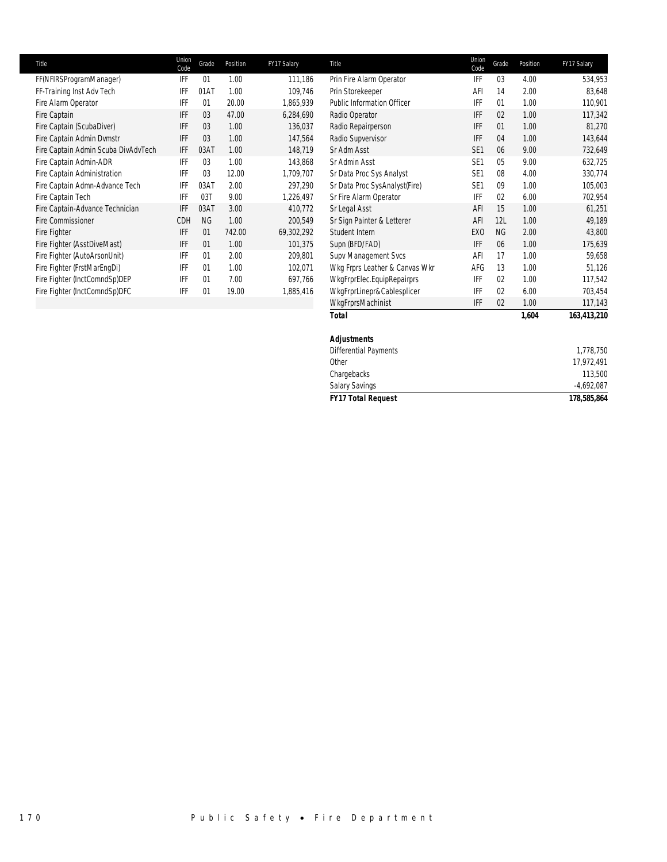| Title                               | Union<br>Code | Grade          | Position | FY17 Salary | Title                             | Union<br>Code   | Grade          | Position | FY17 Salary |
|-------------------------------------|---------------|----------------|----------|-------------|-----------------------------------|-----------------|----------------|----------|-------------|
| FF(NFIRSProgramManager)             | IFF           | 01             | 1.00     | 111,186     | Prin Fire Alarm Operator          | IFF             | 03             | 4.00     | 534,953     |
| FF-Training Inst Adv Tech           | <b>IFF</b>    | 01AT           | 1.00     | 109.746     | Prin Storekeeper                  | AFI             | 14             | 2.00     | 83,648      |
| Fire Alarm Operator                 | <b>IFF</b>    | 01             | 20.00    | 1,865,939   | <b>Public Information Officer</b> | IFF             | 01             | 1.00     | 110,901     |
| Fire Captain                        | IFF           | 03             | 47.00    | 6,284,690   | Radio Operator                    | <b>IFF</b>      | 02             | 1.00     | 117,342     |
| Fire Captain (ScubaDiver)           | IFF           | 03             | 1.00     | 136,037     | Radio Repairperson                | IFF             | 01             | 1.00     | 81,270      |
| Fire Captain Admin Dymstr           | IFF           | 03             | 1.00     | 147,564     | Radio Supvervisor                 | <b>IFF</b>      | 04             | 1.00     | 143,644     |
| Fire Captain Admin Scuba DivAdvTech | IFF           | 03AT           | 1.00     | 148,719     | Sr Adm Asst                       | SE <sub>1</sub> | 06             | 9.00     | 732,649     |
| Fire Captain Admin-ADR              | IFF           | 03             | 1.00     | 143,868     | Sr Admin Asst                     | SE <sub>1</sub> | 0 <sub>5</sub> | 9.00     | 632,725     |
| Fire Captain Administration         | <b>IFF</b>    | 0 <sub>3</sub> | 12.00    | 1,709,707   | Sr Data Proc Sys Analyst          | SE <sub>1</sub> | 08             | 4.00     | 330,774     |
| Fire Captain Admn-Advance Tech      | <b>IFF</b>    | 03AT           | 2.00     | 297,290     | Sr Data Proc SysAnalyst(Fire)     | SE <sub>1</sub> | 09             | 1.00     | 105,003     |
| Fire Captain Tech                   | IFF           | 03T            | 9.00     | 1,226,497   | Sr Fire Alarm Operator            | <b>IFF</b>      | 02             | 6.00     | 702,954     |
| Fire Captain-Advance Technician     | IFF           | 03AT           | 3.00     | 410,772     | Sr Legal Asst                     | AFI             | 15             | 1.00     | 61,251      |
| <b>Fire Commissioner</b>            | <b>CDH</b>    | <b>NG</b>      | 1.00     | 200,549     | Sr Sign Painter & Letterer        | AFI             | 12L            | 1.00     | 49,189      |
| Fire Fighter                        | IFF           | 01             | 742.00   | 69,302,292  | Student Intern                    | EX <sub>0</sub> | NG             | 2.00     | 43,800      |
| Fire Fighter (AsstDiveMast)         | IFF           | 01             | 1.00     | 101,375     | Supn (BFD/FAD)                    | <b>IFF</b>      | 06             | 1.00     | 175,639     |
| Fire Fighter (AutoArsonUnit)        | IFF           | 01             | 2.00     | 209,801     | Supv Management Svcs              | AFI             | 17             | 1.00     | 59,658      |
| Fire Fighter (FrstMarEngDi)         | IFF           | 01             | 1.00     | 102,071     | Wkg Frprs Leather & Canvas Wkr    | AFG             | 13             | 1.00     | 51,126      |
| Fire Fighter (InctComndSp)DEP       | <b>IFF</b>    | 01             | 7.00     | 697,766     | WkgFrprElec.EquipRepairprs        | IFF             | 02             | 1.00     | 117,542     |
| Fire Fighter (InctComndSp)DFC       | IFF           | 01             | 19.00    | 1,885,416   | WkgFrprLinepr&Cablesplicer        | IFF             | 02             | 6.00     | 703,454     |

| Title                               | Union<br>Code | Grade     | Position | FY17 Salary | Title                             | Union<br>Code   | Grade     | Position | FY17 Salary  |
|-------------------------------------|---------------|-----------|----------|-------------|-----------------------------------|-----------------|-----------|----------|--------------|
| FF(NFIRSProgramManager)             | IFF           | 01        | 1.00     | 111,186     | Prin Fire Alarm Operator          | IFF             | 03        | 4.00     | 534,953      |
| FF-Training Inst Adv Tech           | IFF           | 01AT      | 1.00     | 109,746     | Prin Storekeeper                  | AFI             | 14        | 2.00     | 83,648       |
| Fire Alarm Operator                 | IFF           | 01        | 20.00    | 1,865,939   | <b>Public Information Officer</b> | IFF             | 01        | 1.00     | 110,901      |
| Fire Captain                        | IFF           | 03        | 47.00    | 6,284,690   | Radio Operator                    | IFF             | 02        | 1.00     | 117,342      |
| Fire Captain (ScubaDiver)           | IFF           | 03        | 1.00     | 136,037     | Radio Repairperson                | IFF             | 01        | 1.00     | 81,270       |
| Fire Captain Admin Dvmstr           | IFF           | 03        | 1.00     | 147,564     | Radio Supvervisor                 | IFF             | 04        | 1.00     | 143,644      |
| Fire Captain Admin Scuba DivAdvTech | IFF           | 03AT      | 1.00     | 148,719     | Sr Adm Asst                       | SE <sub>1</sub> | 06        | 9.00     | 732,649      |
| Fire Captain Admin-ADR              | IFF           | 03        | 1.00     | 143,868     | Sr Admin Asst                     | SE <sub>1</sub> | 05        | 9.00     | 632,725      |
| Fire Captain Administration         | IFF           | 03        | 12.00    | 1,709,707   | Sr Data Proc Sys Analyst          | SE <sub>1</sub> | 08        | 4.00     | 330,774      |
| Fire Captain Admn-Advance Tech      | IFF           | 03AT      | 2.00     | 297,290     | Sr Data Proc SysAnalyst(Fire)     | SE <sub>1</sub> | 09        | 1.00     | 105,003      |
| Fire Captain Tech                   | IFF           | 03T       | 9.00     | 1,226,497   | Sr Fire Alarm Operator            | IFF             | 02        | 6.00     | 702,954      |
| Fire Captain-Advance Technician     | IFF           | 03AT      | 3.00     | 410,772     | Sr Legal Asst                     | AFI             | 15        | 1.00     | 61,251       |
| Fire Commissioner                   | CDH           | <b>NG</b> | 1.00     | 200,549     | Sr Sign Painter & Letterer        | AFI             | 12L       | 1.00     | 49,189       |
| Fire Fighter                        | IFF           | 01        | 742.00   | 69,302,292  | Student Intern                    | EX <sub>0</sub> | <b>NG</b> | 2.00     | 43,800       |
| Fire Fighter (AsstDiveMast)         | IFF           | 01        | 1.00     | 101,375     | Supn (BFD/FAD)                    | IFF             | 06        | 1.00     | 175,639      |
| Fire Fighter (AutoArsonUnit)        | IFF           | 01        | 2.00     | 209,801     | Supv Management Svcs              | AFI             | 17        | 1.00     | 59,658       |
| Fire Fighter (FrstMarEngDi)         | IFF           | 01        | 1.00     | 102,071     | Wkg Frprs Leather & Canvas Wkr    | AFG             | 13        | 1.00     | 51,126       |
| Fire Fighter (InctComndSp)DEP       | IFF           | 01        | 7.00     | 697,766     | WkgFrprElec.EquipRepairprs        | IFF             | 02        | 1.00     | 117,542      |
| Fire Fighter (InctComndSp)DFC       | IFF           | 01        | 19.00    | 1,885,416   | WkgFrprLinepr&Cablesplicer        | IFF             | 02        | 6.00     | 703,454      |
|                                     |               |           |          |             | WkgFrprsMachinist                 | IFF             | 02        | 1.00     | 117,143      |
|                                     |               |           |          |             | <b>Total</b>                      |                 |           | 1,604    | 163,413,210  |
|                                     |               |           |          |             | <b>Adjustments</b>                |                 |           |          |              |
|                                     |               |           |          |             | <b>Differential Payments</b>      |                 |           |          | 1,778,750    |
|                                     |               |           |          |             | Other                             |                 |           |          | 17,972,491   |
|                                     |               |           |          |             | Chargebacks                       |                 |           |          | 113,500      |
|                                     |               |           |          |             | <b>Salary Savings</b>             |                 |           |          | $-4,692,087$ |
|                                     |               |           |          |             | <b>FY17 Total Request</b>         |                 |           |          | 178,585,864  |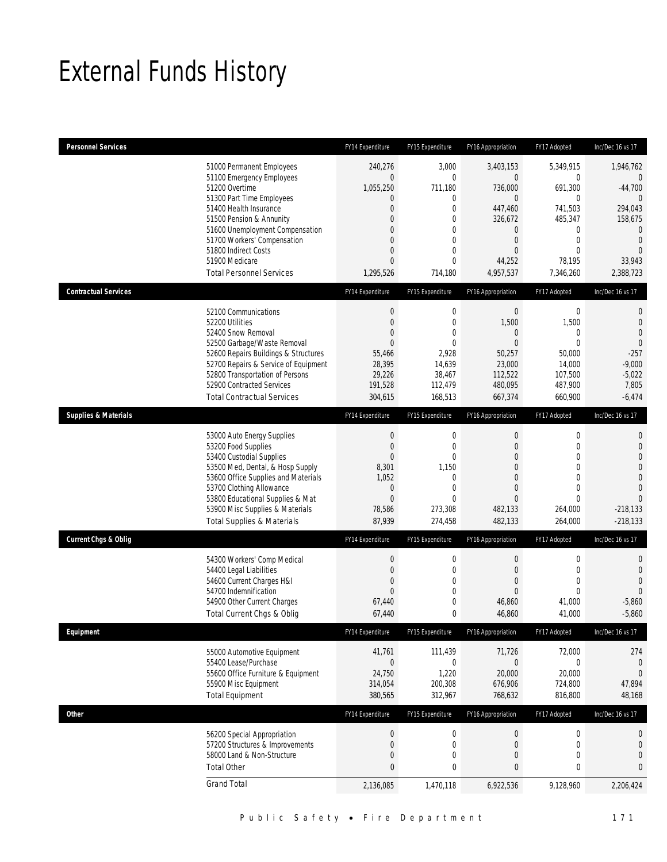## External Funds History

| <b>Personnel Services</b>       |                                                                                                                                                                                                                                                                                                            | FY14 Expenditure                                                                                                         | FY15 Expenditure                                                                                                               | FY16 Appropriation                                                                                                                          | FY17 Adopted                                                                                                         | Inc/Dec 16 vs 17                                                                                                                              |
|---------------------------------|------------------------------------------------------------------------------------------------------------------------------------------------------------------------------------------------------------------------------------------------------------------------------------------------------------|--------------------------------------------------------------------------------------------------------------------------|--------------------------------------------------------------------------------------------------------------------------------|---------------------------------------------------------------------------------------------------------------------------------------------|----------------------------------------------------------------------------------------------------------------------|-----------------------------------------------------------------------------------------------------------------------------------------------|
|                                 | 51000 Permanent Employees<br>51100 Emergency Employees<br>51200 Overtime<br>51300 Part Time Employees<br>51400 Health Insurance<br>51500 Pension & Annunity<br>51600 Unemployment Compensation<br>51700 Workers' Compensation<br>51800 Indirect Costs<br>51900 Medicare<br><b>Total Personnel Services</b> | 240,276<br>$\overline{0}$<br>1,055,250<br>$\mathbf 0$<br>$\overline{0}$<br>0<br>0<br>0<br>0<br>$\mathbf{0}$<br>1,295,526 | 3,000<br>$\mathbf 0$<br>711,180<br>0<br>$\mathbf 0$<br>0<br>$\overline{0}$<br>$\overline{0}$<br>0<br>$\overline{0}$<br>714,180 | 3,403,153<br>0<br>736,000<br>$\mathbf{0}$<br>447,460<br>326,672<br>$\boldsymbol{0}$<br>$\mathbf 0$<br>$\overline{0}$<br>44,252<br>4,957,537 | 5,349,915<br>0<br>691,300<br>0<br>741,503<br>485,347<br>0<br>$\boldsymbol{0}$<br>$\mathbf 0$<br>78,195<br>7,346,260  | 1,946,762<br>$\theta$<br>$-44,700$<br>$\mathbf{0}$<br>294,043<br>158,675<br>$\mathbf{0}$<br>$\overline{0}$<br>$\Omega$<br>33,943<br>2,388,723 |
| <b>Contractual Services</b>     |                                                                                                                                                                                                                                                                                                            | FY14 Expenditure                                                                                                         | FY15 Expenditure                                                                                                               | FY16 Appropriation                                                                                                                          | FY17 Adopted                                                                                                         | Inc/Dec 16 vs 17                                                                                                                              |
|                                 | 52100 Communications<br>52200 Utilities<br>52400 Snow Removal<br>52500 Garbage/Waste Removal<br>52600 Repairs Buildings & Structures<br>52700 Repairs & Service of Equipment<br>52800 Transportation of Persons<br>52900 Contracted Services<br><b>Total Contractual Services</b>                          | $\boldsymbol{0}$<br>$\theta$<br>$\overline{0}$<br>$\mathbf{0}$<br>55,466<br>28,395<br>29,226<br>191,528<br>304,615       | $\mathbf 0$<br>0<br>$\overline{0}$<br>$\mathbf{0}$<br>2,928<br>14,639<br>38,467<br>112,479<br>168,513                          | $\boldsymbol{0}$<br>1,500<br>$\mathbf 0$<br>$\overline{0}$<br>50,257<br>23,000<br>112,522<br>480,095<br>667,374                             | $\boldsymbol{0}$<br>1,500<br>0<br>$\theta$<br>50,000<br>14,000<br>107,500<br>487,900<br>660,900                      | $\mathbf{0}$<br>$\mathbf{0}$<br>$\overline{0}$<br>$\overline{0}$<br>$-257$<br>$-9,000$<br>$-5,022$<br>7,805<br>$-6,474$                       |
| <b>Supplies &amp; Materials</b> |                                                                                                                                                                                                                                                                                                            | FY14 Expenditure                                                                                                         | FY15 Expenditure                                                                                                               | FY16 Appropriation                                                                                                                          | FY17 Adopted                                                                                                         | Inc/Dec 16 vs 17                                                                                                                              |
|                                 | 53000 Auto Energy Supplies<br>53200 Food Supplies<br>53400 Custodial Supplies<br>53500 Med, Dental, & Hosp Supply<br>53600 Office Supplies and Materials<br>53700 Clothing Allowance<br>53800 Educational Supplies & Mat<br>53900 Misc Supplies & Materials<br><b>Total Supplies &amp; Materials</b>       | $\boldsymbol{0}$<br>$\mathbf 0$<br>$\mathbf{0}$<br>8,301<br>1,052<br>0<br>$\mathbf{0}$<br>78,586<br>87,939               | $\boldsymbol{0}$<br>0<br>$\overline{0}$<br>1,150<br>$\mathbf{0}$<br>$\overline{0}$<br>$\overline{0}$<br>273,308<br>274,458     | $\mathbf 0$<br>$\theta$<br>$\Omega$<br>$\overline{0}$<br>$\Omega$<br>$\overline{0}$<br>$\overline{0}$<br>482,133<br>482,133                 | 0<br>$\mathbf{0}$<br>$\mathbf{0}$<br>$\mathbf 0$<br>$\mathbf{0}$<br>$\mathbf 0$<br>$\mathbf 0$<br>264,000<br>264,000 | $\mathbf{0}$<br>$\mathbf{0}$<br>$\overline{0}$<br>$\mathbf{0}$<br>$\mathbf 0$<br>$\overline{0}$<br>$\Omega$<br>$-218,133$<br>$-218,133$       |
| <b>Current Chgs &amp; Oblig</b> |                                                                                                                                                                                                                                                                                                            | FY14 Expenditure                                                                                                         | FY15 Expenditure                                                                                                               | FY16 Appropriation                                                                                                                          | FY17 Adopted                                                                                                         | Inc/Dec 16 vs 17                                                                                                                              |
|                                 | 54300 Workers' Comp Medical<br>54400 Legal Liabilities<br>54600 Current Charges H&I<br>54700 Indemnification<br>54900 Other Current Charges<br>Total Current Chgs & Oblig                                                                                                                                  | $\boldsymbol{0}$<br>$\mathbf{0}$<br>0<br>$\mathbf{0}$<br>67,440<br>67,440                                                | $\boldsymbol{0}$<br>0<br>$\overline{0}$<br>0<br>0<br>$\mathbf 0$                                                               | $\mathbf 0$<br>$\theta$<br>$\overline{0}$<br>$\mathbf{0}$<br>46,860<br>46,860                                                               | 0<br>$\mathbf{0}$<br>$\mathbf{0}$<br>$\mathbf 0$<br>41,000<br>41,000                                                 | $\mathbf{0}$<br>$\mathbf{0}$<br>$\overline{0}$<br>$\Omega$<br>$-5,860$<br>$-5,860$                                                            |
| Equipment                       |                                                                                                                                                                                                                                                                                                            | FY14 Expenditure                                                                                                         | FY15 Expenditure                                                                                                               | FY16 Appropriation                                                                                                                          | FY17 Adopted                                                                                                         | Inc/Dec 16 vs 17                                                                                                                              |
|                                 | 55000 Automotive Equipment<br>55400 Lease/Purchase<br>55600 Office Furniture & Equipment<br>55900 Misc Equipment<br><b>Total Equipment</b>                                                                                                                                                                 | 41,761<br>$\mathbf 0$<br>24,750<br>314,054<br>380,565                                                                    | 111,439<br>$\mathbf 0$<br>1,220<br>200,308<br>312,967                                                                          | 71,726<br>$\boldsymbol{0}$<br>20,000<br>676,906<br>768,632                                                                                  | 72,000<br>0<br>20,000<br>724,800<br>816,800                                                                          | 274<br>$\boldsymbol{0}$<br>$\mathbf 0$<br>47,894<br>48,168                                                                                    |
| <b>Other</b>                    |                                                                                                                                                                                                                                                                                                            | FY14 Expenditure                                                                                                         | FY15 Expenditure                                                                                                               | FY16 Appropriation                                                                                                                          | FY17 Adopted                                                                                                         | Inc/Dec 16 vs 17                                                                                                                              |
|                                 | 56200 Special Appropriation<br>57200 Structures & Improvements<br>58000 Land & Non-Structure<br><b>Total Other</b>                                                                                                                                                                                         | $\boldsymbol{0}$<br>$\boldsymbol{0}$<br>$\boldsymbol{0}$<br>$\pmb{0}$                                                    | $\boldsymbol{0}$<br>$\mathbf 0$<br>0<br>$\bf{0}$                                                                               | $\boldsymbol{0}$<br>$\boldsymbol{0}$<br>$\mathbf 0$<br>0                                                                                    | $\boldsymbol{0}$<br>$\boldsymbol{0}$<br>0<br>$\pmb{0}$                                                               | 0<br>$\mathbf 0$<br>$\overline{0}$<br>$\bf{0}$                                                                                                |
|                                 | <b>Grand Total</b>                                                                                                                                                                                                                                                                                         | 2,136,085                                                                                                                | 1,470,118                                                                                                                      | 6,922,536                                                                                                                                   | 9,128,960                                                                                                            | 2,206,424                                                                                                                                     |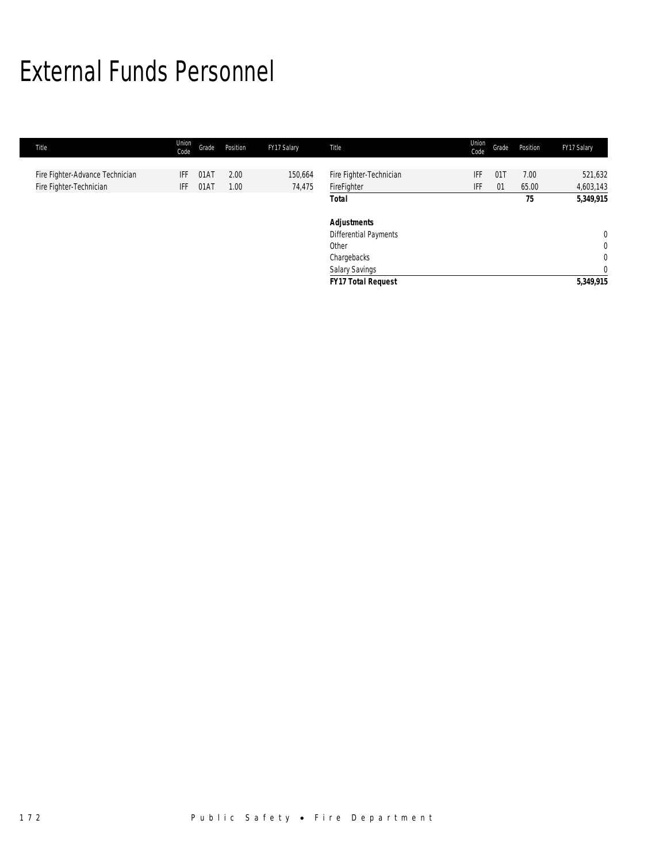## External Funds Personnel

| Title                           | Union<br>Code | Grade | Position | FY17 Salary | Title                        | Union<br>Code | Grade | Position | FY17 Salary  |
|---------------------------------|---------------|-------|----------|-------------|------------------------------|---------------|-------|----------|--------------|
| Fire Fighter-Advance Technician | IFF           | 01AT  | 2.00     | 150,664     | Fire Fighter-Technician      | IFF           | 011   | 7.00     | 521,632      |
| Fire Fighter-Technician         | IFF           | 01AT  | 1.00     | 74,475      | FireFighter                  | IFF           | 01    | 65.00    | 4,603,143    |
|                                 |               |       |          |             | <b>Total</b>                 |               |       | 75       | 5,349,915    |
|                                 |               |       |          |             | <b>Adjustments</b>           |               |       |          |              |
|                                 |               |       |          |             | <b>Differential Payments</b> |               |       |          | $\mathbf{0}$ |
|                                 |               |       |          |             | Other                        |               |       |          | $\mathbf{0}$ |
|                                 |               |       |          |             | Chargebacks                  |               |       |          | $\mathbf{0}$ |
|                                 |               |       |          |             | Salary Savings               |               |       |          | $\mathbf{0}$ |
|                                 |               |       |          |             | <b>FY17 Total Request</b>    |               |       |          | 5,349,915    |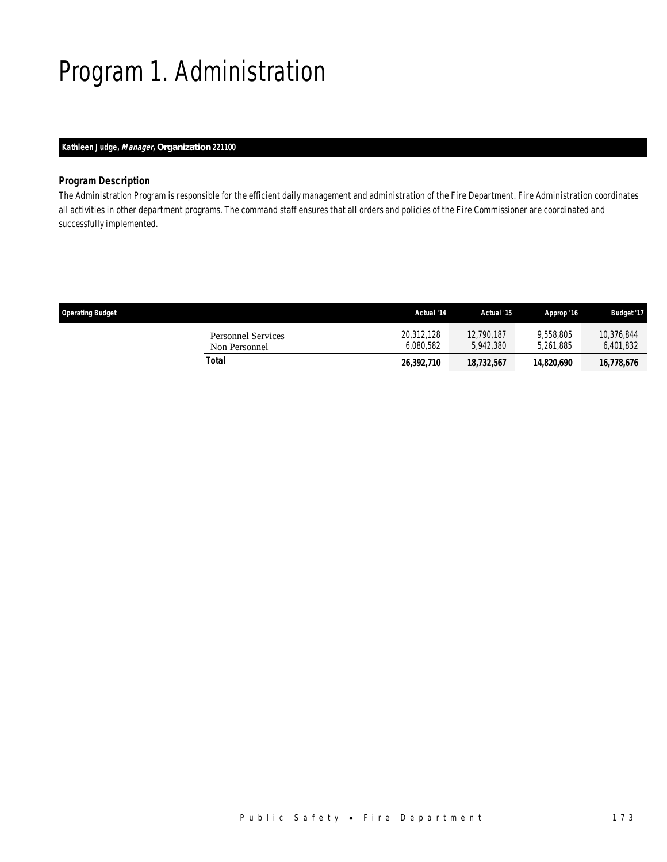## Program 1. Administration

## *Kathleen Judge, Manager, Organization 221100*

### *Program Description*

The Administration Program is responsible for the efficient daily management and administration of the Fire Department. Fire Administration coordinates all activities in other department programs. The command staff ensures that all orders and policies of the Fire Commissioner are coordinated and successfully implemented.

| <b>Operating Budget</b>             | Actual '14              | Actual '15              | Approp '16             | <b>Budget '17</b>       |
|-------------------------------------|-------------------------|-------------------------|------------------------|-------------------------|
| Personnel Services<br>Non Personnel | 20.312.128<br>6.080.582 | 12,790,187<br>5.942.380 | 9.558.805<br>5.261.885 | 10.376.844<br>6,401,832 |
| Total                               | 26,392,710              | 18,732,567              | 14,820,690             | 16,778,676              |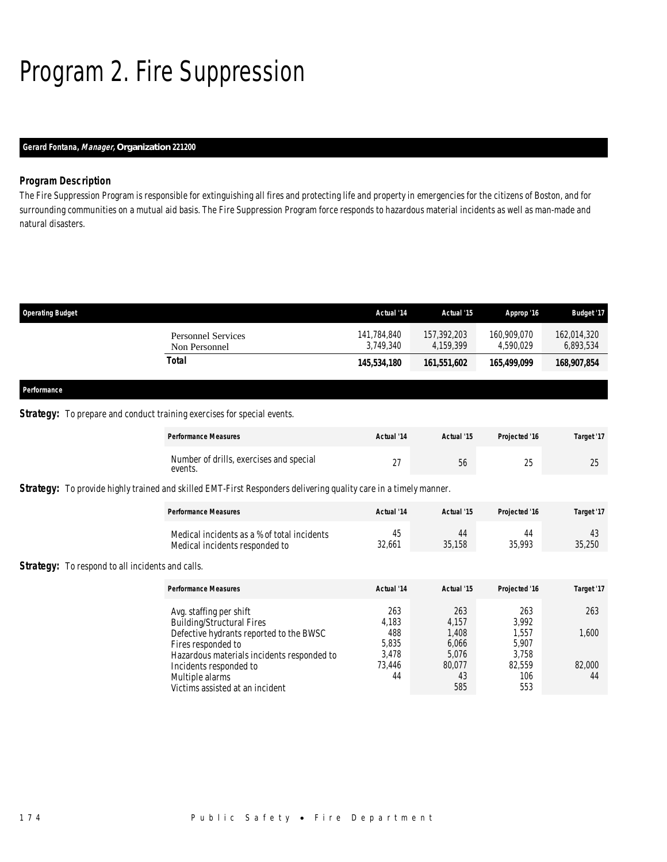# Program 2. Fire Suppression

## *Gerard Fontana, Manager, Organization 221200*

### *Program Description*

The Fire Suppression Program is responsible for extinguishing all fires and protecting life and property in emergencies for the citizens of Boston, and for surrounding communities on a mutual aid basis. The Fire Suppression Program force responds to hazardous material incidents as well as man-made and natural disasters.

| <b>Operating Budget</b>             | Actual '14               | Actual '15               | Approp '16               | <b>Budget '17</b>        |
|-------------------------------------|--------------------------|--------------------------|--------------------------|--------------------------|
| Personnel Services<br>Non Personnel | 141,784,840<br>3.749.340 | 157,392,203<br>4.159.399 | 160,909,070<br>4.590.029 | 162,014,320<br>6,893,534 |
| Total                               | 145,534,180              | 161,551,602              | 165,499,099              | 168,907,854              |
|                                     |                          |                          |                          |                          |

*Performance* 

### **Strategy:** To prepare and conduct training exercises for special events.

|                                                         | <b>Performance Measures</b>                                                                                             | Actual '14          | Actual '15            | Projected '16         | Target '17   |
|---------------------------------------------------------|-------------------------------------------------------------------------------------------------------------------------|---------------------|-----------------------|-----------------------|--------------|
|                                                         | Number of drills, exercises and special<br>events.                                                                      | 27                  | 56                    | 25                    | 25           |
|                                                         | <b>Strategy:</b> To provide highly trained and skilled EMT-First Responders delivering quality care in a timely manner. |                     |                       |                       |              |
|                                                         | <b>Performance Measures</b>                                                                                             | Actual '14          | Actual '15            | Projected '16         | Target '17   |
|                                                         | Medical incidents as a % of total incidents<br>Medical incidents responded to                                           | 45<br>32,661        | 44<br>35,158          | 44<br>35,993          | 43<br>35,250 |
| <b>Strategy:</b> To respond to all incidents and calls. |                                                                                                                         |                     |                       |                       |              |
|                                                         | <b>Performance Measures</b>                                                                                             | Actual '14          | Actual '15            | Projected '16         | Target '17   |
|                                                         | Avg. staffing per shift<br><b>Building/Structural Fires</b><br>Defective hydrants reported to the BWSC                  | 263<br>4.183<br>488 | 263<br>4.157<br>1,408 | 263<br>3.992<br>1,557 | 263<br>1,600 |
|                                                         | Fires responded to                                                                                                      | 5,835               | 6,066                 | 5,907                 |              |

| 488    | 8 U 4. | I CC. I | ,ouu   |
|--------|--------|---------|--------|
| 5.835  | 6.066  | 5.907   |        |
| 3.478  | 5.076  | 3.758   |        |
| 73.446 | 80.077 | 82.559  | 82.000 |
| 44     | 43     | 106     | 44     |
|        | 585    | 553     |        |
|        |        |         |        |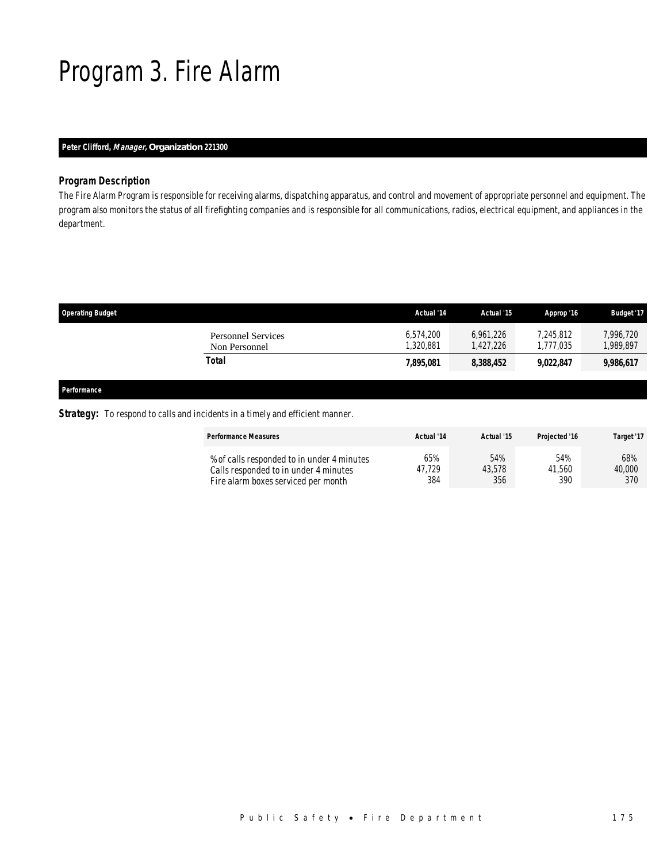## Program 3. Fire Alarm

## *Peter Clifford, Manager, Organization 221300*

## *Program Description*

The Fire Alarm Program is responsible for receiving alarms, dispatching apparatus, and control and movement of appropriate personnel and equipment. The program also monitors the status of all firefighting companies and is responsible for all communications, radios, electrical equipment, and appliances in the department.

| <b>Operating Budget</b>                    | Actual '14            | Actual '15            | Approp '16             | <b>Budget '17</b>      |
|--------------------------------------------|-----------------------|-----------------------|------------------------|------------------------|
| <b>Personnel Services</b><br>Non Personnel | 6,574,200<br>,320,881 | 6.961.226<br>.427.226 | 7.245.812<br>1.777.035 | 7,996,720<br>1,989,897 |
| Total                                      | 7,895,081             | 8,388,452             | 9,022,847              | 9,986,617              |
|                                            |                       |                       |                        |                        |

*Performance* 

**Strategy:** To respond to calls and incidents in a timely and efficient manner.

| <b>Performance Measures</b>                | Actual '14 | Actual '15 | Proiected '16 | Target '17 |
|--------------------------------------------|------------|------------|---------------|------------|
| % of calls responded to in under 4 minutes | 65%        | 54%        | 54%           | 68%        |
| Calls responded to in under 4 minutes      | 47.729     | 43.578     | 41.560        | 40,000     |
| Fire alarm boxes serviced per month        | 384        | 356        | 390           | 370        |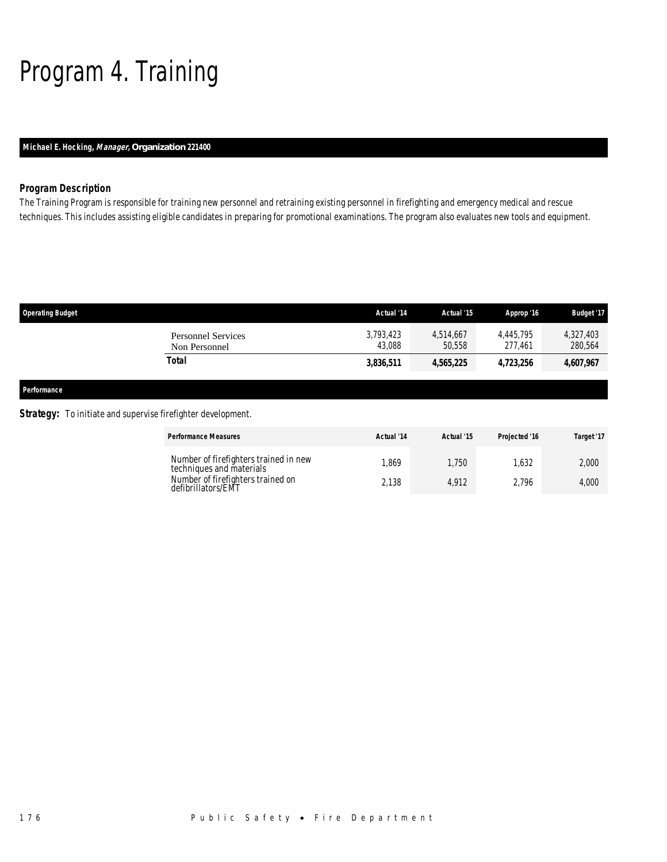## Program 4. Training

## *Michael E. Hocking, Manager, Organization 221400*

## *Program Description*

The Training Program is responsible for training new personnel and retraining existing personnel in firefighting and emergency medical and rescue techniques. This includes assisting eligible candidates in preparing for promotional examinations. The program also evaluates new tools and equipment.

| <b>Operating Budget</b> |                                            | Actual '14          | Actual '15          | Approp '16           | <b>Budget '17</b>    |
|-------------------------|--------------------------------------------|---------------------|---------------------|----------------------|----------------------|
|                         | <b>Personnel Services</b><br>Non Personnel | 3,793,423<br>43.088 | 4,514,667<br>50.558 | 4.445.795<br>277.461 | 4,327,403<br>280,564 |
|                         | <b>Total</b>                               | 3,836,511           | 4,565,225           | 4,723,256            | 4,607,967            |
| Performance             |                                            |                     |                     |                      |                      |

### **Strategy:** To initiate and supervise firefighter development.

| <b>Performance Measures</b>                                       | Actual '14 | Actual '15 | Projected '16 | Target '17 |
|-------------------------------------------------------------------|------------|------------|---------------|------------|
| Number of firefighters trained in new<br>techniques and materials | .869       | .750       | .632          | 2.000      |
| Number of firefighters trained on<br>defibrillators/EMT           | 2.138      | 4.912      | 2.796         | 4,000      |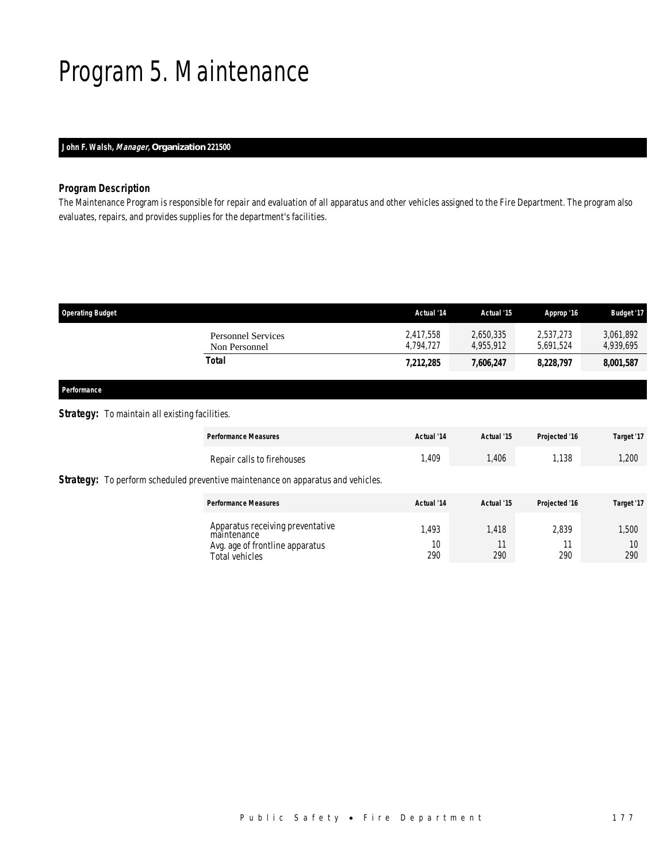## Program 5. Maintenance

## *John F. Walsh, Manager, Organization 221500*

## *Program Description*

The Maintenance Program is responsible for repair and evaluation of all apparatus and other vehicles assigned to the Fire Department. The program also evaluates, repairs, and provides supplies for the department's facilities.

| <b>Operating Budget</b>             | Actual '14             | Actual '15             | Approp '16             | <b>Budget '17</b>      |
|-------------------------------------|------------------------|------------------------|------------------------|------------------------|
| Personnel Services<br>Non Personnel | 2.417.558<br>4.794.727 | 2.650.335<br>4.955.912 | 2,537,273<br>5.691.524 | 3,061,892<br>4,939,695 |
| Total                               | 7,212,285              | 7,606,247              | 8,228,797              | 8,001,587              |

## *Performance*

## **Strategy:** To maintain all existing facilities.

| <b>Performance Measures</b>                                                                          | Actual '14        | Actual '15         | Projected '16 | Target '17         |
|------------------------------------------------------------------------------------------------------|-------------------|--------------------|---------------|--------------------|
| Repair calls to firehouses                                                                           | l,409             | 1,406              | 1,138         | 1,200              |
| <b>Strategy:</b> To perform scheduled preventive maintenance on apparatus and vehicles.              |                   |                    |               |                    |
| <b>Performance Measures</b>                                                                          | Actual '14        | Actual '15         | Projected '16 | Target '17         |
| Apparatus receiving preventative<br>maintenance<br>Avg. age of frontline apparatus<br>Total vehicles | .493<br>10<br>290 | 1,418<br>11<br>290 | 2.839<br>290  | 1,500<br>10<br>290 |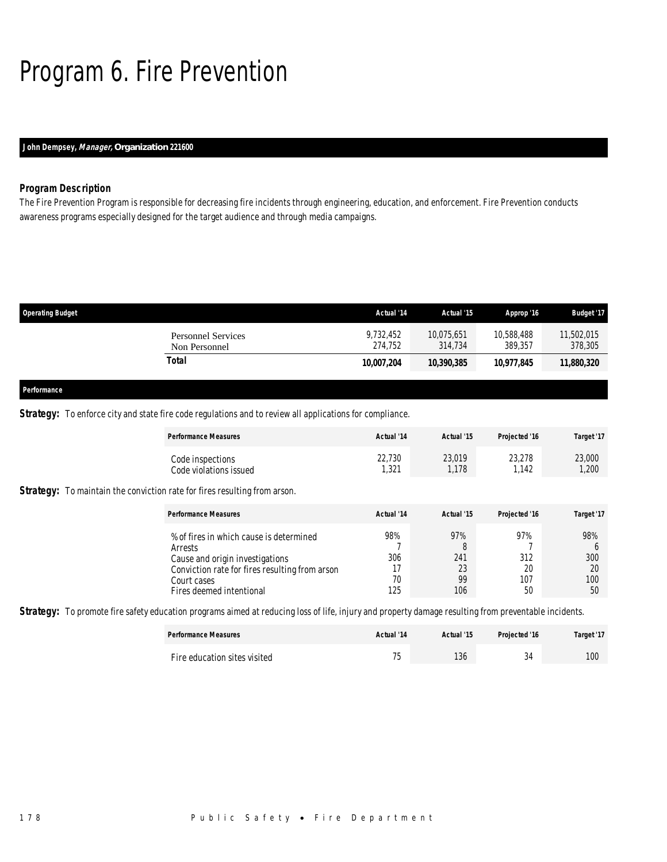## Program 6. Fire Prevention

## *John Dempsey, Manager, Organization 221600*

### *Program Description*

The Fire Prevention Program is responsible for decreasing fire incidents through engineering, education, and enforcement. Fire Prevention conducts awareness programs especially designed for the target audience and through media campaigns.

| <b>Operating Budget</b> |                           | Actual '14           | Actual '15            | Approp '16            | <b>Budget '17</b>     |
|-------------------------|---------------------------|----------------------|-----------------------|-----------------------|-----------------------|
| Non Personnel           | <b>Personnel Services</b> | 9,732,452<br>274.752 | 10,075,651<br>314,734 | 10,588,488<br>389.357 | 11,502,015<br>378,305 |
| <b>Total</b>            |                           | 10,007,204           | 10,390,385            | 10.977.845            | 11,880,320            |
|                         |                           |                      |                       |                       |                       |
| Performance             |                           |                      |                       |                       |                       |

### **Strategy:** To enforce city and state fire code regulations and to review all applications for compliance.

|                                                                                  | <b>Performance Measures</b>                                                                                                                                                        | Actual '14                    | Actual '15                         | Projected '16                 | Target '17                                    |
|----------------------------------------------------------------------------------|------------------------------------------------------------------------------------------------------------------------------------------------------------------------------------|-------------------------------|------------------------------------|-------------------------------|-----------------------------------------------|
|                                                                                  | Code inspections<br>Code violations issued                                                                                                                                         | 22.730<br>1,321               | 23,019<br>1,178                    | 23.278<br>1,142               | 23,000<br>1,200                               |
| <b>Strategy:</b> To maintain the conviction rate for fires resulting from arson. |                                                                                                                                                                                    |                               |                                    |                               |                                               |
|                                                                                  | <b>Performance Measures</b>                                                                                                                                                        | Actual '14                    | Actual '15                         | Projected '16                 | Target '17                                    |
|                                                                                  | % of fires in which cause is determined<br>Arrests<br>Cause and origin investigations<br>Conviction rate for fires resulting from arson<br>Court cases<br>Fires deemed intentional | 98%<br>306<br>17<br>70<br>125 | 97%<br>8<br>241<br>23<br>99<br>106 | 97%<br>312<br>20<br>107<br>50 | 98%<br><sub>6</sub><br>300<br>20<br>100<br>50 |

**Strategy:** To promote fire safety education programs aimed at reducing loss of life, injury and property damage resulting from preventable incidents.

| <b>Performance Measures</b>  | Actual '14               | Actual '15 | Projected '16 | Target '17 |
|------------------------------|--------------------------|------------|---------------|------------|
| Fire education sites visited | $\overline{\phantom{a}}$ | 136        | $\sim$        | 100        |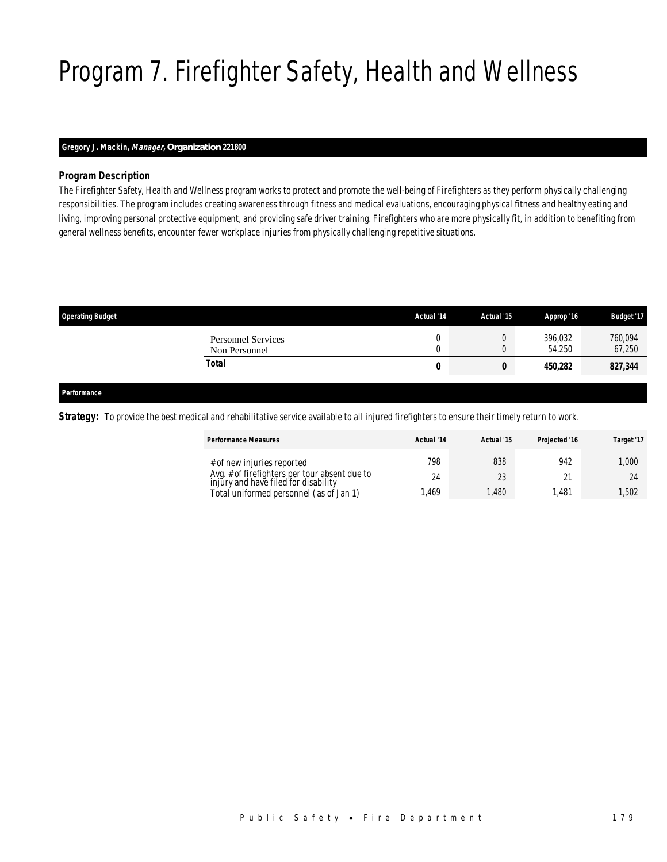# Program 7. Firefighter Safety, Health and Wellness

## *Gregory J. Mackin, Manager, Organization 221800*

## *Program Description*

The Firefighter Safety, Health and Wellness program works to protect and promote the well-being of Firefighters as they perform physically challenging responsibilities. The program includes creating awareness through fitness and medical evaluations, encouraging physical fitness and healthy eating and living, improving personal protective equipment, and providing safe driver training. Firefighters who are more physically fit, in addition to benefiting from general wellness benefits, encounter fewer workplace injuries from physically challenging repetitive situations.

| <b>Operating Budget</b>                    | Actual '14 | Actual '15 | Approp '16        | <b>Budget '17</b> |
|--------------------------------------------|------------|------------|-------------------|-------------------|
| <b>Personnel Services</b><br>Non Personnel |            |            | 396,032<br>54,250 | 760,094<br>67,250 |
| Total                                      | О          | 0          | 450.282           | 827,344           |
|                                            |            |            |                   |                   |

### *Performance*

**Strategy:** To provide the best medical and rehabilitative service available to all injured firefighters to ensure their timely return to work.

| <b>Performance Measures</b>                                                           | Actual '14 | Actual '15 | Projected '16 | Target '17 |
|---------------------------------------------------------------------------------------|------------|------------|---------------|------------|
| # of new injuries reported                                                            | 798        | 838        | 942           | 1.000      |
| Avg. # of firefighters per tour absent due to<br>injury and have filed for disability | 24         | 23         |               | 24         |
| Total uniformed personnel (as of Jan 1)                                               | .469       | .480       | 1.481         | .502       |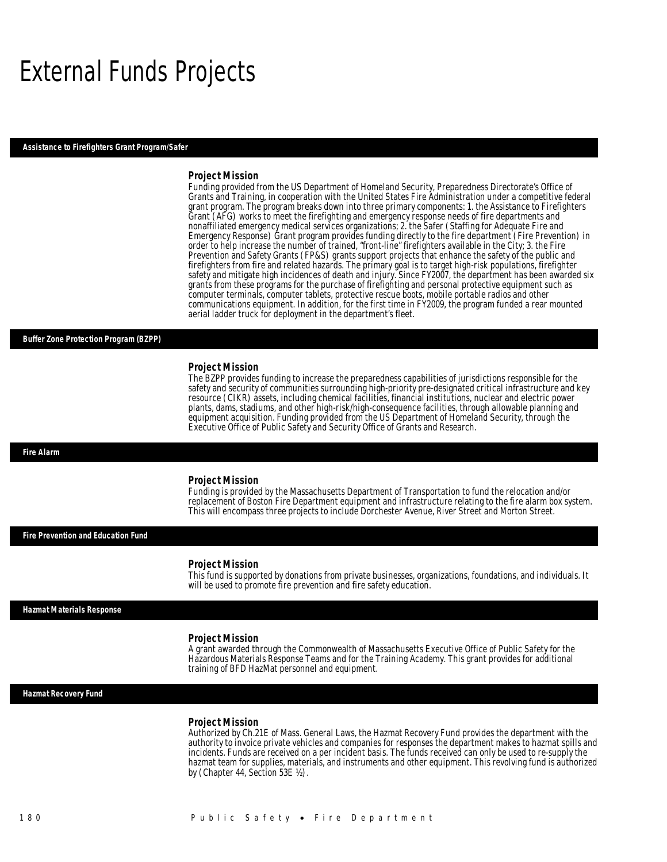## External Funds Projects

#### *Assistance to Firefighters Grant Program/Safer*

#### *Project Mission*

Funding provided from the US Department of Homeland Security, Preparedness Directorate's Office of Grants and Training, in cooperation with the United States Fire Administration under a competitive federal grant program. The program breaks down into three primary components: 1. the Assistance to Firefighters Grant (AFG) works to meet the firefighting and emergency response needs of fire departments and nonaffiliated emergency medical services organizations; 2. the Safer (Staffing for Adequate Fire and Emergency Response) Grant program provides funding directly to the fire department (Fire Prevention) in order to help increase the number of trained, "front-line" firefighters available in the City; 3. the Fire Prevention and Safety Grants (FP&S) grants support projects that enhance the safety of the public and firefighters from fire and related hazards. The primary goal is to target high-risk populations, firefighter safety and mitigate high incidences of death and injury. Since FY2007, the department has been awarded six grants from these programs for the purchase of firefighting and personal protective equipment such as computer terminals, computer tablets, protective rescue boots, mobile portable radios and other communications equipment. In addition, for the first time in FY2009, the program funded a rear mounted aerial ladder truck for deployment in the department's fleet.

#### *Buffer Zone Protection Program (BZPP)*

#### *Project Mission*

The BZPP provides funding to increase the preparedness capabilities of jurisdictions responsible for the safety and security of communities surrounding high-priority pre-designated critical infrastructure and key resource (CIKR) assets, including chemical facilities, financial institutions, nuclear and electric power plants, dams, stadiums, and other high-risk/high-consequence facilities, through allowable planning and equipment acquisition. Funding provided from the US Department of Homeland Security, through the Executive Office of Public Safety and Security Office of Grants and Research.

#### *Fire Alarm*

#### *Project Mission*

Funding is provided by the Massachusetts Department of Transportation to fund the relocation and/or replacement of Boston Fire Department equipment and infrastructure relating to the fire alarm box system. This will encompass three projects to include Dorchester Avenue, River Street and Morton Street.

*Fire Prevention and Education Fund* 

#### *Project Mission*

This fund is supported by donations from private businesses, organizations, foundations, and individuals. It will be used to promote fire prevention and fire safety education.

#### *Hazmat Materials Response*

#### *Project Mission*

A grant awarded through the Commonwealth of Massachusetts Executive Office of Public Safety for the Hazardous Materials Response Teams and for the Training Academy. This grant provides for additional training of BFD HazMat personnel and equipment.

### *Hazmat Recovery Fund*

#### *Project Mission*

Authorized by Ch.21E of Mass. General Laws, the Hazmat Recovery Fund provides the department with the authority to invoice private vehicles and companies for responses the department makes to hazmat spills and incidents. Funds are received on a per incident basis. The funds received can only be used to re-supply the hazmat team for supplies, materials, and instruments and other equipment. This revolving fund is authorized by (Chapter 44, Section 53E ½).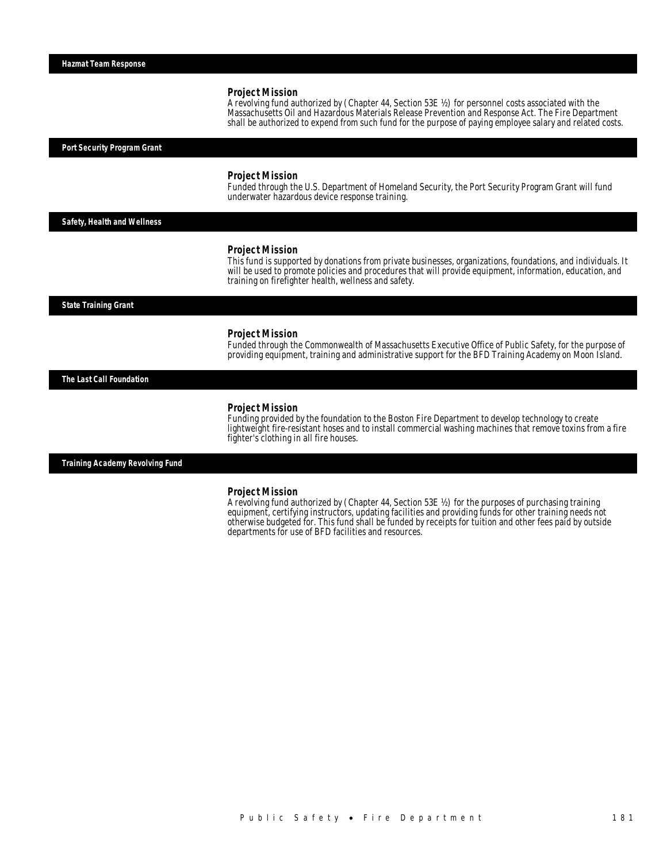A revolving fund authorized by (Chapter 44, Section 53E ½) for personnel costs associated with the Massachusetts Oil and Hazardous Materials Release Prevention and Response Act. The Fire Department shall be authorized to expend from such fund for the purpose of paying employee salary and related costs.

*Port Security Program Grant* 

#### *Project Mission*

Funded through the U.S. Department of Homeland Security, the Port Security Program Grant will fund underwater hazardous device response training.

*Safety, Health and Wellness* 

#### *Project Mission*

This fund is supported by donations from private businesses, organizations, foundations, and individuals. It will be used to promote policies and procedures that will provide equipment, information, education, and training on firefighter health, wellness and safety.

*State Training Grant* 

#### *Project Mission*

Funded through the Commonwealth of Massachusetts Executive Office of Public Safety, for the purpose of providing equipment, training and administrative support for the BFD Training Academy on Moon Island.

*The Last Call Foundation* 

#### *Project Mission*

Funding provided by the foundation to the Boston Fire Department to develop technology to create lightweight fire-resistant hoses and to install commercial washing machines that remove toxins from a fire fighter's clothing in all fire houses.

*Training Academy Revolving Fund* 

#### *Project Mission*

A revolving fund authorized by (Chapter 44, Section 53E ½) for the purposes of purchasing training equipment, certifying instructors, updating facilities and providing funds for other training needs not otherwise budgeted for. This fund shall be funded by receipts for tuition and other fees paid by outside departments for use of BFD facilities and resources.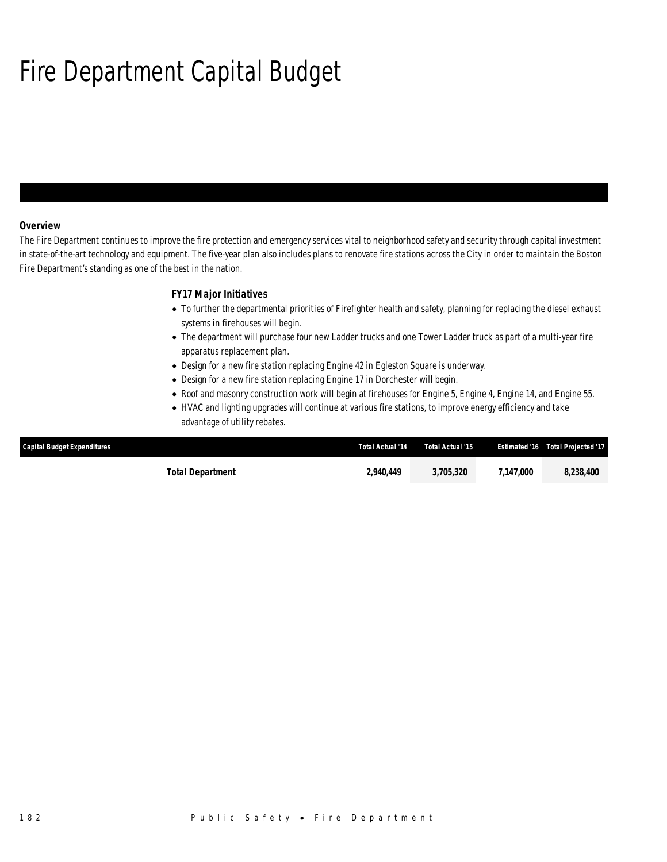# Fire Department Capital Budget

### *Overview*

The Fire Department continues to improve the fire protection and emergency services vital to neighborhood safety and security through capital investment in state-of-the-art technology and equipment. The five-year plan also includes plans to renovate fire stations across the City in order to maintain the Boston Fire Department's standing as one of the best in the nation.

## *FY17 Major Initiatives*

- To further the departmental priorities of Firefighter health and safety, planning for replacing the diesel exhaust systems in firehouses will begin.
- The department will purchase four new Ladder trucks and one Tower Ladder truck as part of a multi-year fire apparatus replacement plan.
- Design for a new fire station replacing Engine 42 in Egleston Square is underway.
- Design for a new fire station replacing Engine 17 in Dorchester will begin.
- Roof and masonry construction work will begin at firehouses for Engine 5, Engine 4, Engine 14, and Engine 55.
- HVAC and lighting upgrades will continue at various fire stations, to improve energy efficiency and take advantage of utility rebates.

| <b>Capital Budget Expenditures</b> | Total Actual '14 | Total Actual '15 |           | Estimated '16  Total Projected '17 |
|------------------------------------|------------------|------------------|-----------|------------------------------------|
| Total Department                   | 2,940,449        | 3.705.320        | 7,147,000 | 8,238,400                          |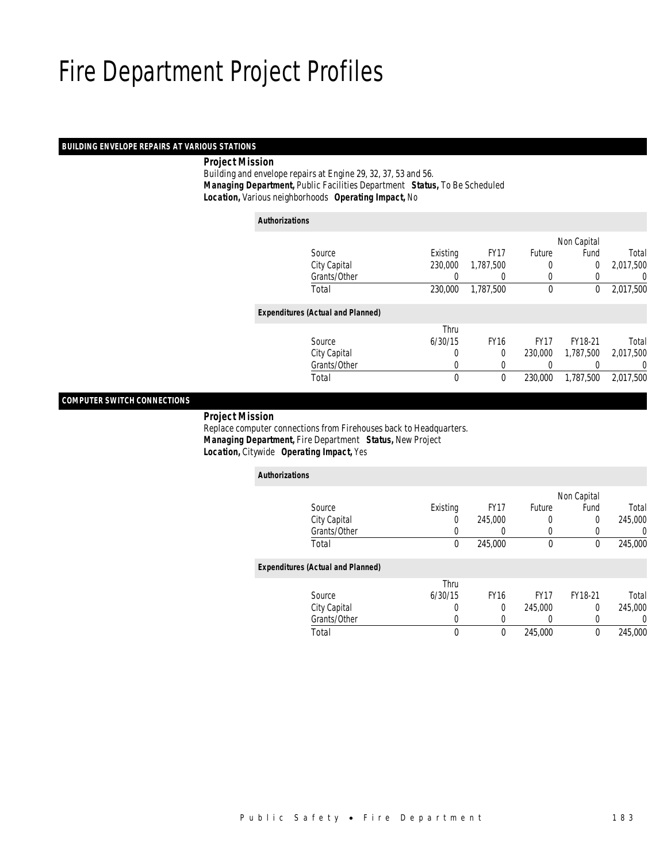### *BUILDING ENVELOPE REPAIRS AT VARIOUS STATIONS*

*Project Mission*

 Building and envelope repairs at Engine 29, 32, 37, 53 and 56. *Managing Department,* Public Facilities Department *Status,* To Be Scheduled*Location,* Various neighborhoods *Operating Impact,* No

| <b>Authorizations</b> |                                          |          |                  |             |             |                  |
|-----------------------|------------------------------------------|----------|------------------|-------------|-------------|------------------|
|                       |                                          |          |                  |             | Non Capital |                  |
|                       | Source                                   | Existing | <b>FY17</b>      | Future      | Fund        | Total            |
|                       | City Capital                             | 230,000  | 1,787,500        | $\left($    | 0           | 2,017,500        |
|                       | Grants/Other                             |          |                  | $\left($    |             | $\left( \right)$ |
|                       | Total                                    | 230,000  | 1.787.500        | $\mathbf 0$ | 0           | 2,017,500        |
|                       | <b>Expenditures (Actual and Planned)</b> |          |                  |             |             |                  |
|                       |                                          | Thru     |                  |             |             |                  |
|                       | Source                                   | 6/30/15  | <b>FY16</b>      | <b>FY17</b> | FY18-21     | Total            |
|                       | City Capital                             | 0        | $\Omega$         | 230,000     | 1,787,500   | 2,017,500        |
|                       | Grants/Other                             | 0        | $\left( \right)$ |             |             | 0                |
|                       | Total                                    | 0        | 0                | 230,000     | 1,787,500   | 2,017,500        |
|                       |                                          |          |                  |             |             |                  |

## *COMPUTER SWITCH CONNECTIONS*

*Project Mission*

 Replace computer connections from Firehouses back to Headquarters. *Managing Department,* Fire Department *Status,* New Project*Location,* Citywide *Operating Impact,* Yes

| <b>Authorizations</b>                    |                  |             |             |             |          |
|------------------------------------------|------------------|-------------|-------------|-------------|----------|
|                                          |                  |             |             | Non Capital |          |
| Source                                   | Existing         | <b>FY17</b> | Future      | Fund        | Total    |
| City Capital                             | $\left( \right)$ | 245,000     | 0           | 0           | 245,000  |
| Grants/Other                             | 0                |             | 0           | 0           | 0        |
| Total                                    | 0                | 245,000     | $\mathbf 0$ | 0           | 245,000  |
| <b>Expenditures (Actual and Planned)</b> |                  |             |             |             |          |
|                                          | Thru             |             |             |             |          |
| Source                                   | 6/30/15          | <b>FY16</b> | <b>FY17</b> | FY18-21     | Total    |
| City Capital                             | 0                | 0           | 245,000     | 0           | 245,000  |
| Grants/Other                             | $\left($         | 0           | 0           | 0           | $\left($ |
| Total                                    | $\mathbf 0$      | $\theta$    | 245,000     | 0           | 245,000  |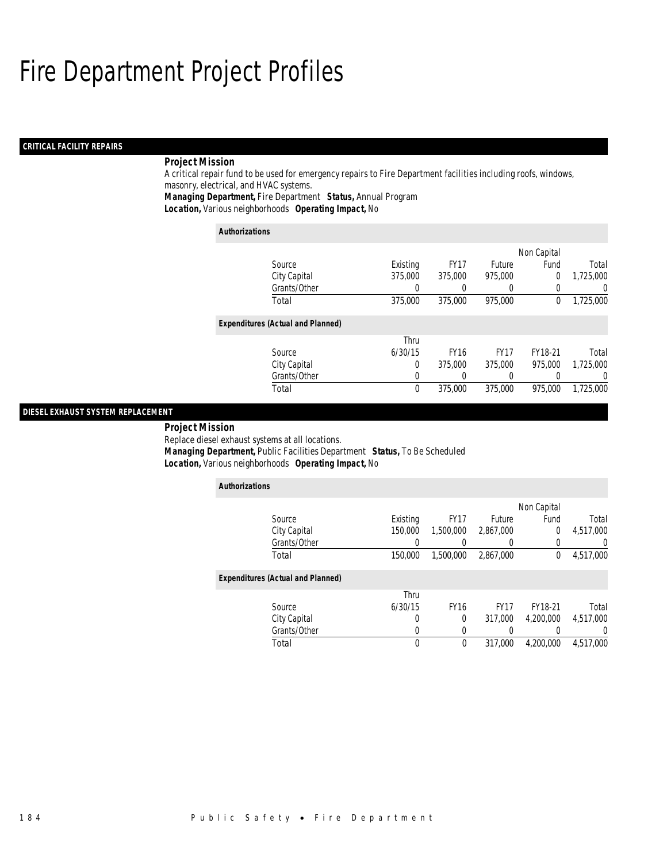### *CRITICAL FACILITY REPAIRS*

## *Project Mission*

A critical repair fund to be used for emergency repairs to Fire Department facilities including roofs, windows, masonry, electrical, and HVAC systems.

*Managing Department,* Fire Department *Status,* Annual Program

*Location,* Various neighborhoods *Operating Impact,* No

| <b>Authorizations</b>                    |             |             |             |             |                  |
|------------------------------------------|-------------|-------------|-------------|-------------|------------------|
|                                          |             |             |             | Non Capital |                  |
| Source                                   | Existing    | <b>FY17</b> | Future      | Fund        | Total            |
| City Capital                             | 375,000     | 375,000     | 975,000     | 0           | 1,725,000        |
| Grants/Other                             | O           |             |             | 0           | $\left( \right)$ |
| Total                                    | 375,000     | 375,000     | 975,000     | 0           | 1,725,000        |
| <b>Expenditures (Actual and Planned)</b> |             |             |             |             |                  |
|                                          | Thru        |             |             |             |                  |
| Source                                   | 6/30/15     | <b>FY16</b> | <b>FY17</b> | FY18-21     | Total            |
| City Capital                             | 0           | 375,000     | 375,000     | 975,000     | 1,725,000        |
| Grants/Other                             | 0           |             | 0           | 0           | 0                |
| Total                                    | $\mathbf 0$ | 375,000     | 375,000     | 975,000     | 1.725.000        |

## *DIESEL EXHAUST SYSTEM REPLACEMENT*

 *Project Mission* Replace diesel exhaust systems at all locations. *Managing Department,* Public Facilities Department *Status,* To Be Scheduled*Location,* Various neighborhoods *Operating Impact,* No

| <b>Authorizations</b>                    |          |             |             |              |           |
|------------------------------------------|----------|-------------|-------------|--------------|-----------|
|                                          |          |             |             | Non Capital  |           |
| Source                                   | Existing | <b>FY17</b> | Future      | Fund         | Total     |
| City Capital                             | 150,000  | 1,500,000   | 2,867,000   | 0            | 4,517,000 |
| Grants/Other                             |          |             |             | 0            | 0         |
| Total                                    | 150,000  | 1,500,000   | 2,867,000   | $\mathbf{0}$ | 4,517,000 |
| <b>Expenditures (Actual and Planned)</b> |          |             |             |              |           |
|                                          | Thru     |             |             |              |           |
| Source                                   | 6/30/15  | <b>FY16</b> | <b>FY17</b> | FY18-21      | Total     |
| City Capital                             | O        | 0           | 317,000     | 4.200.000    | 4,517,000 |
| Grants/Other                             | 0        | 0           |             |              | 0         |
| Total                                    | 0        | $\Omega$    | 317,000     | 4.200.000    | 4,517,000 |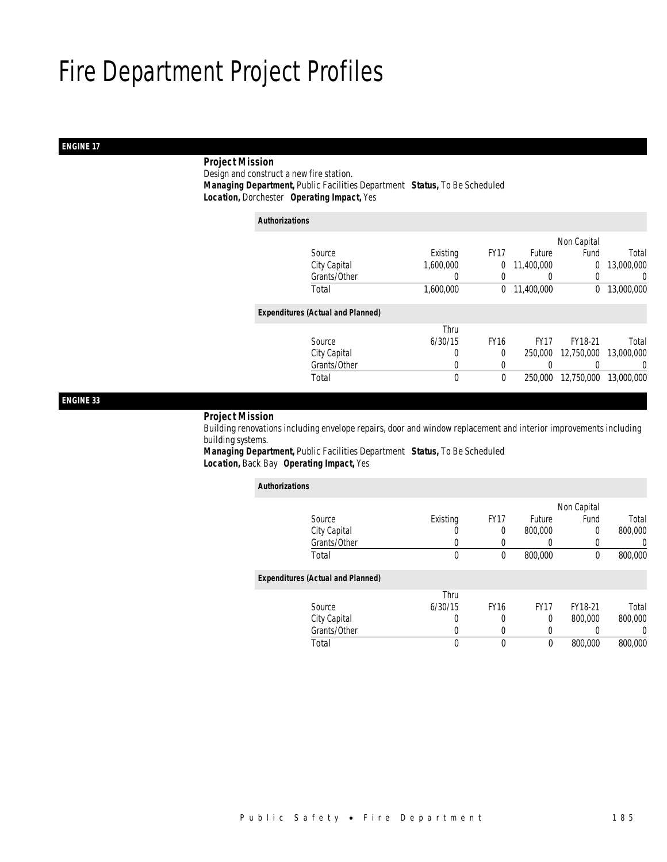## *ENGINE 17*

## *Project Mission*

 Design and construct a new fire station.*Managing Department,* Public Facilities Department *Status,* To Be Scheduled

*Location,* Dorchester *Operating Impact,* Yes

| <b>Authorizations</b>                    |              |                  |             |                  |             |            |
|------------------------------------------|--------------|------------------|-------------|------------------|-------------|------------|
|                                          |              |                  |             |                  | Non Capital |            |
| Source                                   |              | Existing         | <b>FY17</b> | <b>Future</b>    | Fund        | Total      |
| City Capital                             |              | 1,600,000        | 0           | 11,400,000       | 0           | 13,000,000 |
|                                          | Grants/Other | $\left( \right)$ | 0           | $\left( \right)$ | 0           | 0          |
| Total                                    |              | 1,600,000        | 0           | 11,400,000       | $\Omega$    | 13,000,000 |
| <b>Expenditures (Actual and Planned)</b> |              |                  |             |                  |             |            |
|                                          |              | Thru             |             |                  |             |            |
| Source                                   |              | 6/30/15          | <b>FY16</b> | <b>FY17</b>      | FY18-21     | Total      |
| City Capital                             |              | 0                | $\Omega$    | 250,000          | 12.750.000  | 13,000,000 |
|                                          | Grants/Other | 0                |             |                  |             | 0          |
| Total                                    |              | 0                | 0           | 250,000          | 12,750,000  | 13,000,000 |
|                                          |              |                  |             |                  |             |            |

### *ENGINE 33*

### *Project Mission*

 Building renovations including envelope repairs, door and window replacement and interior improvements including building systems.

*Managing Department,* Public Facilities Department *Status,* To Be Scheduled*Location,* Back Bay *Operating Impact,* Yes

| <b>Authorizations</b>                    |          |             |             |             |                  |
|------------------------------------------|----------|-------------|-------------|-------------|------------------|
|                                          |          |             |             | Non Capital |                  |
| Source                                   | Existing | <b>FY17</b> | Future      | Fund        | Total            |
| City Capital                             |          | 0           | 800,000     | 0           | 800,000          |
| Grants/Other                             | U        |             | 0           | 0           | 0                |
| Total                                    | $\theta$ | 0           | 800,000     | 0           | 800,000          |
| <b>Expenditures (Actual and Planned)</b> |          |             |             |             |                  |
|                                          | Thru     |             |             |             |                  |
| Source                                   | 6/30/15  | <b>FY16</b> | <b>FY17</b> | FY18-21     | Total            |
| City Capital                             | 0        | 0           | 0           | 800,000     | 800,000          |
| Grants/Other                             | 0        | 0           | 0           |             | $\left( \right)$ |
| Total                                    | 0        | 0           | 0           | 800,000     | 800,000          |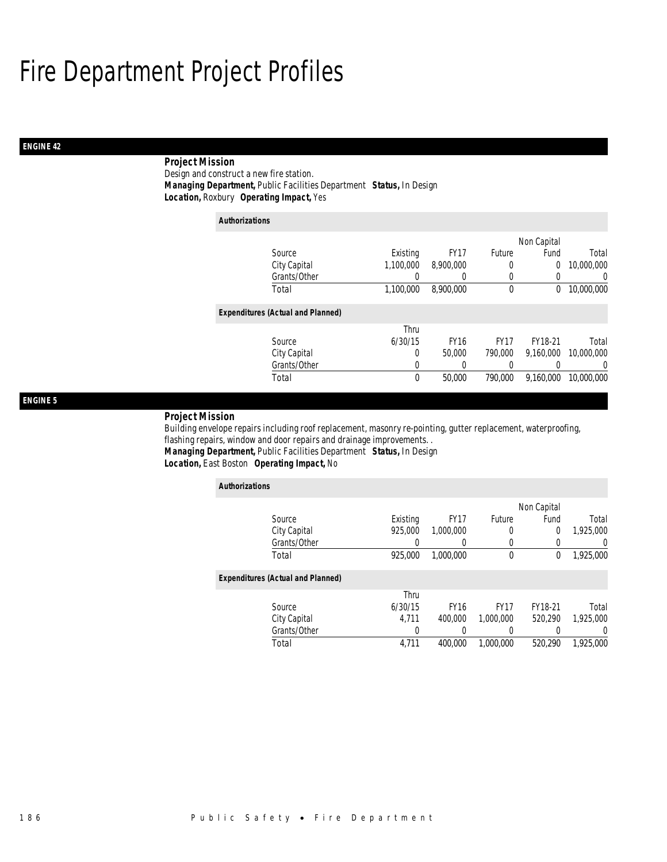## *ENGINE 42*

## *Project Mission*

Design and construct a new fire station. *Managing Department,* Public Facilities Department *Status,* In Design*Location,* Roxbury *Operating Impact,* Yes

| <b>Authorizations</b>                    |           |             |             |             |            |
|------------------------------------------|-----------|-------------|-------------|-------------|------------|
|                                          |           |             |             | Non Capital |            |
| Source                                   | Existing  | <b>FY17</b> | Future      | Fund        | Total      |
| City Capital                             | 1,100,000 | 8,900,000   | 0           | $\mathbf 0$ | 10,000,000 |
| Grants/Other                             | 0         | 0           | 0           | 0           | 0          |
| Total                                    | 1,100,000 | 8,900,000   | $\mathbf 0$ | 0           | 10,000,000 |
| <b>Expenditures (Actual and Planned)</b> |           |             |             |             |            |
|                                          | Thru      |             |             |             |            |
| Source                                   | 6/30/15   | <b>FY16</b> | <b>FY17</b> | FY18-21     | Total      |
| City Capital                             | $\Omega$  | 50,000      | 790,000     | 9.160.000   | 10,000,000 |
| Grants/Other                             | 0         | 0           |             |             | $\Omega$   |
| Total                                    | 0         | 50,000      | 790,000     | 9,160,000   | 10,000,000 |

### *ENGINE 5*

#### *Project Mission*

Building envelope repairs including roof replacement, masonry re-pointing, gutter replacement, waterproofing, flashing repairs, window and door repairs and drainage improvements. . *Managing Department,* Public Facilities Department *Status,* In Design

### *Location,* East Boston *Operating Impact,* No

| <b>Authorizations</b>                    |          |             |             |             |                |
|------------------------------------------|----------|-------------|-------------|-------------|----------------|
|                                          |          |             |             | Non Capital |                |
| Source                                   | Existing | <b>FY17</b> | Future      | Fund        | Total          |
| City Capital                             | 925,000  | 1,000,000   | 0           | $\Omega$    | 1,925,000      |
| Grants/Other                             | 0        |             | 0           | 0           | $\overline{0}$ |
| Total                                    | 925,000  | 1.000.000   | $\mathbf 0$ | $\mathbf 0$ | 1,925,000      |
| <b>Expenditures (Actual and Planned)</b> |          |             |             |             |                |
|                                          | Thru     |             |             |             |                |
| Source                                   | 6/30/15  | <b>FY16</b> | <b>FY17</b> | FY18-21     | Total          |
| City Capital                             | 4.711    | 400,000     | 1.000.000   | 520.290     | 1.925.000      |
| Grants/Other                             | 0        |             | 0           |             |                |
| Total                                    | 4,711    | 400,000     | 1.000.000   | 520.290     | 1.925.000      |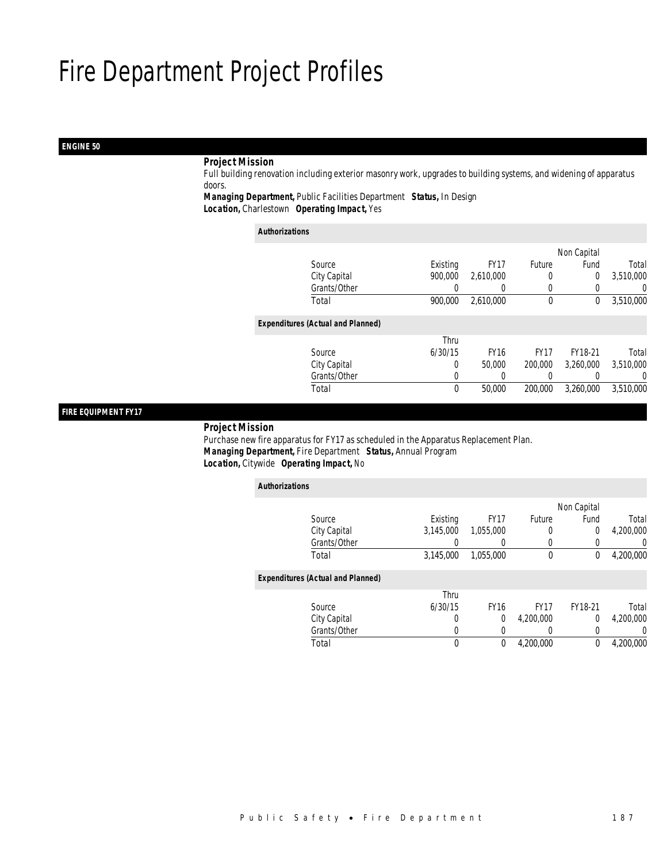## *ENGINE 50*

## *Project Mission*

 Full building renovation including exterior masonry work, upgrades to building systems, and widening of apparatus doors.

*Managing Department,* Public Facilities Department *Status,* In Design

*Location,* Charlestown *Operating Impact,* Yes

| <b>Authorizations</b> |                                          |          |             |             |             |           |
|-----------------------|------------------------------------------|----------|-------------|-------------|-------------|-----------|
|                       |                                          |          |             |             | Non Capital |           |
|                       | Source                                   | Existing | <b>FY17</b> | Future      | Fund        | Total     |
|                       | City Capital                             | 900,000  | 2,610,000   | 0           | $\mathbf 0$ | 3,510,000 |
|                       | Grants/Other                             | 0        | 0           | 0           | 0           | 0         |
|                       | Total                                    | 900.000  | 2,610,000   | $\mathbf 0$ | 0           | 3,510,000 |
|                       | <b>Expenditures (Actual and Planned)</b> |          |             |             |             |           |
|                       |                                          | Thru     |             |             |             |           |
|                       | Source                                   | 6/30/15  | <b>FY16</b> | <b>FY17</b> | FY18-21     | Total     |
|                       | City Capital                             | 0        | 50,000      | 200,000     | 3.260.000   | 3,510,000 |
|                       | Grants/Other                             | 0        |             | 0           |             | 0         |
|                       | Total                                    | $\theta$ | 50,000      | 200,000     | 3.260.000   | 3,510,000 |

## *FIRE EQUIPMENT FY17*

*Project Mission*

 Purchase new fire apparatus for FY17 as scheduled in the Apparatus Replacement Plan. *Managing Department,* Fire Department *Status,* Annual Program*Location,* Citywide *Operating Impact,* No

| <b>Authorizations</b> |                                          |           |             |                  |             |           |
|-----------------------|------------------------------------------|-----------|-------------|------------------|-------------|-----------|
|                       |                                          |           |             |                  | Non Capital |           |
|                       | Source                                   | Existing  | <b>FY17</b> | Future           | Fund        | Total     |
|                       | City Capital                             | 3,145,000 | 1,055,000   | 0                | 0           | 4,200,000 |
|                       | Grants/Other                             |           |             | $\left($         |             | 0         |
|                       | Total                                    | 3,145,000 | 1,055,000   | $\mathbf 0$      | 0           | 4,200,000 |
|                       | <b>Expenditures (Actual and Planned)</b> |           |             |                  |             |           |
|                       |                                          | Thru      |             |                  |             |           |
|                       | Source                                   | 6/30/15   | <b>FY16</b> | <b>FY17</b>      | FY18-21     | Total     |
|                       | City Capital                             | 0         | 0           | 4,200,000        | $\mathbf 0$ | 4,200,000 |
|                       | Grants/Other                             | 0         |             | $\left( \right)$ |             | 0         |
|                       | Total                                    | 0         | $\theta$    | 4.200.000        | 0           | 4,200,000 |
|                       |                                          |           |             |                  |             |           |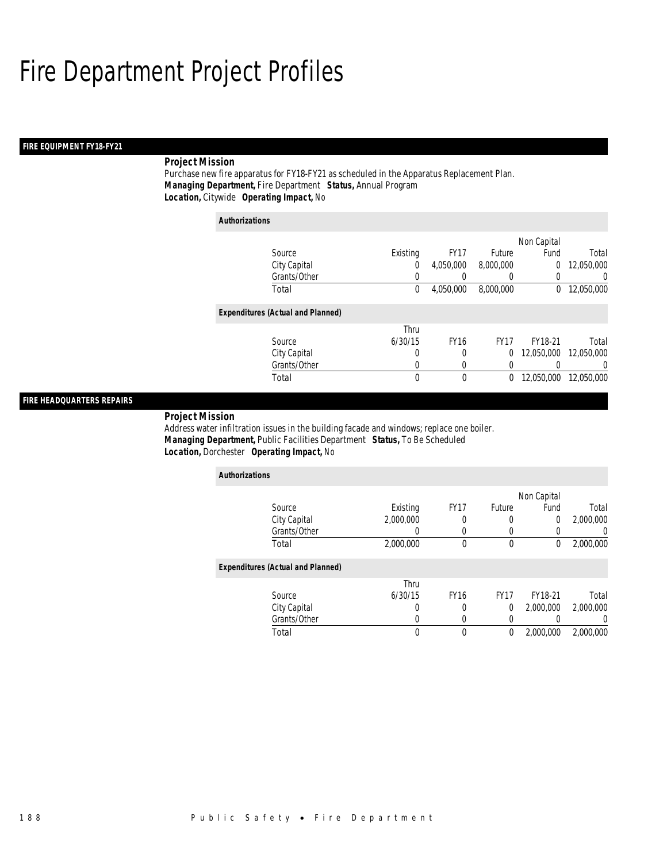### *FIRE EQUIPMENT FY18-FY21*

## *Project Mission*

Purchase new fire apparatus for FY18-FY21 as scheduled in the Apparatus Replacement Plan. *Managing Department,* Fire Department *Status,* Annual Program*Location,* Citywide *Operating Impact,* No

## *Authorizations*

|                                          |          |             |             | Non Capital |            |
|------------------------------------------|----------|-------------|-------------|-------------|------------|
| Source                                   | Existing | <b>FY17</b> | Future      | Fund        | Total      |
| City Capital                             | 0        | 4,050,000   | 8,000,000   | 0           | 12,050,000 |
| Grants/Other                             | 0        | 0           | 0           | 0           | 0          |
| Total                                    | 0        | 4,050,000   | 8,000,000   | $^{0}$      | 12,050,000 |
|                                          |          |             |             |             |            |
| <b>Expenditures (Actual and Planned)</b> |          |             |             |             |            |
|                                          | Thru     |             |             |             |            |
| Source                                   | 6/30/15  | <b>FY16</b> | <b>FY17</b> | FY18-21     | Total      |
| City Capital                             | 0        | 0           | 0           | 12.050.000  | 12.050.000 |
| Grants/Other                             | 0        | 0           | 0           |             | $\Omega$   |
| Total                                    | 0        | 0           | 0           | 12,050,000  | 12.050.000 |
|                                          |          |             |             |             |            |

## *FIRE HEADQUARTERS REPAIRS*

*Project Mission* 

Address water infiltration issues in the building facade and windows; replace one boiler. *Managing Department,* Public Facilities Department *Status,* To Be Scheduled*Location,* Dorchester *Operating Impact,* No

| <b>Authorizations</b>                    |           |             |             |             |           |  |  |
|------------------------------------------|-----------|-------------|-------------|-------------|-----------|--|--|
|                                          |           |             |             | Non Capital |           |  |  |
| Source                                   | Existing  | <b>FY17</b> | Future      | Fund        | Total     |  |  |
| City Capital                             | 2,000,000 | 0           | 0           | 0           | 2,000,000 |  |  |
| Grants/Other                             |           |             | 0           | 0           |           |  |  |
| Total                                    | 2,000,000 | 0           | 0           | 0           | 2,000,000 |  |  |
| <b>Expenditures (Actual and Planned)</b> |           |             |             |             |           |  |  |
|                                          | Thru      |             |             |             |           |  |  |
| Source                                   | 6/30/15   | <b>FY16</b> | <b>FY17</b> | FY18-21     | Total     |  |  |
| City Capital                             |           | 0           | 0           | 2.000.000   | 2,000,000 |  |  |
| Grants/Other                             |           | 0           | 0           | 0           |           |  |  |
| Total                                    | 0         | 0           | $\theta$    | 2,000,000   | 2.000.000 |  |  |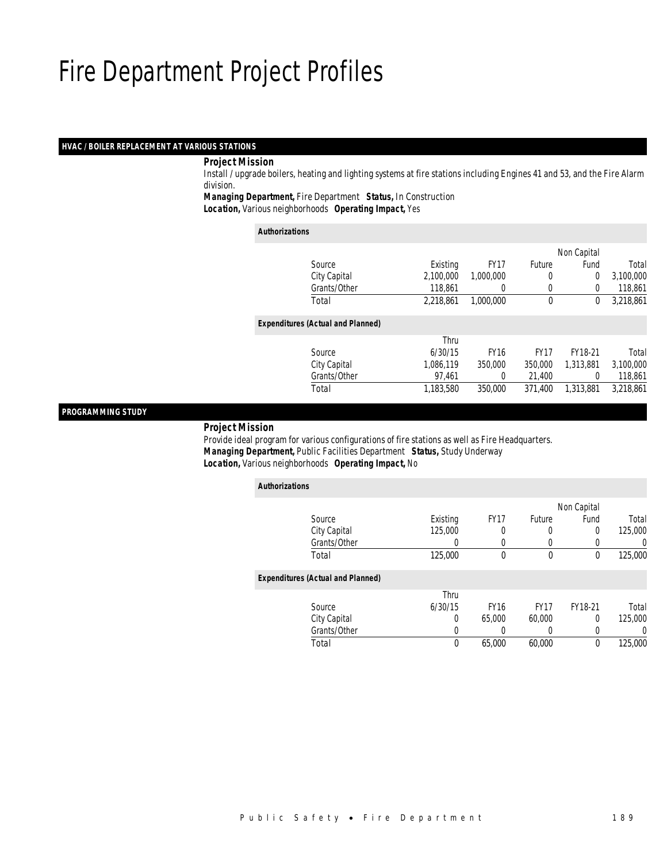### *HVAC / BOILER REPLACEMENT AT VARIOUS STATIONS*

### *Project Mission*

 Install / upgrade boilers, heating and lighting systems at fire stations including Engines 41 and 53, and the Fire Alarm division.

*Managing Department,* Fire Department *Status,* In Construction

*Location,* Various neighborhoods *Operating Impact,* Yes

| <b>Authorizations</b>                    |           |             |             |             |           |  |  |
|------------------------------------------|-----------|-------------|-------------|-------------|-----------|--|--|
|                                          |           |             |             | Non Capital |           |  |  |
| Source                                   | Existing  | <b>FY17</b> | Future      | Fund        | Total     |  |  |
| City Capital                             | 2.100.000 | 1,000,000   | 0           | $\mathbf 0$ | 3,100,000 |  |  |
| Grants/Other                             | 118,861   | 0           | 0           | $\Omega$    | 118,861   |  |  |
| Total                                    | 2.218.861 | 1.000.000   | $\mathbf 0$ | 0           | 3,218,861 |  |  |
| <b>Expenditures (Actual and Planned)</b> |           |             |             |             |           |  |  |
|                                          | Thru      |             |             |             |           |  |  |
| Source                                   | 6/30/15   | <b>FY16</b> | <b>FY17</b> | FY18-21     | Total     |  |  |
| City Capital                             | 1,086,119 | 350,000     | 350,000     | 1,313,881   | 3,100,000 |  |  |
| Grants/Other                             | 97,461    | 0           | 21,400      | 0           | 118,861   |  |  |
| Total                                    | 1,183,580 | 350,000     | 371.400     | 1,313,881   | 3,218,861 |  |  |
|                                          |           |             |             |             |           |  |  |

### *PROGRAMMING STUDY*

*Project Mission*

 Provide ideal program for various configurations of fire stations as well as Fire Headquarters. *Managing Department,* Public Facilities Department *Status,* Study Underway*Location,* Various neighborhoods *Operating Impact,* No

| <b>Authorizations</b>                    |          |             |             |             |          |  |  |  |
|------------------------------------------|----------|-------------|-------------|-------------|----------|--|--|--|
|                                          |          |             |             | Non Capital |          |  |  |  |
| Source                                   | Existing | <b>FY17</b> | Future      | Fund        | Total    |  |  |  |
| City Capital                             | 125,000  | 0           | 0           | 0           | 125,000  |  |  |  |
| Grants/Other                             | 0        | $\left($    | 0           | 0           | $\left($ |  |  |  |
| Total                                    | 125,000  | 0           | 0           | 0           | 125,000  |  |  |  |
| <b>Expenditures (Actual and Planned)</b> |          |             |             |             |          |  |  |  |
|                                          | Thru     |             |             |             |          |  |  |  |
| Source                                   | 6/30/15  | <b>FY16</b> | <b>FY17</b> | FY18-21     | Total    |  |  |  |
| City Capital                             | 0        | 65,000      | 60,000      | 0           | 125,000  |  |  |  |
| Grants/Other                             | 0        |             | 0           | 0           | 0        |  |  |  |
| Total                                    | 0        | 65,000      | 60,000      | 0           | 125,000  |  |  |  |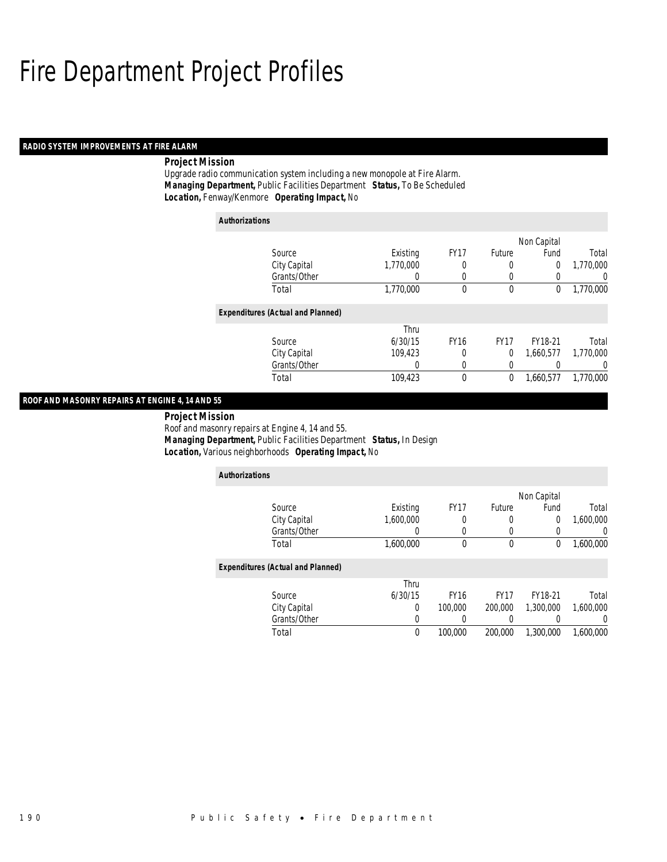### *RADIO SYSTEM IMPROVEMENTS AT FIRE ALARM*

### *Project Mission*

Upgrade radio communication system including a new monopole at Fire Alarm. *Managing Department,* Public Facilities Department *Status,* To Be Scheduled*Location,* Fenway/Kenmore *Operating Impact,* No

| <b>Authorizations</b>                    |           |             |               |             |           |  |  |
|------------------------------------------|-----------|-------------|---------------|-------------|-----------|--|--|
|                                          |           |             |               | Non Capital |           |  |  |
| Source                                   | Existing  | <b>FY17</b> | <b>Future</b> | Fund        | Total     |  |  |
| City Capital                             | 1,770,000 | 0           | 0             | 0           | 1,770,000 |  |  |
| Grants/Other                             | 0         | 0           | 0             | 0           | 0         |  |  |
| Total                                    | 1,770,000 | 0           | 0             | 0           | 1,770,000 |  |  |
| <b>Expenditures (Actual and Planned)</b> |           |             |               |             |           |  |  |
|                                          | Thru      |             |               |             |           |  |  |
| Source                                   | 6/30/15   | <b>FY16</b> | <b>FY17</b>   | FY18-21     | Total     |  |  |
| City Capital                             | 109,423   | 0           | 0             | 1,660,577   | 1.770.000 |  |  |
| Grants/Other                             | 0         | 0           | 0             |             | 0         |  |  |
| Total                                    | 109,423   | 0           | 0             | 1.660.577   | 1,770,000 |  |  |

## *ROOF AND MASONRY REPAIRS AT ENGINE 4, 14 AND 55*

 *Project Mission* Roof and masonry repairs at Engine 4, 14 and 55. *Managing Department,* Public Facilities Department *Status,* In Design*Location,* Various neighborhoods *Operating Impact,* No

| <b>Authorizations</b>                    |           |             |             |             |                  |  |  |  |
|------------------------------------------|-----------|-------------|-------------|-------------|------------------|--|--|--|
|                                          |           |             |             | Non Capital |                  |  |  |  |
| Source                                   | Existing  | <b>FY17</b> | Future      | Fund        | Total            |  |  |  |
| City Capital                             | 1.600.000 |             | 0           | 0           | 1,600,000        |  |  |  |
| Grants/Other                             | 0         | $\Omega$    | 0           | 0           | $\left( \right)$ |  |  |  |
| Total                                    | 1,600,000 | $\theta$    | 0           | 0           | 1,600,000        |  |  |  |
| <b>Expenditures (Actual and Planned)</b> |           |             |             |             |                  |  |  |  |
|                                          | Thru      |             |             |             |                  |  |  |  |
| Source                                   | 6/30/15   | <b>FY16</b> | <b>FY17</b> | FY18-21     | Total            |  |  |  |
| City Capital                             | 0         | 100,000     | 200,000     | 1,300,000   | 1.600.000        |  |  |  |
| Grants/Other                             | 0         |             |             | 0           | $\left( \right)$ |  |  |  |
| Total                                    | 0         | 100,000     | 200,000     | 1,300,000   | 1,600,000        |  |  |  |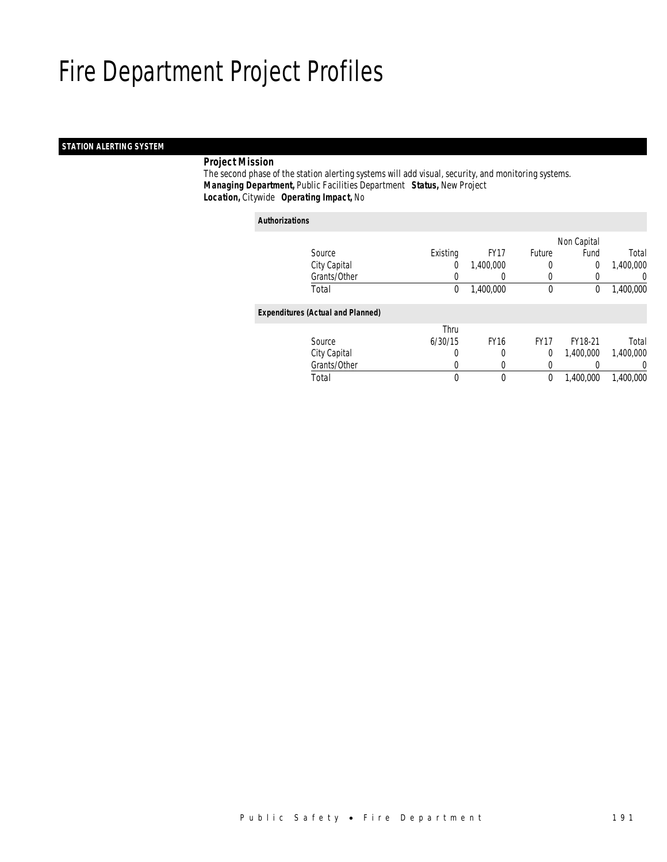## *STATION ALERTING SYSTEM*

## *Project Mission*

 The second phase of the station alerting systems will add visual, security, and monitoring systems. *Managing Department,* Public Facilities Department *Status,* New Project*Location,* Citywide *Operating Impact,* No

*Authorizations*

|                                          |          |             |             | Non Capital |           |
|------------------------------------------|----------|-------------|-------------|-------------|-----------|
| Source                                   | Existing | <b>FY17</b> | Future      | Fund        | Total     |
| City Capital                             | 0        | 1,400,000   | 0           | $\mathbf 0$ | 1,400,000 |
| Grants/Other                             |          |             | 0           |             | 0         |
| Total                                    | 0        | 1,400,000   | $\mathbf 0$ | 0           | 1,400,000 |
| <b>Expenditures (Actual and Planned)</b> |          |             |             |             |           |
|                                          | Thru     |             |             |             |           |
| Source                                   | 6/30/15  | <b>FY16</b> | <b>FY17</b> | FY18-21     | Total     |
| City Capital                             | 0        | 0           | $\Omega$    | 1.400.000   | 1,400,000 |
| Grants/Other                             |          |             |             |             | 0         |
| Total                                    | 0        | $\theta$    | 0           | 1,400,000   | 1,400,000 |
|                                          |          |             |             |             |           |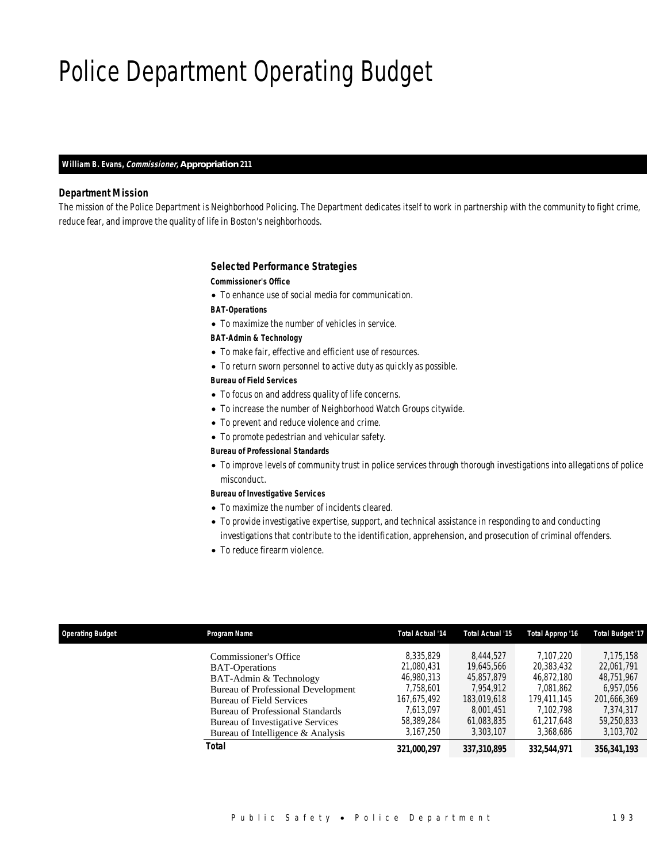## Police Department Operating Budget

### *William B. Evans, Commissioner, Appropriation 211*

### *Department Mission*

The mission of the Police Department is Neighborhood Policing. The Department dedicates itself to work in partnership with the community to fight crime, reduce fear, and improve the quality of life in Boston's neighborhoods.

#### *Selected Performance Strategies*

### *Commissioner's Office*

• To enhance use of social media for communication.

*BAT-Operations* 

• To maximize the number of vehicles in service.

### *BAT-Admin & Technology*

- To make fair, effective and efficient use of resources.
- To return sworn personnel to active duty as quickly as possible.

*Bureau of Field Services* 

- To focus on and address quality of life concerns.
- To increase the number of Neighborhood Watch Groups citywide.
- To prevent and reduce violence and crime.
- To promote pedestrian and vehicular safety.

#### *Bureau of Professional Standards*

• To improve levels of community trust in police services through thorough investigations into allegations of police misconduct.

#### *Bureau of Investigative Services*

- To maximize the number of incidents cleared.
- To provide investigative expertise, support, and technical assistance in responding to and conducting investigations that contribute to the identification, apprehension, and prosecution of criminal offenders.
- To reduce firearm violence.

| <b>Operating Budget</b> | Program Name                                                                                                                                                                                                                                                                 | <b>Total Actual '14</b>                                                                                   | Total Actual '15                                                                                          | Total Approp '16                                                                                          | <b>Total Budget '17</b>                                                                                   |
|-------------------------|------------------------------------------------------------------------------------------------------------------------------------------------------------------------------------------------------------------------------------------------------------------------------|-----------------------------------------------------------------------------------------------------------|-----------------------------------------------------------------------------------------------------------|-----------------------------------------------------------------------------------------------------------|-----------------------------------------------------------------------------------------------------------|
|                         | Commissioner's Office<br><b>BAT-Operations</b><br>BAT-Admin & Technology<br>Bureau of Professional Development<br><b>Bureau of Field Services</b><br><b>Bureau of Professional Standards</b><br><b>Bureau of Investigative Services</b><br>Bureau of Intelligence & Analysis | 8,335,829<br>21.080.431<br>46.980.313<br>7,758,601<br>167.675.492<br>7.613.097<br>58,389,284<br>3,167,250 | 8.444.527<br>19.645.566<br>45,857,879<br>7.954.912<br>183,019,618<br>8.001.451<br>61,083,835<br>3,303,107 | 7.107.220<br>20,383,432<br>46.872.180<br>7,081,862<br>179.411.145<br>7.102.798<br>61.217.648<br>3,368,686 | 7.175.158<br>22.061.791<br>48,751,967<br>6,957,056<br>201.666.369<br>7,374,317<br>59,250,833<br>3,103,702 |
|                         | Total                                                                                                                                                                                                                                                                        | 321,000,297                                                                                               | 337,310,895                                                                                               | 332,544,971                                                                                               | 356,341,193                                                                                               |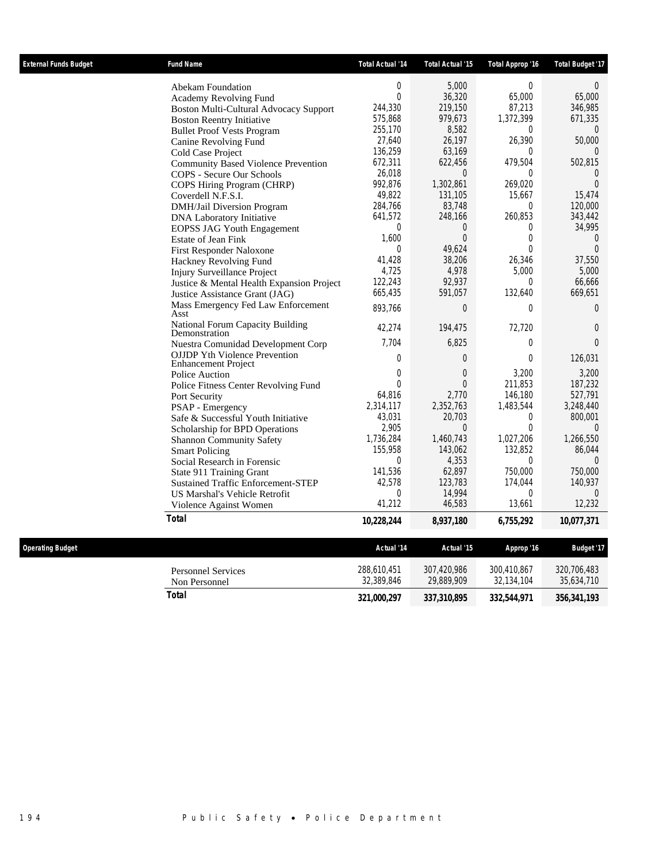| <b>External Funds Budget</b> | <b>Fund Name</b>                                                   | <b>Total Actual '14</b>   | Total Actual '15  | Total Approp '16   | <b>Total Budget '17</b> |
|------------------------------|--------------------------------------------------------------------|---------------------------|-------------------|--------------------|-------------------------|
|                              | <b>Abekam Foundation</b>                                           | $\overline{0}$            | 5,000             | 0                  | $\Omega$                |
|                              | <b>Academy Revolving Fund</b>                                      | $\mathbf 0$               | 36,320            | 65,000             | 65,000                  |
|                              | <b>Boston Multi-Cultural Advocacy Support</b>                      | 244,330                   | 219,150           | 87,213             | 346,985                 |
|                              | <b>Boston Reentry Initiative</b>                                   | 575,868                   | 979,673           | 1,372,399          | 671,335                 |
|                              | <b>Bullet Proof Vests Program</b>                                  | 255,170                   | 8,582             | $\Omega$           | $\theta$                |
|                              | Canine Revolving Fund                                              | 27,640                    | 26,197            | 26,390             | 50,000                  |
|                              | Cold Case Project                                                  | 136,259                   | 63,169            | 0                  | $\Omega$                |
|                              | <b>Community Based Violence Prevention</b>                         | 672,311                   | 622,456           | 479,504            | 502,815                 |
|                              | COPS - Secure Our Schools                                          | 26,018                    | $\Omega$          | $\Omega$           | 0                       |
|                              | COPS Hiring Program (CHRP)                                         | 992,876                   | 1,302,861         | 269,020            | $\overline{0}$          |
|                              | Coverdell N.F.S.I.                                                 | 49,822<br>284,766         | 131,105<br>83,748 | 15,667<br>$\theta$ | 15,474<br>120,000       |
|                              | DMH/Jail Diversion Program                                         | 641,572                   | 248,166           | 260,853            | 343,442                 |
|                              | <b>DNA Laboratory Initiative</b>                                   | 0                         | $\overline{0}$    | 0                  | 34,995                  |
|                              | <b>EOPSS JAG Youth Engagement</b><br><b>Estate of Jean Fink</b>    | 1,600                     | $\overline{0}$    | $\boldsymbol{0}$   | $\theta$                |
|                              | First Responder Naloxone                                           | $\Omega$                  | 49,624            | $\theta$           | $\theta$                |
|                              | Hackney Revolving Fund                                             | 41,428                    | 38,206            | 26,346             | 37,550                  |
|                              | <b>Injury Surveillance Project</b>                                 | 4,725                     | 4,978             | 5,000              | 5,000                   |
|                              | Justice & Mental Health Expansion Project                          | 122,243                   | 92,937            | $\Omega$           | 66,666                  |
|                              | Justice Assistance Grant (JAG)                                     | 665,435                   | 591,057           | 132,640            | 669,651                 |
|                              | Mass Emergency Fed Law Enforcement<br>Asst                         | 893,766                   | $\overline{0}$    | $\overline{0}$     | $\overline{0}$          |
|                              | <b>National Forum Capacity Building</b><br>Demonstration           | 42,274                    | 194,475           | 72,720             | $\theta$                |
|                              | Nuestra Comunidad Development Corp                                 | 7,704                     | 6,825             | 0                  | $\theta$                |
|                              | <b>OJJDP Yth Violence Prevention</b><br><b>Enhancement Project</b> | 0                         | $\overline{0}$    | $\overline{0}$     | 126,031                 |
|                              | Police Auction                                                     | 0                         | $\overline{0}$    | 3,200              | 3,200                   |
|                              | Police Fitness Center Revolving Fund                               | $\Omega$                  | $\Omega$          | 211.853            | 187,232                 |
|                              | Port Security                                                      | 64,816                    | 2.770             | 146,180            | 527.791                 |
|                              | PSAP - Emergency                                                   | 2,314,117                 | 2,352,763         | 1,483,544          | 3,248,440               |
|                              | Safe & Successful Youth Initiative                                 | 43,031                    | 20,703            | 0                  | 800,001                 |
|                              | Scholarship for BPD Operations                                     | 2,905                     | $\Omega$          | $\theta$           | $\Omega$                |
|                              | <b>Shannon Community Safety</b>                                    | 1,736,284                 | 1,460,743         | 1,027,206          | 1,266,550               |
|                              | <b>Smart Policing</b>                                              | 155,958                   | 143,062           | 132,852            | 86,044                  |
|                              | Social Research in Forensic                                        | $\overline{0}$<br>141,536 | 4,353<br>62,897   | 0<br>750,000       | $\Omega$                |
|                              | State 911 Training Grant                                           | 42,578                    | 123,783           | 174,044            | 750,000<br>140,937      |
|                              | <b>Sustained Traffic Enforcement-STEP</b>                          |                           | 14,994            | $\theta$           | $\theta$                |
|                              | US Marshal's Vehicle Retrofit                                      | 0<br>41,212               | 46,583            | 13,661             | 12,232                  |
|                              | Violence Against Women                                             |                           |                   |                    |                         |
|                              | <b>Total</b>                                                       | 10,228,244                | 8,937,180         | 6,755,292          | 10,077,371              |
| <b>Operating Budget</b>      |                                                                    | Actual '14                | Actual '15        | Approp '16         | <b>Budget '17</b>       |
|                              | <b>Personnel Services</b>                                          | 288,610,451               | 307,420,986       | 300,410,867        | 320,706,483             |
|                              | Non Personnel                                                      | 32,389,846                | 29,889,909        | 32,134,104         | 35,634,710              |
|                              | <b>Total</b>                                                       | 321,000,297               | 337,310,895       | 332,544,971        | 356, 341, 193           |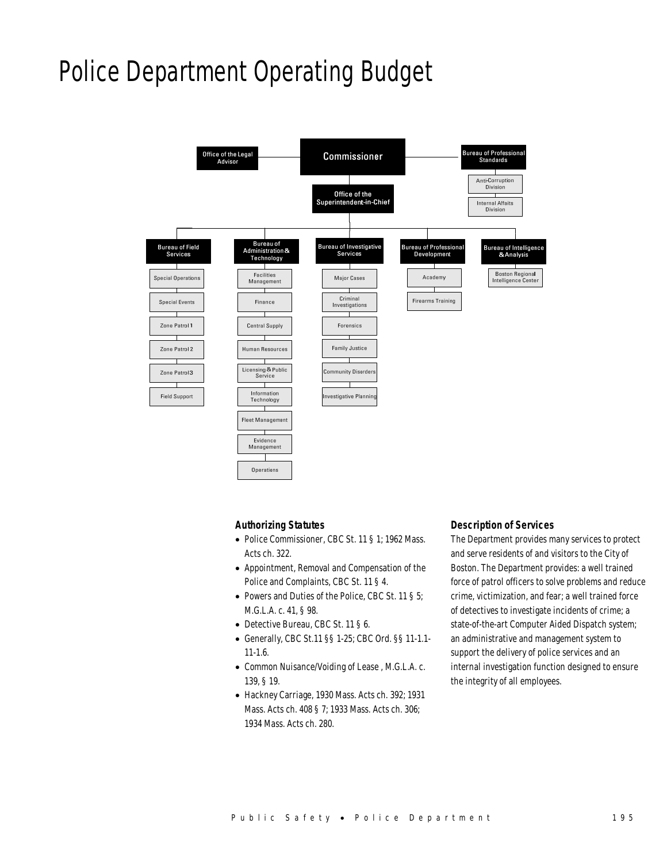## Police Department Operating Budget



### *Authorizing Statutes*

- Police Commissioner, CBC St. 11 § 1; 1962 Mass. Acts ch. 322.
- Appointment, Removal and Compensation of the Police and Complaints, CBC St. 11 § 4.
- Powers and Duties of the Police, CBC St. 11 § 5; M.G.L.A. c. 41, § 98.
- Detective Bureau, CBC St. 11 § 6.
- Generally, CBC St.11 §§ 1-25; CBC Ord. §§ 11-1.1- 11-1.6.
- Common Nuisance/Voiding of Lease , M.G.L.A. c. 139, § 19.
- Hackney Carriage, 1930 Mass. Acts ch. 392; 1931 Mass. Acts ch. 408 § 7; 1933 Mass. Acts ch. 306; 1934 Mass. Acts ch. 280.

### *Description of Services*

The Department provides many services to protect and serve residents of and visitors to the City of Boston. The Department provides: a well trained force of patrol officers to solve problems and reduce crime, victimization, and fear; a well trained force of detectives to investigate incidents of crime; a state-of-the-art Computer Aided Dispatch system; an administrative and management system to support the delivery of police services and an internal investigation function designed to ensure the integrity of all employees.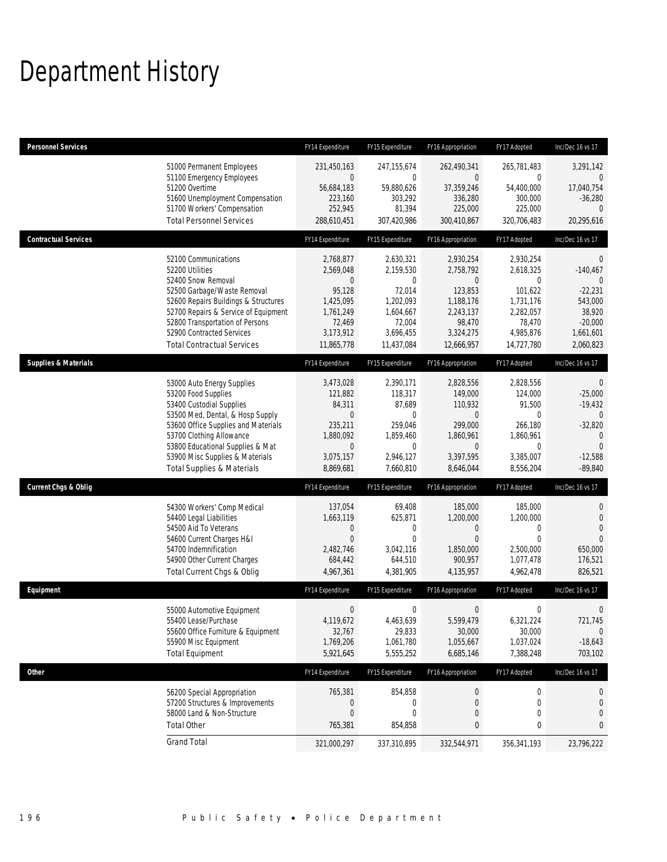## Department History

| <b>Personnel Services</b>       |                                                                                                                                                                                                                                                                                                      | FY14 Expenditure                                                                                                    | FY15 Expenditure                                                                                                | FY16 Appropriation                                                                                                    | FY17 Adopted                                                                                            | Inc/Dec 16 vs 17                                                                                                                 |
|---------------------------------|------------------------------------------------------------------------------------------------------------------------------------------------------------------------------------------------------------------------------------------------------------------------------------------------------|---------------------------------------------------------------------------------------------------------------------|-----------------------------------------------------------------------------------------------------------------|-----------------------------------------------------------------------------------------------------------------------|---------------------------------------------------------------------------------------------------------|----------------------------------------------------------------------------------------------------------------------------------|
|                                 | 51000 Permanent Employees<br>51100 Emergency Employees<br>51200 Overtime<br>51600 Unemployment Compensation<br>51700 Workers' Compensation<br><b>Total Personnel Services</b>                                                                                                                        | 231,450,163<br>0<br>56,684,183<br>223,160<br>252,945<br>288,610,451                                                 | 247, 155, 674<br>$\mathbf 0$<br>59,880,626<br>303,292<br>81,394<br>307,420,986                                  | 262,490,341<br>$\overline{0}$<br>37,359,246<br>336,280<br>225,000<br>300,410,867                                      | 265,781,483<br>0<br>54,400,000<br>300,000<br>225,000<br>320,706,483                                     | 3,291,142<br>$\mathbf{0}$<br>17,040,754<br>$-36,280$<br>$\Omega$<br>20,295,616                                                   |
| <b>Contractual Services</b>     |                                                                                                                                                                                                                                                                                                      | FY14 Expenditure                                                                                                    | FY15 Expenditure                                                                                                | FY16 Appropriation                                                                                                    | FY17 Adopted                                                                                            | Inc/Dec 16 vs 17                                                                                                                 |
|                                 | 52100 Communications<br>52200 Utilities<br>52400 Snow Removal<br>52500 Garbage/Waste Removal<br>52600 Repairs Buildings & Structures<br>52700 Repairs & Service of Equipment<br>52800 Transportation of Persons<br>52900 Contracted Services<br><b>Total Contractual Services</b>                    | 2,768,877<br>2,569,048<br>0<br>95,128<br>1,425,095<br>1,761,249<br>72,469<br>3,173,912<br>11,865,778                | 2,630,321<br>2,159,530<br>$\mathbf{0}$<br>72,014<br>1,202,093<br>1,604,667<br>72,004<br>3,696,455<br>11,437,084 | 2,930,254<br>2,758,792<br>$\overline{0}$<br>123,853<br>1,188,176<br>2,243,137<br>98,470<br>3,324,275<br>12,666,957    | 2,930,254<br>2,618,325<br>0<br>101,622<br>1,731,176<br>2,282,057<br>78,470<br>4,985,876<br>14,727,780   | $\mathbf{0}$<br>$-140,467$<br>$\theta$<br>$-22,231$<br>543,000<br>38,920<br>$-20,000$<br>1,661,601<br>2,060,823                  |
| <b>Supplies &amp; Materials</b> |                                                                                                                                                                                                                                                                                                      | FY14 Expenditure                                                                                                    | FY15 Expenditure                                                                                                | FY16 Appropriation                                                                                                    | FY17 Adopted                                                                                            | Inc/Dec 16 vs 17                                                                                                                 |
|                                 | 53000 Auto Energy Supplies<br>53200 Food Supplies<br>53400 Custodial Supplies<br>53500 Med, Dental, & Hosp Supply<br>53600 Office Supplies and Materials<br>53700 Clothing Allowance<br>53800 Educational Supplies & Mat<br>53900 Misc Supplies & Materials<br><b>Total Supplies &amp; Materials</b> | 3,473,028<br>121,882<br>84,311<br>$\boldsymbol{0}$<br>235,211<br>1,880,092<br>$\mathbf 0$<br>3,075,157<br>8,869,681 | 2,390,171<br>118,317<br>87,689<br>$\mathbf 0$<br>259,046<br>1,859,460<br>$\mathbf 0$<br>2,946,127<br>7,660,810  | 2,828,556<br>149,000<br>110,932<br>$\overline{0}$<br>299,000<br>1,860,961<br>$\overline{0}$<br>3,397,595<br>8,646,044 | 2,828,556<br>124,000<br>91,500<br>0<br>266,180<br>1,860,961<br>$\overline{0}$<br>3,385,007<br>8,556,204 | $\mathbf 0$<br>$-25,000$<br>$-19,432$<br>$\overline{0}$<br>$-32,820$<br>$\mathbf{0}$<br>$\overline{0}$<br>$-12,588$<br>$-89,840$ |
| <b>Current Chgs &amp; Oblig</b> |                                                                                                                                                                                                                                                                                                      | FY14 Expenditure                                                                                                    | FY15 Expenditure                                                                                                | FY16 Appropriation                                                                                                    | FY17 Adopted                                                                                            | Inc/Dec 16 vs 17                                                                                                                 |
|                                 | 54300 Workers' Comp Medical<br>54400 Legal Liabilities<br>54500 Aid To Veterans<br>54600 Current Charges H&I<br>54700 Indemnification<br>54900 Other Current Charges<br>Total Current Chgs & Oblig                                                                                                   | 137,054<br>1,663,119<br>$\mathbf 0$<br>$\overline{0}$<br>2,482,746<br>684,442<br>4,967,361                          | 69,408<br>625,871<br>$\mathbf 0$<br>$\mathbf{0}$<br>3,042,116<br>644,510<br>4,381,905                           | 185,000<br>1,200,000<br>0<br>$\mathbf{0}$<br>1,850,000<br>900,957<br>4,135,957                                        | 185,000<br>1,200,000<br>0<br>$\overline{0}$<br>2,500,000<br>1,077,478<br>4,962,478                      | 0<br>$\mathbf 0$<br>$\overline{0}$<br>$\Omega$<br>650,000<br>176,521<br>826,521                                                  |
| Equipment                       |                                                                                                                                                                                                                                                                                                      | FY14 Expenditure                                                                                                    | FY15 Expenditure                                                                                                | FY16 Appropriation                                                                                                    | FY17 Adopted                                                                                            | Inc/Dec 16 vs 17                                                                                                                 |
|                                 | 55000 Automotive Equipment<br>55400 Lease/Purchase<br>55600 Office Furniture & Equipment<br>55900 Misc Equipment<br><b>Total Equipment</b>                                                                                                                                                           | $\boldsymbol{0}$<br>4,119,672<br>32,767<br>1,769,206<br>5,921,645                                                   | $\boldsymbol{0}$<br>4,463,639<br>29,833<br>1,061,780<br>5,555,252                                               | $\boldsymbol{0}$<br>5,599,479<br>30,000<br>1,055,667<br>6,685,146                                                     | 0<br>6,321,224<br>30,000<br>1,037,024<br>7,388,248                                                      | 0<br>721,745<br>$\mathbf 0$<br>$-18,643$<br>703,102                                                                              |
| Other                           |                                                                                                                                                                                                                                                                                                      | FY14 Expenditure                                                                                                    | FY15 Expenditure                                                                                                | FY16 Appropriation                                                                                                    | FY17 Adopted                                                                                            | Inc/Dec 16 vs 17                                                                                                                 |
|                                 | 56200 Special Appropriation<br>57200 Structures & Improvements<br>58000 Land & Non-Structure<br><b>Total Other</b>                                                                                                                                                                                   | 765,381<br>0<br>$\boldsymbol{0}$<br>765,381                                                                         | 854,858<br>0<br>$\mathbf 0$<br>854,858                                                                          | 0<br>0<br>0<br>$\bf{0}$                                                                                               | 0<br>0<br>0<br>0                                                                                        | 0<br>$\mathbf 0$<br>$\boldsymbol{0}$<br>$\mathbf{0}$                                                                             |
|                                 | <b>Grand Total</b>                                                                                                                                                                                                                                                                                   | 321,000,297                                                                                                         | 337,310,895                                                                                                     | 332,544,971                                                                                                           | 356, 341, 193                                                                                           | 23,796,222                                                                                                                       |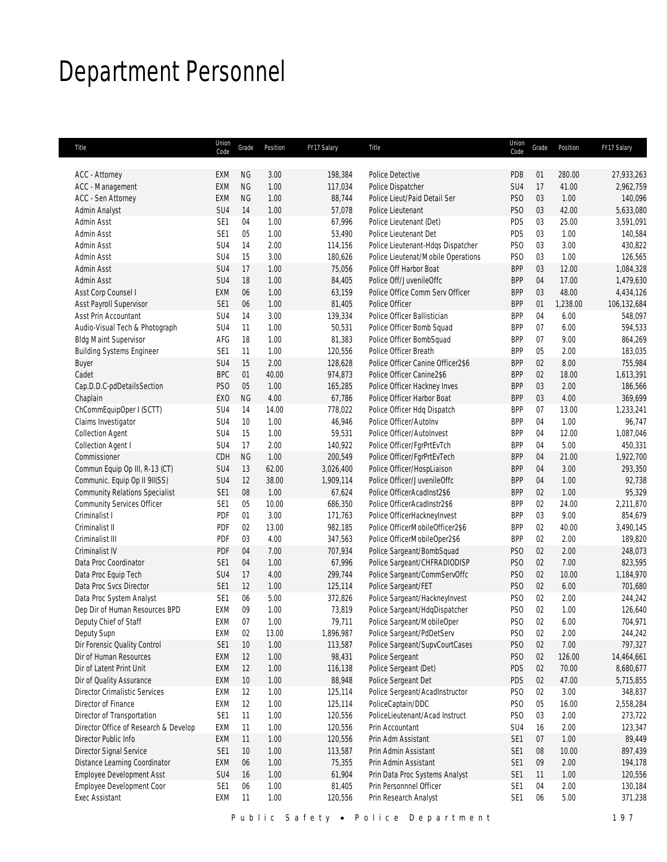## Department Personnel

| Title                                 | Union<br>Code   | Grade                  | Position     | FY17 Salary        | Title                              | Union<br>Code     | Grade    | Position        | FY17 Salary |
|---------------------------------------|-----------------|------------------------|--------------|--------------------|------------------------------------|-------------------|----------|-----------------|-------------|
|                                       |                 |                        |              |                    | Police Detective                   |                   |          |                 | 27,933,263  |
| ACC - Attorney<br>ACC - Management    | EXM<br>EXM      | <b>NG</b><br><b>NG</b> | 3.00<br>1.00 | 198,384<br>117,034 | Police Dispatcher                  | <b>PDB</b><br>SU4 | 01<br>17 | 280.00<br>41.00 | 2,962,759   |
| <b>ACC - Sen Attorney</b>             | <b>EXM</b>      | <b>NG</b>              | 1.00         | 88,744             | Police Lieut/Paid Detail Ser       | PS <sub>O</sub>   | 03       | 1.00            | 140,096     |
| Admin Analyst                         | SU4             | 14                     | 1.00         | 57,078             | Police Lieutenant                  | PS <sub>0</sub>   | 03       | 42.00           | 5,633,080   |
| Admin Asst                            | SE1             | 04                     | 1.00         | 67,996             | Police Lieutenant (Det)            | PDS               | 03       | 25.00           | 3,591,091   |
|                                       | SE1             | 05                     | 1.00         |                    | Police Lieutenant Det              |                   | 03       | 1.00            |             |
| Admin Asst                            | SU4             | 14                     | 2.00         | 53,490             |                                    | PDS               | 03       | 3.00            | 140,584     |
| Admin Asst                            |                 |                        |              | 114,156            | Police Lieutenant-Hdqs Dispatcher  | PS <sub>0</sub>   |          |                 | 430,822     |
| Admin Asst                            | SU4             | 15                     | 3.00         | 180,626            | Police Lieutenat/Mobile Operations | PS <sub>0</sub>   | 03       | 1.00            | 126,565     |
| Admin Asst                            | SU4             | 17                     | 1.00         | 75,056             | Police Off Harbor Boat             | <b>BPP</b>        | 03       | 12.00           | 1,084,328   |
| <b>Admin Asst</b>                     | SU4             | 18                     | 1.00         | 84,405             | Police Off/JuvenileOffc            | <b>BPP</b>        | 04       | 17.00           | 1,479,630   |
| Asst Corp Counsel I                   | EXM             | 06                     | 1.00         | 63,159             | Police Office Comm Serv Officer    | <b>BPP</b>        | 03       | 48.00           | 4,434,126   |
| Asst Payroll Supervisor               | SE <sub>1</sub> | 06                     | 1.00         | 81,405             | Police Officer                     | <b>BPP</b>        | 01       | 1,238.00        | 106,132,684 |
| Asst Prin Accountant                  | SU <sub>4</sub> | 14                     | 3.00         | 139,334            | Police Officer Ballistician        | <b>BPP</b>        | 04       | 6.00            | 548,097     |
| Audio-Visual Tech & Photograph        | SU4             | 11                     | 1.00         | 50,531             | Police Officer Bomb Squad          | <b>BPP</b>        | 07       | 6.00            | 594,533     |
| <b>Bldg Maint Supervisor</b>          | AFG             | 18                     | 1.00         | 81,383             | Police Officer BombSquad           | <b>BPP</b>        | 07       | 9.00            | 864,269     |
| <b>Building Systems Engineer</b>      | SE1             | 11                     | 1.00         | 120,556            | Police Officer Breath              | <b>BPP</b>        | 05       | 2.00            | 183,035     |
| Buyer                                 | SU <sub>4</sub> | 15                     | 2.00         | 128,628            | Police Officer Canine Officer2\$6  | <b>BPP</b>        | 02       | 8.00            | 755,984     |
| Cadet                                 | <b>BPC</b>      | 01                     | 40.00        | 974,873            | Police Officer Canine2\$6          | <b>BPP</b>        | 02       | 18.00           | 1,613,391   |
| Cap.D.D.C-pdDetailsSection            | PS <sub>O</sub> | 05                     | 1.00         | 165,285            | Police Officer Hackney Inves       | <b>BPP</b>        | 03       | 2.00            | 186,566     |
| Chaplain                              | EX <sub>0</sub> | <b>NG</b>              | 4.00         | 67,786             | Police Officer Harbor Boat         | <b>BPP</b>        | 03       | 4.00            | 369,699     |
| ChCommEquipOper I (SCTT)              | SU <sub>4</sub> | 14                     | 14.00        | 778,022            | Police Officer Hdq Dispatch        | <b>BPP</b>        | 07       | 13.00           | 1,233,241   |
| Claims Investigator                   | SU <sub>4</sub> | 10                     | 1.00         | 46,946             | Police Officer/AutoInv             | <b>BPP</b>        | 04       | 1.00            | 96,747      |
| <b>Collection Agent</b>               | SU4             | 15                     | 1.00         | 59,531             | Police Officer/AutoInvest          | <b>BPP</b>        | 04       | 12.00           | 1,087,046   |
| <b>Collection Agent I</b>             | SU4             | 17                     | 2.00         | 140,922            | Police Officer/FgrPrtEvTch         | <b>BPP</b>        | 04       | 5.00            | 450,331     |
| Commissioner                          | CDH             | <b>NG</b>              | 1.00         | 200,549            | Police Officer/FgrPrtEvTech        | <b>BPP</b>        | 04       | 21.00           | 1,922,700   |
| Commun Equip Op III, R-13 (CT)        | SU <sub>4</sub> | 13                     | 62.00        | 3,026,400          | Police Officer/HospLiaison         | <b>BPP</b>        | 04       | 3.00            | 293,350     |
| Communic. Equip Op II 9II(SS)         | SU4             | 12                     | 38.00        | 1,909,114          | Police Officer/JuvenileOffc        | <b>BPP</b>        | 04       | 1.00            | 92,738      |
| <b>Community Relations Specialist</b> | SE1             | $08\,$                 | 1.00         | 67,624             | Police OfficerAcadInst2\$6         | <b>BPP</b>        | 02       | 1.00            | 95,329      |
| <b>Community Services Officer</b>     | SE1             | 05                     | 10.00        |                    | Police OfficerAcadInstr2\$6        | <b>BPP</b>        | 02       | 24.00           | 2,211,870   |
|                                       |                 |                        |              | 686,350            |                                    | <b>BPP</b>        | 03       | 9.00            |             |
| Criminalist I                         | PDF             | 01                     | 3.00         | 171,763            | Police OfficerHackneyInvest        |                   |          |                 | 854,679     |
| Criminalist II                        | PDF             | 02                     | 13.00        | 982,185            | Police OfficerMobileOfficer2\$6    | <b>BPP</b>        | 02       | 40.00           | 3,490,145   |
| Criminalist III                       | PDF             | 03                     | 4.00         | 347,563            | Police OfficerMobileOper2\$6       | <b>BPP</b>        | 02       | 2.00            | 189,820     |
| Criminalist IV                        | PDF             | 04                     | 7.00         | 707,934            | Police Sargeant/BombSquad          | PS <sub>O</sub>   | 02       | 2.00            | 248,073     |
| Data Proc Coordinator                 | SE <sub>1</sub> | 04                     | 1.00         | 67,996             | Police Sargeant/CHFRADIODISP       | PS <sub>O</sub>   | 02       | 7.00            | 823,595     |
| Data Proc Equip Tech                  | SU4             | 17                     | 4.00         | 299,744            | Police Sargeant/CommServOffc       | PS <sub>O</sub>   | 02       | 10.00           | 1,184,970   |
| Data Proc Svcs Director               | SE1             | 12                     | 1.00         | 125,114            | Police Sargeant/FET                | PS <sub>0</sub>   | 02       | 6.00            | 701,680     |
| Data Proc System Analyst              | SE <sub>1</sub> | 06                     | 5.00         | 372,826            | Police Sargeant/HackneyInvest      | PS <sub>0</sub>   | 02       | 2.00            | 244,242     |
| Dep Dir of Human Resources BPD        | EXM             | 09                     | 1.00         | 73,819             | Police Sargeant/HdqDispatcher      | PS <sub>0</sub>   | 02       | 1.00            | 126,640     |
| Deputy Chief of Staff                 | EXM             | 07                     | 1.00         | 79,711             | Police Sargeant/MobileOper         | PS <sub>0</sub>   | 02       | 6.00            | 704,971     |
| Deputy Supn                           | EXM             | $02\,$                 | 13.00        | 1,896,987          | Police Sargeant/PdDetServ          | PS <sub>0</sub>   | 02       | 2.00            | 244,242     |
| Dir Forensic Quality Control          | SE <sub>1</sub> | $10$                   | 1.00         | 113,587            | Police Sargeant/SupvCourtCases     | PS <sub>O</sub>   | 02       | 7.00            | 797,327     |
| Dir of Human Resources                | EXM             | 12                     | 1.00         | 98,431             | Police Sergeant                    | PS <sub>O</sub>   | 02       | 126.00          | 14,464,661  |
| Dir of Latent Print Unit              | EXM             | 12                     | 1.00         | 116,138            | Police Sergeant (Det)              | PDS               | 02       | 70.00           | 8,680,677   |
| Dir of Quality Assurance              | EXM             | 10                     | 1.00         | 88,948             | Police Sergeant Det                | PDS               | 02       | 47.00           | 5,715,855   |
| <b>Director Crimalistic Services</b>  | EXM             | 12                     | 1.00         | 125,114            | Police Sergeant/AcadInstructor     | PS <sub>0</sub>   | 02       | 3.00            | 348,837     |
| Director of Finance                   | EXM             | 12                     | 1.00         | 125,114            | PoliceCaptain/DDC                  | PS <sub>0</sub>   | 05       | 16.00           | 2,558,284   |
| Director of Transportation            | SE <sub>1</sub> | 11                     | 1.00         | 120,556            | PoliceLieutenant/Acad Instruct     | PS <sub>0</sub>   | 03       | 2.00            | 273,722     |
| Director Office of Research & Develop | EXM             | 11                     | 1.00         | 120,556            | Prin Accountant                    | SU4               | 16       | 2.00            | 123,347     |
| Director Public Info                  |                 | 11                     | 1.00         |                    | Prin Adm Assistant                 | SE <sub>1</sub>   |          |                 | 89,449      |
| Director Signal Service               | EXM<br>SE1      |                        |              | 120,556            | Prin Admin Assistant               |                   | 07<br>08 | 1.00<br>10.00   |             |
|                                       |                 | 10                     | 1.00         | 113,587            |                                    | SE <sub>1</sub>   |          |                 | 897,439     |
| Distance Learning Coordinator         | EXM             | 06                     | 1.00         | 75,355             | Prin Admin Assistant               | SE <sub>1</sub>   | 09       | 2.00            | 194,178     |
| Employee Development Asst             | SU4             | 16                     | 1.00         | 61,904             | Prin Data Proc Systems Analyst     | SE <sub>1</sub>   | 11       | 1.00            | 120,556     |
| Employee Development Coor             | SE <sub>1</sub> | 06                     | 1.00         | 81,405             | Prin Personnnel Officer            | SE <sub>1</sub>   | 04       | 2.00            | 130,184     |
| Exec Assistant                        | EXM             | 11                     | 1.00         | 120,556            | Prin Research Analyst              | SE <sub>1</sub>   | 06       | 5.00            | 371,238     |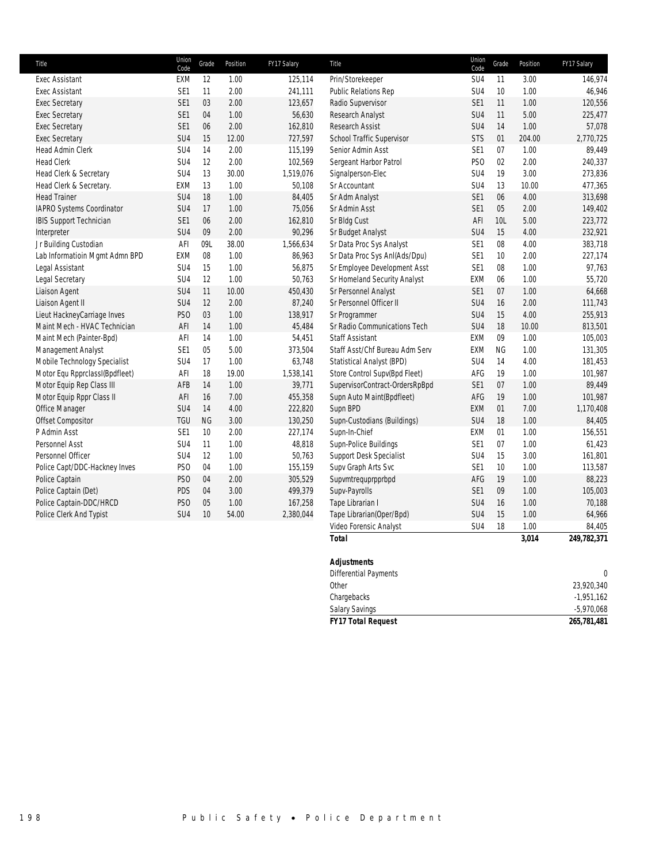| Title                          | Union<br>Code   | Grade          | Position | FY17 Salary | Title                          | Union<br>Code   | Grade     | Position | FY17 Salary |
|--------------------------------|-----------------|----------------|----------|-------------|--------------------------------|-----------------|-----------|----------|-------------|
| Exec Assistant                 | EXM             | 12             | 1.00     | 125,114     | Prin/Storekeeper               | SU4             | 11        | 3.00     | 146,974     |
| <b>Exec Assistant</b>          | SE1             | 11             | 2.00     | 241,111     | <b>Public Relations Rep</b>    | SU4             | 10        | 1.00     | 46,946      |
| <b>Exec Secretary</b>          | SE1             | 03             | 2.00     | 123,657     | Radio Supvervisor              | SE <sub>1</sub> | 11        | 1.00     | 120,556     |
| <b>Exec Secretary</b>          | SE1             | 04             | 1.00     | 56,630      | Research Analyst               | SU <sub>4</sub> | 11        | 5.00     | 225,477     |
| <b>Exec Secretary</b>          | SE1             | 06             | 2.00     | 162,810     | <b>Research Assist</b>         | SU4             | 14        | 1.00     | 57,078      |
| <b>Exec Secretary</b>          | SU4             | 15             | 12.00    | 727,597     | School Traffic Supervisor      | <b>STS</b>      | 01        | 204.00   | 2,770,725   |
| Head Admin Clerk               | SU <sub>4</sub> | 14             | 2.00     | 115,199     | Senior Admin Asst              | SE <sub>1</sub> | 07        | 1.00     | 89,449      |
| <b>Head Clerk</b>              | SU4             | 12             | 2.00     | 102,569     | Sergeant Harbor Patrol         | PS <sub>O</sub> | 02        | 2.00     | 240,337     |
| Head Clerk & Secretary         | SU <sub>4</sub> | 13             | 30.00    | 1,519,076   | Signalperson-Elec              | SU <sub>4</sub> | 19        | 3.00     | 273,836     |
| Head Clerk & Secretary.        | EXM             | 13             | 1.00     | 50,108      | Sr Accountant                  | SU4             | 13        | 10.00    | 477,365     |
| <b>Head Trainer</b>            | SU <sub>4</sub> | 18             | 1.00     | 84,405      | Sr Adm Analyst                 | SE <sub>1</sub> | 06        | 4.00     | 313,698     |
| IAPRO Systems Coordinator      | SU <sub>4</sub> | 17             | 1.00     | 75,056      | Sr Admin Asst                  | SE <sub>1</sub> | 05        | 2.00     | 149,402     |
| <b>IBIS Support Technician</b> | SE1             | 06             | 2.00     | 162,810     | Sr Bldg Cust                   | AFI             | 10L       | 5.00     | 223,772     |
| Interpreter                    | SU <sub>4</sub> | 09             | 2.00     | 90,296      | Sr Budget Analyst              | SU <sub>4</sub> | 15        | 4.00     | 232,921     |
| Jr Building Custodian          | AFI             | 09L            | 38.00    | 1,566,634   | Sr Data Proc Sys Analyst       | SE <sub>1</sub> | $08\,$    | 4.00     | 383,718     |
| Lab Informatioin Mgmt Admn BPD | EXM             | 08             | 1.00     | 86,963      | Sr Data Proc Sys Anl(Ads/Dpu)  | SE <sub>1</sub> | 10        | 2.00     | 227,174     |
| Legal Assistant                | SU4             | 15             | 1.00     | 56,875      | Sr Employee Development Asst   | SE <sub>1</sub> | 08        | 1.00     | 97,763      |
| Legal Secretary                | SU <sub>4</sub> | 12             | 1.00     | 50,763      | Sr Homeland Security Analyst   | EXM             | 06        | 1.00     | 55,720      |
| Liaison Agent                  | SU <sub>4</sub> | 11             | 10.00    | 450,430     | Sr Personnel Analyst           | SE <sub>1</sub> | 07        | 1.00     | 64,668      |
| Liaison Agent II               | SU4             | 12             | 2.00     | 87,240      | Sr Personnel Officer II        | SU4             | 16        | 2.00     | 111,743     |
| Lieut HackneyCarriage Inves    | PS <sub>O</sub> | 03             | 1.00     | 138,917     | Sr Programmer                  | SU <sub>4</sub> | 15        | 4.00     | 255,913     |
| Maint Mech - HVAC Technician   | AFI             | 14             | 1.00     | 45,484      | Sr Radio Communications Tech   | SU4             | 18        | 10.00    | 813,501     |
| Maint Mech (Painter-Bpd)       | AFI             | 14             | 1.00     | 54,451      | <b>Staff Assistant</b>         | EXM             | 09        | 1.00     | 105,003     |
| Management Analyst             | SE1             | 0 <sub>5</sub> | 5.00     | 373,504     | Staff Asst/Chf Bureau Adm Serv | EXM             | <b>NG</b> | 1.00     | 131,305     |
| Mobile Technology Specialist   | SU <sub>4</sub> | 17             | 1.00     | 63,748      | Statistical Analyst (BPD)      | SU4             | 14        | 4.00     | 181,453     |
| Motor Equ RpprclassI(Bpdfleet) | AFI             | 18             | 19.00    | 1,538,141   | Store Control Supv(Bpd Fleet)  | AFG             | 19        | 1.00     | 101,987     |
| Motor Equip Rep Class III      | AFB             | 14             | 1.00     | 39,771      | SupervisorContract-OrdersRpBpd | SE <sub>1</sub> | 07        | 1.00     | 89,449      |
| Motor Equip Rppr Class II      | AFI             | 16             | 7.00     | 455,358     | Supn Auto Maint(Bpdfleet)      | AFG             | 19        | 1.00     | 101,987     |
| Office Manager                 | SU4             | 14             | 4.00     | 222,820     | Supn BPD                       | EXM             | 01        | 7.00     | 1,170,408   |
| Offset Compositor              | <b>TGU</b>      | <b>NG</b>      | 3.00     | 130,250     | Supn-Custodians (Buildings)    | SU4             | 18        | 1.00     | 84,405      |
| P Admin Asst                   | SE <sub>1</sub> | 10             | 2.00     | 227,174     | Supn-In-Chief                  | EXM             | 01        | 1.00     | 156,551     |
| Personnel Asst                 | SU <sub>4</sub> | 11             | 1.00     | 48,818      | Supn-Police Buildings          | SE <sub>1</sub> | 07        | 1.00     | 61,423      |
| Personnel Officer              | SU4             | 12             | 1.00     | 50,763      | Support Desk Specialist        | SU4             | 15        | 3.00     | 161,801     |
| Police Capt/DDC-Hackney Inves  | PS <sub>O</sub> | 04             | 1.00     | 155,159     | Supv Graph Arts Svc            | SE <sub>1</sub> | 10        | 1.00     | 113,587     |
| Police Captain                 | PS <sub>O</sub> | 04             | 2.00     | 305,529     | Supvmtrequprpprbpd             | AFG             | 19        | 1.00     | 88,223      |
| Police Captain (Det)           | PDS             | 04             | 3.00     | 499,379     | Supv-Payrolls                  | SE <sub>1</sub> | 09        | 1.00     | 105,003     |
| Police Captain-DDC/HRCD        | PS <sub>O</sub> | 05             | 1.00     | 167,258     | Tape Librarian I               | SU <sub>4</sub> | 16        | 1.00     | 70,188      |
| Police Clerk And Typist        | SU4             | 10             | 54.00    | 2,380,044   | Tape Librarian(Oper/Bpd)       | SU <sub>4</sub> | 15        | 1.00     | 64,966      |
|                                |                 |                |          |             | Video Forensic Analyst         | SU4             | 18        | 1.00     | 84,405      |
|                                |                 |                |          |             | <b>Total</b>                   |                 |           | 3,014    | 249,782,371 |

| <b>Adjustments</b>           |              |
|------------------------------|--------------|
| <b>Differential Payments</b> | $\theta$     |
| Other                        | 23,920,340   |
| Chargebacks                  | $-1,951,162$ |
| <b>Salary Savings</b>        | $-5,970,068$ |
| <b>FY17 Total Request</b>    | 265,781,481  |
|                              |              |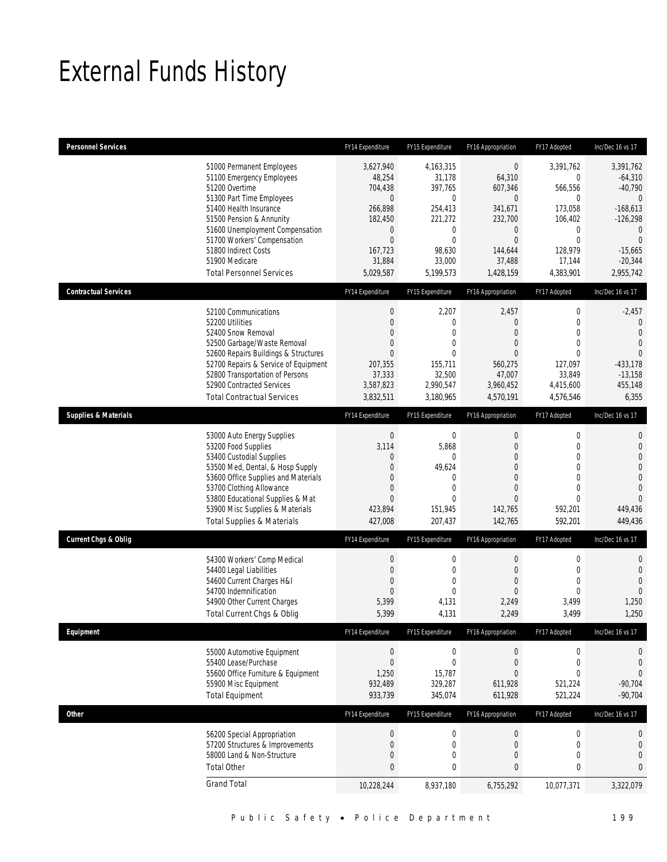## External Funds History

| <b>Personnel Services</b>       |                                                                                                                                                                                                                                                                                                            | FY14 Expenditure                                                                                                            | FY15 Expenditure                                                                                                                   | FY16 Appropriation                                                                                                                           | FY17 Adopted                                                                                                                             | Inc/Dec 16 vs 17                                                                                                                                       |
|---------------------------------|------------------------------------------------------------------------------------------------------------------------------------------------------------------------------------------------------------------------------------------------------------------------------------------------------------|-----------------------------------------------------------------------------------------------------------------------------|------------------------------------------------------------------------------------------------------------------------------------|----------------------------------------------------------------------------------------------------------------------------------------------|------------------------------------------------------------------------------------------------------------------------------------------|--------------------------------------------------------------------------------------------------------------------------------------------------------|
|                                 | 51000 Permanent Employees<br>51100 Emergency Employees<br>51200 Overtime<br>51300 Part Time Employees<br>51400 Health Insurance<br>51500 Pension & Annunity<br>51600 Unemployment Compensation<br>51700 Workers' Compensation<br>51800 Indirect Costs<br>51900 Medicare<br><b>Total Personnel Services</b> | 3,627,940<br>48,254<br>704,438<br>$\mathbf{0}$<br>266,898<br>182,450<br>0<br>$\mathbf 0$<br>167,723<br>31,884<br>5,029,587  | 4,163,315<br>31,178<br>397,765<br>$\mathbf 0$<br>254,413<br>221,272<br>$\mathbf 0$<br>$\mathbf 0$<br>98,630<br>33,000<br>5,199,573 | $\boldsymbol{0}$<br>64,310<br>607,346<br>$\mathbf{0}$<br>341,671<br>232,700<br>$\mathbf 0$<br>$\mathbf{0}$<br>144,644<br>37,488<br>1,428,159 | 3,391,762<br>$\mathbf 0$<br>566,556<br>$\mathbf 0$<br>173,058<br>106,402<br>$\mathbf 0$<br>$\mathbf 0$<br>128.979<br>17,144<br>4,383,901 | 3,391,762<br>$-64,310$<br>$-40,790$<br>$\overline{0}$<br>$-168,613$<br>$-126,298$<br>$\theta$<br>$\overline{0}$<br>$-15,665$<br>$-20,344$<br>2,955,742 |
| <b>Contractual Services</b>     |                                                                                                                                                                                                                                                                                                            | FY14 Expenditure                                                                                                            | FY15 Expenditure                                                                                                                   | FY16 Appropriation                                                                                                                           | FY17 Adopted                                                                                                                             | Inc/Dec 16 vs 17                                                                                                                                       |
|                                 | 52100 Communications<br>52200 Utilities<br>52400 Snow Removal<br>52500 Garbage/Waste Removal<br>52600 Repairs Buildings & Structures<br>52700 Repairs & Service of Equipment<br>52800 Transportation of Persons<br>52900 Contracted Services<br><b>Total Contractual Services</b>                          | $\boldsymbol{0}$<br>0<br>$\mathbf{0}$<br>$\mathbf{0}$<br>$\mathbf{0}$<br>207,355<br>37,333<br>3,587,823<br>3,832,511        | 2,207<br>$\mathbf 0$<br>$\overline{0}$<br>$\overline{0}$<br>$\Omega$<br>155,711<br>32,500<br>2,990,547<br>3,180,965                | 2,457<br>$\mathbf{0}$<br>$\overline{0}$<br>$\mathbf{0}$<br>$\mathbf{0}$<br>560.275<br>47,007<br>3,960,452<br>4,570,191                       | $\boldsymbol{0}$<br>$\boldsymbol{0}$<br>$\mathbf{0}$<br>$\mathbf 0$<br>$\Omega$<br>127,097<br>33,849<br>4,415,600<br>4,576,546           | $-2,457$<br>0<br>$\overline{0}$<br>$\overline{0}$<br>$\overline{0}$<br>$-433,178$<br>$-13.158$<br>455,148<br>6,355                                     |
| <b>Supplies &amp; Materials</b> |                                                                                                                                                                                                                                                                                                            | FY14 Expenditure                                                                                                            | FY15 Expenditure                                                                                                                   | FY16 Appropriation                                                                                                                           | FY17 Adopted                                                                                                                             | Inc/Dec 16 vs 17                                                                                                                                       |
|                                 | 53000 Auto Energy Supplies<br>53200 Food Supplies<br>53400 Custodial Supplies<br>53500 Med, Dental, & Hosp Supply<br>53600 Office Supplies and Materials<br>53700 Clothing Allowance<br>53800 Educational Supplies & Mat<br>53900 Misc Supplies & Materials<br><b>Total Supplies &amp; Materials</b>       | $\boldsymbol{0}$<br>3,114<br>$\mathbf{0}$<br>$\mathbf 0$<br>$\Omega$<br>$\mathbf 0$<br>$\overline{0}$<br>423,894<br>427,008 | $\mathbf 0$<br>5,868<br>$\Omega$<br>49,624<br>0<br>$\mathbf{0}$<br>$\overline{0}$<br>151,945<br>207,437                            | $\boldsymbol{0}$<br>$\mathbf 0$<br>$\mathbf{0}$<br>$\overline{0}$<br>$\overline{0}$<br>$\mathbf{0}$<br>$\mathbf{0}$<br>142,765<br>142,765    | 0<br>$\mathbf 0$<br>$\mathbf{0}$<br>$\mathbf 0$<br>$\mathbf{0}$<br>$\mathbf 0$<br>$\mathbf 0$<br>592,201<br>592,201                      | $\mathbf{0}$<br>$\mathbf 0$<br>$\overline{0}$<br>$\overline{0}$<br>$\mathbf 0$<br>$\overline{0}$<br>$\overline{0}$<br>449,436<br>449,436               |
| <b>Current Chgs &amp; Oblig</b> |                                                                                                                                                                                                                                                                                                            | FY14 Expenditure                                                                                                            | FY15 Expenditure                                                                                                                   | FY16 Appropriation                                                                                                                           | FY17 Adopted                                                                                                                             | Inc/Dec 16 vs 17                                                                                                                                       |
|                                 | 54300 Workers' Comp Medical<br>54400 Legal Liabilities<br>54600 Current Charges H&I<br>54700 Indemnification<br>54900 Other Current Charges<br>Total Current Chgs & Oblig                                                                                                                                  | $\boldsymbol{0}$<br>$\mathbf 0$<br>$\mathbf{0}$<br>$\mathbf{0}$<br>5,399<br>5,399                                           | $\mathbf 0$<br>$\mathbf 0$<br>0<br>$\overline{0}$<br>4,131<br>4,131                                                                | $\boldsymbol{0}$<br>$\mathbf{0}$<br>$\theta$<br>$\mathbf{0}$<br>2,249<br>2,249                                                               | 0<br>$\boldsymbol{0}$<br>$\mathbf{0}$<br>$\mathbf 0$<br>3,499<br>3,499                                                                   | $\mathbf 0$<br>$\mathbf{0}$<br>$\overline{0}$<br>$\Omega$<br>1,250<br>1,250                                                                            |
| Equipment                       |                                                                                                                                                                                                                                                                                                            | FY14 Expenditure                                                                                                            | FY15 Expenditure                                                                                                                   | FY16 Appropriation                                                                                                                           | FY17 Adopted                                                                                                                             | Inc/Dec 16 vs 17                                                                                                                                       |
|                                 | 55000 Automotive Equipment<br>55400 Lease/Purchase<br>55600 Office Furniture & Equipment<br>55900 Misc Equipment<br><b>Total Equipment</b>                                                                                                                                                                 | $\boldsymbol{0}$<br>$\mathbf 0$<br>1,250<br>932,489<br>933,739                                                              | $\boldsymbol{0}$<br>$\boldsymbol{0}$<br>15.787<br>329,287<br>345,074                                                               | $\boldsymbol{0}$<br>$\boldsymbol{0}$<br>$\overline{0}$<br>611,928<br>611,928                                                                 | 0<br>$\boldsymbol{0}$<br>0<br>521,224<br>521,224                                                                                         | 0<br>$\mathbf 0$<br>$\overline{0}$<br>$-90,704$<br>$-90,704$                                                                                           |
| Other                           |                                                                                                                                                                                                                                                                                                            | FY14 Expenditure                                                                                                            | FY15 Expenditure                                                                                                                   | FY16 Appropriation                                                                                                                           | FY17 Adopted                                                                                                                             | Inc/Dec 16 vs 17                                                                                                                                       |
|                                 | 56200 Special Appropriation<br>57200 Structures & Improvements<br>58000 Land & Non-Structure<br><b>Total Other</b>                                                                                                                                                                                         | $\boldsymbol{0}$<br>$\mathbf 0$<br>0<br>$\bf{0}$                                                                            | $\boldsymbol{0}$<br>$\mathbf 0$<br>0<br>0                                                                                          | $\boldsymbol{0}$<br>$\mathbf{0}$<br>$\mathbf 0$<br>$\bf{0}$                                                                                  | $\boldsymbol{0}$<br>$\boldsymbol{0}$<br>0<br>$\pmb{0}$                                                                                   | 0<br>$\boldsymbol{0}$<br>$\mathbf 0$<br>0                                                                                                              |
|                                 | <b>Grand Total</b>                                                                                                                                                                                                                                                                                         | 10,228,244                                                                                                                  | 8,937,180                                                                                                                          | 6,755,292                                                                                                                                    | 10,077,371                                                                                                                               | 3,322,079                                                                                                                                              |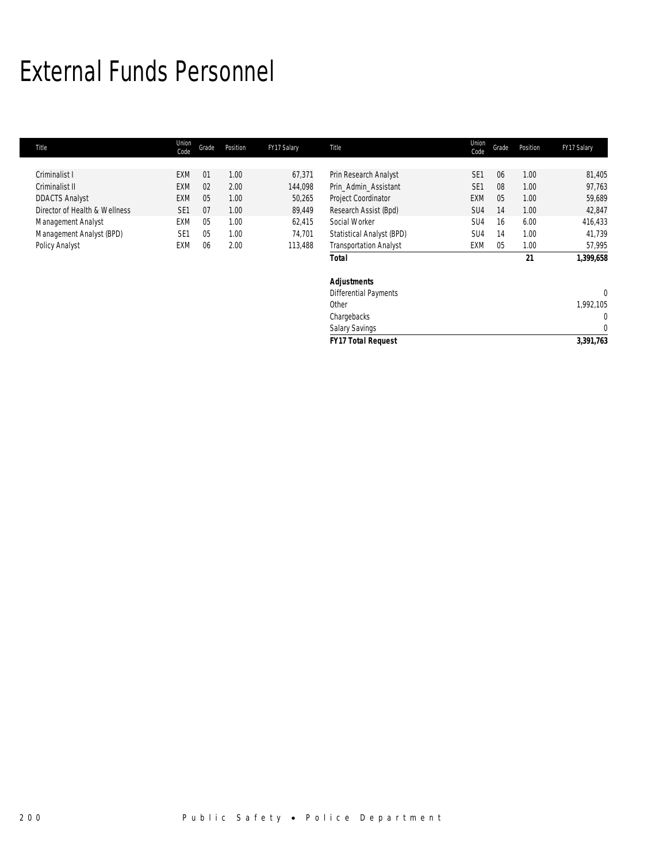## External Funds Personnel

| Title                         | Union<br>Code   | Grade | Position | FY17 Salary | Title                         | Union<br>Code   | Grade | Position | FY17 Salary  |
|-------------------------------|-----------------|-------|----------|-------------|-------------------------------|-----------------|-------|----------|--------------|
|                               |                 |       |          |             |                               |                 |       |          |              |
| Criminalist I                 | <b>EXM</b>      | 01    | 1.00     | 67,371      | Prin Research Analyst         | SE <sub>1</sub> | 06    | 1.00     | 81,405       |
| Criminalist II                | <b>EXM</b>      | 02    | 2.00     | 144,098     | Prin_Admin_Assistant          | SE <sub>1</sub> | 08    | 1.00     | 97,763       |
| <b>DDACTS Analyst</b>         | <b>EXM</b>      | 05    | 1.00     | 50,265      | Project Coordinator           | <b>EXM</b>      | 05    | 1.00     | 59,689       |
| Director of Health & Wellness | SE <sub>1</sub> | 07    | 1.00     | 89,449      | Research Assist (Bpd)         | SU4             | 14    | 1.00     | 42,847       |
| Management Analyst            | EXM             | 05    | 1.00     | 62,415      | Social Worker                 | SU4             | 16    | 6.00     | 416,433      |
| Management Analyst (BPD)      | SE <sub>1</sub> | 05    | 1.00     | 74,701      | Statistical Analyst (BPD)     | SU4             | 14    | 1.00     | 41,739       |
| Policy Analyst                | EXM             | 06    | 2.00     | 113,488     | <b>Transportation Analyst</b> | EXM             | 05    | 1.00     | 57,995       |
|                               |                 |       |          |             | <b>Total</b>                  |                 |       | 21       | 1,399,658    |
|                               |                 |       |          |             | Adjustments                   |                 |       |          |              |
|                               |                 |       |          |             | <b>Differential Payments</b>  |                 |       |          | $\mathbf{0}$ |
|                               |                 |       |          |             | Other                         |                 |       |          | 1,992,105    |
|                               |                 |       |          |             | Chargebacks                   |                 |       |          | 0            |
|                               |                 |       |          |             | <b>Salary Savings</b>         |                 |       |          | 0            |
|                               |                 |       |          |             | <b>FY17 Total Request</b>     |                 |       |          | 3,391,763    |
|                               |                 |       |          |             |                               |                 |       |          |              |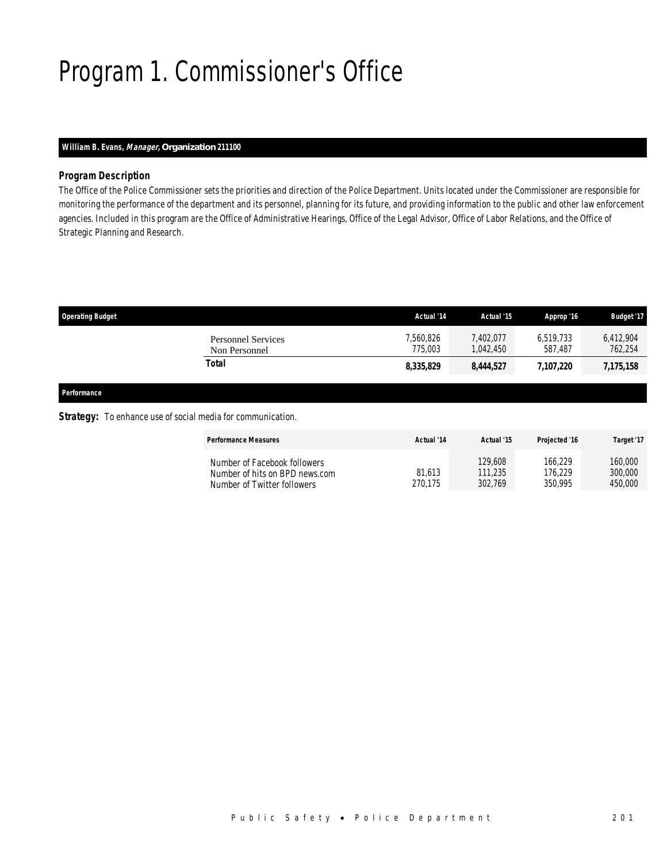## Program 1. Commissioner's Office

## *William B. Evans, Manager, Organization 211100*

### *Program Description*

The Office of the Police Commissioner sets the priorities and direction of the Police Department. Units located under the Commissioner are responsible for monitoring the performance of the department and its personnel, planning for its future, and providing information to the public and other law enforcement agencies. Included in this program are the Office of Administrative Hearings, Office of the Legal Advisor, Office of Labor Relations, and the Office of Strategic Planning and Research.

| <b>Operating Budget</b>                    | Actual '14           | Actual '15            | Approp '16           | <b>Budget '17</b>    |
|--------------------------------------------|----------------------|-----------------------|----------------------|----------------------|
| <b>Personnel Services</b><br>Non Personnel | 7.560.826<br>775,003 | 7,402,077<br>.042.450 | 6.519.733<br>587.487 | 6,412,904<br>762,254 |
| Total                                      | 8,335,829            | 8,444,527             | 7.107.220            | 7,175,158            |
|                                            |                      |                       |                      |                      |

*Performance* 

### **Strategy:** To enhance use of social media for communication.

| <b>Performance Measures</b>                                                                   | Actual '14        | Actual '15                    | <b>Projected '16</b>          | Target '17                    |
|-----------------------------------------------------------------------------------------------|-------------------|-------------------------------|-------------------------------|-------------------------------|
| Number of Facebook followers<br>Number of hits on BPD news.com<br>Number of Twitter followers | 81.613<br>270.175 | 129,608<br>111,235<br>302.769 | 166.229<br>176.229<br>350.995 | 160.000<br>300,000<br>450,000 |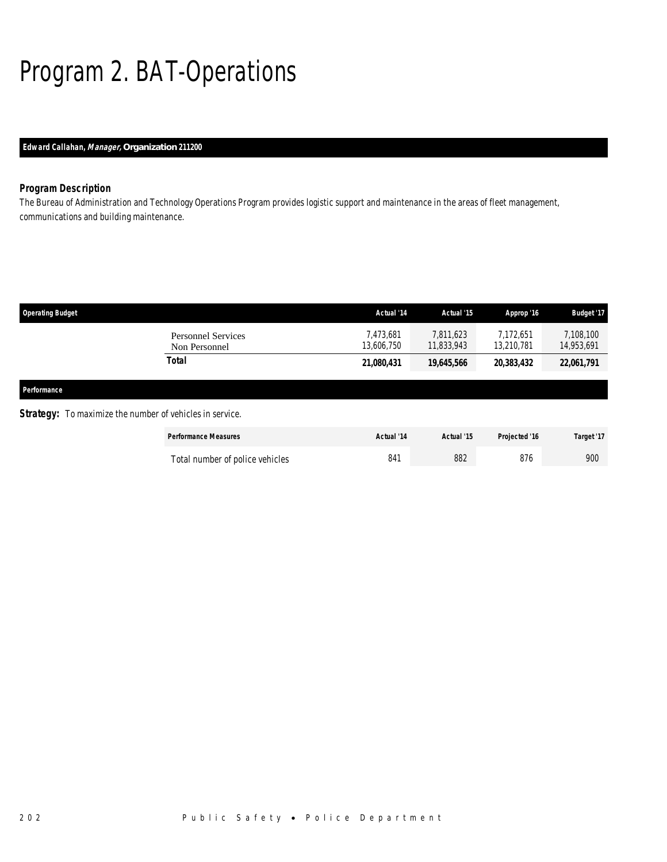# Program 2. BAT-Operations

## *Edward Callahan, Manager, Organization 211200*

## *Program Description*

The Bureau of Administration and Technology Operations Program provides logistic support and maintenance in the areas of fleet management, communications and building maintenance.

| <b>Operating Budget</b> |                                                                 | Actual '14              | Actual '15              | Approp '16              | Budget '17              |
|-------------------------|-----------------------------------------------------------------|-------------------------|-------------------------|-------------------------|-------------------------|
|                         | <b>Personnel Services</b><br>Non Personnel                      | 7,473,681<br>13,606,750 | 7.811.623<br>11,833,943 | 7.172.651<br>13,210,781 | 7,108,100<br>14,953,691 |
|                         | Total                                                           | 21,080,431              | 19,645,566              | 20,383,432              | 22,061,791              |
| Performance             |                                                                 |                         |                         |                         |                         |
|                         | <b>Strategy:</b> To maximize the number of vehicles in service. |                         |                         |                         |                         |
|                         | <b>Performance Measures</b>                                     | Actual '14              | Actual '15              | Projected '16           | Target '17              |

| Total number of police vehicles | 882 | 900 |
|---------------------------------|-----|-----|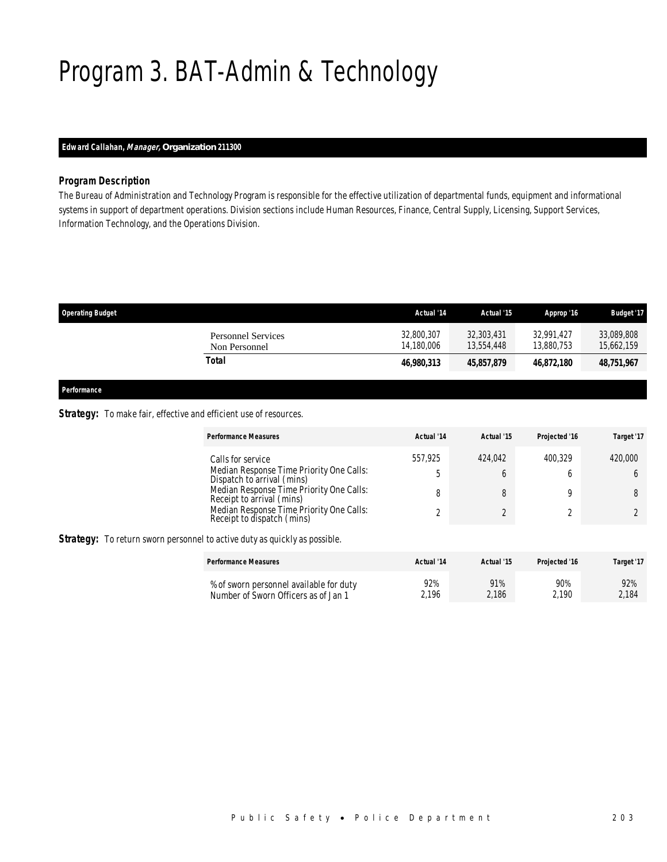## Program 3. BAT-Admin & Technology

## *Edward Callahan, Manager, Organization 211300*

### *Program Description*

The Bureau of Administration and Technology Program is responsible for the effective utilization of departmental funds, equipment and informational systems in support of department operations. Division sections include Human Resources, Finance, Central Supply, Licensing, Support Services, Information Technology, and the Operations Division.

| <b>Operating Budget</b>             | Actual '14               | Actual '15               | Approp '16               | <b>Budget '17</b>        |
|-------------------------------------|--------------------------|--------------------------|--------------------------|--------------------------|
| Personnel Services<br>Non Personnel | 32,800,307<br>14.180.006 | 32,303,431<br>13,554,448 | 32.991.427<br>13.880.753 | 33,089,808<br>15,662,159 |
| Total                               | 46,980,313               | 45,857,879               | 46.872.180               | 48,751,967               |

*Performance* 

### Strategy: To make fair, effective and efficient use of resources.

| Performance Measures                                                                                                                                                                                                                           | Actual '14         | Actual '15 | Projected '16 | Target '17 |
|------------------------------------------------------------------------------------------------------------------------------------------------------------------------------------------------------------------------------------------------|--------------------|------------|---------------|------------|
| Calls for service<br>Median Response Time Priority One Calls:<br>Dispatch to arrival (mins)<br>Median Response Time Priority One Calls:<br>Receipt to arrival (mins)<br>Median Response Time Priority One Calls:<br>Receipt to dispatch (mins) | 557.925<br>ь.<br>8 | 424.042    | 400.329       | 420,000    |

Strategy: To return sworn personnel to active duty as quickly as possible.

| <b>Performance Measures</b>             | Actual '14 | Actual '15 | Projected '16 | Target '17 |
|-----------------------------------------|------------|------------|---------------|------------|
| % of sworn personnel available for duty | 92%        | 91%        | 90%           | 92%        |
| Number of Sworn Officers as of Jan 1    | 2.196      | 2,186      | 2.190         | 2.184      |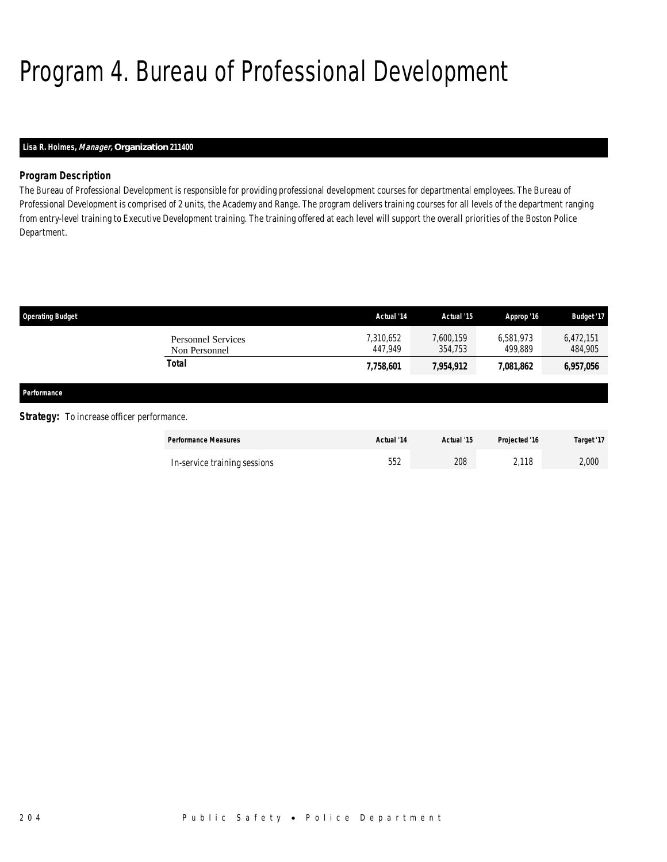## Program 4. Bureau of Professional Development

## *Lisa R. Holmes, Manager, Organization 211400*

## *Program Description*

The Bureau of Professional Development is responsible for providing professional development courses for departmental employees. The Bureau of Professional Development is comprised of 2 units, the Academy and Range. The program delivers training courses for all levels of the department ranging from entry-level training to Executive Development training. The training offered at each level will support the overall priorities of the Boston Police Department.

| <b>Operating Budget</b>                           |                                            | Actual '14           | Actual '15           | Approp '16           | Budget '17           |
|---------------------------------------------------|--------------------------------------------|----------------------|----------------------|----------------------|----------------------|
|                                                   | <b>Personnel Services</b><br>Non Personnel | 7,310,652<br>447.949 | 7,600,159<br>354,753 | 6,581,973<br>499.889 | 6,472,151<br>484,905 |
|                                                   | <b>Total</b>                               | 7,758,601            | 7,954,912            | 7,081,862            | 6,957,056            |
| Performance                                       |                                            |                      |                      |                      |                      |
| <b>Strategy:</b> To increase officer performance. |                                            |                      |                      |                      |                      |
|                                                   | <b>Performance Measures</b>                | Actual '14           | Actual '15           | Projected '16        | Target '17           |
|                                                   | In-service training sessions               | 552                  | 208                  | 2,118                | 2,000                |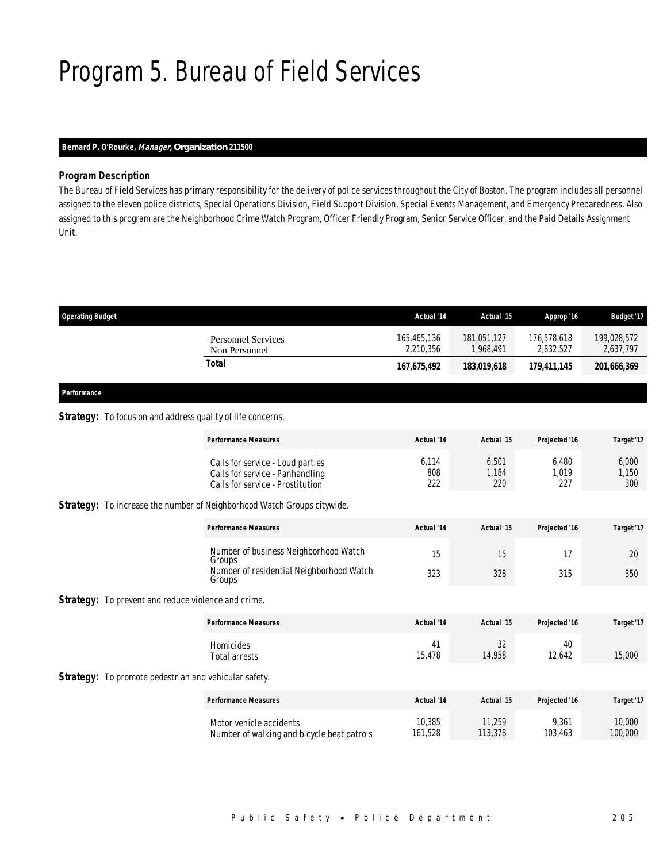## Program 5. Bureau of Field Services

## *Bernard P. O'Rourke, Manager, Organization 211500*

## *Program Description*

The Bureau of Field Services has primary responsibility for the delivery of police services throughout the City of Boston. The program includes all personnel assigned to the eleven police districts, Special Operations Division, Field Support Division, Special Events Management, and Emergency Preparedness. Also assigned to this program are the Neighborhood Crime Watch Program, Officer Friendly Program, Senior Service Officer, and the Paid Details Assignment Unit.

| <b>Operating Budget</b>                                      |                                                                                                         | Actual '14               | Actual '15               | Approp '16               | <b>Budget '17</b>        |
|--------------------------------------------------------------|---------------------------------------------------------------------------------------------------------|--------------------------|--------------------------|--------------------------|--------------------------|
|                                                              | <b>Personnel Services</b><br>Non Personnel                                                              | 165,465,136<br>2,210,356 | 181,051,127<br>1,968,491 | 176,578,618<br>2,832,527 | 199,028,572<br>2,637,797 |
|                                                              | <b>Total</b>                                                                                            | 167,675,492              | 183,019,618              | 179,411,145              | 201,666,369              |
| Performance                                                  |                                                                                                         |                          |                          |                          |                          |
| Strategy: To focus on and address quality of life concerns.  |                                                                                                         |                          |                          |                          |                          |
|                                                              | <b>Performance Measures</b>                                                                             | Actual '14               | Actual '15               | Projected '16            | Target '17               |
|                                                              | Calls for service - Loud parties<br>Calls for service - Panhandling<br>Calls for service - Prostitution | 6,114<br>808<br>222      | 6,501<br>1.184<br>220    | 6,480<br>1,019<br>227    | 6,000<br>1,150<br>300    |
|                                                              | Strategy: To increase the number of Neighborhood Watch Groups citywide.                                 |                          |                          |                          |                          |
|                                                              | <b>Performance Measures</b>                                                                             | Actual '14               | Actual '15               | Projected '16            | Target '17               |
|                                                              | Number of business Neighborhood Watch<br>Groups                                                         | 15                       | 15                       | 17                       | 20                       |
|                                                              | Number of residential Neighborhood Watch<br>Groups                                                      | 323                      | 328                      | 315                      | 350                      |
| <b>Strategy:</b> To prevent and reduce violence and crime.   |                                                                                                         |                          |                          |                          |                          |
|                                                              | <b>Performance Measures</b>                                                                             | Actual '14               | Actual '15               | Projected '16            | Target '17               |
|                                                              | Homicides<br><b>Total arrests</b>                                                                       | 41<br>15,478             | 32<br>14,958             | 40<br>12,642             | 15,000                   |
| <b>Strategy:</b> To promote pedestrian and vehicular safety. |                                                                                                         |                          |                          |                          |                          |
|                                                              | <b>Performance Measures</b>                                                                             | Actual '14               | Actual '15               | Projected '16            | Target '17               |
|                                                              | Motor vehicle accidents<br>Number of walking and bicycle beat patrols                                   | 10.385<br>161,528        | 11,259<br>113,378        | 9.361<br>103,463         | 10,000<br>100,000        |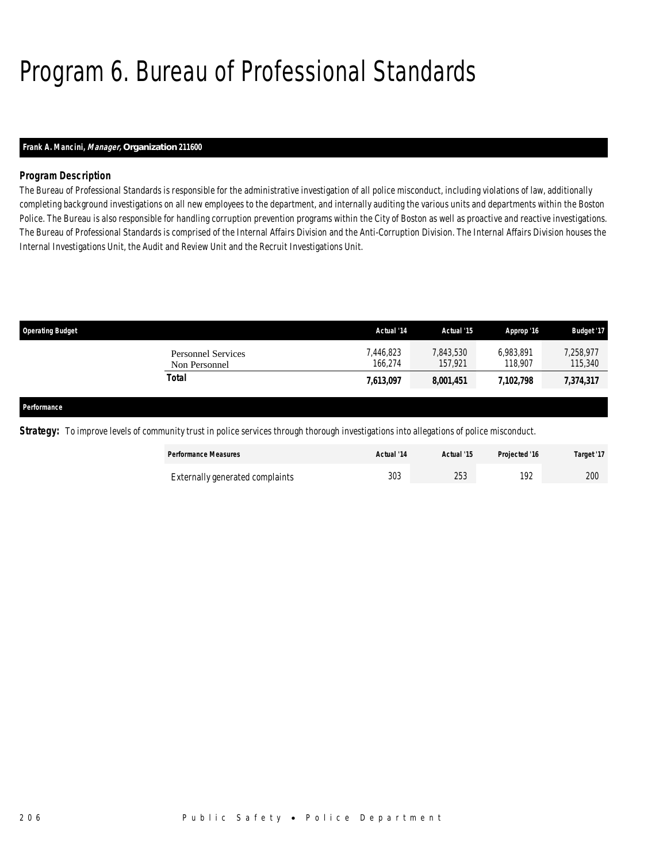## Program 6. Bureau of Professional Standards

## *Frank A. Mancini, Manager, Organization 211600*

## *Program Description*

The Bureau of Professional Standards is responsible for the administrative investigation of all police misconduct, including violations of law, additionally completing background investigations on all new employees to the department, and internally auditing the various units and departments within the Boston Police. The Bureau is also responsible for handling corruption prevention programs within the City of Boston as well as proactive and reactive investigations. The Bureau of Professional Standards is comprised of the Internal Affairs Division and the Anti-Corruption Division. The Internal Affairs Division houses the Internal Investigations Unit, the Audit and Review Unit and the Recruit Investigations Unit.

| <b>Operating Budget</b>             | Actual '14         | Actual '15           | Approp '16           | <b>Budget '17</b>    |
|-------------------------------------|--------------------|----------------------|----------------------|----------------------|
| Personnel Services<br>Non Personnel | 446,823<br>166.274 | 7,843,530<br>157.921 | 6.983.891<br>118,907 | 7,258,977<br>115,340 |
| Total                               | 7,613,097          | 8,001,451            | 7,102,798            | 7,374,317            |
|                                     |                    |                      |                      |                      |

#### *Performance*

**Strategy:** To improve levels of community trust in police services through thorough investigations into allegations of police misconduct.

| <b>Performance Measures</b>     | Actual '14 | Actual '15 | Projected '16 | Target '17 |
|---------------------------------|------------|------------|---------------|------------|
| Externally generated complaints | 303        | 253        | 192           | 200        |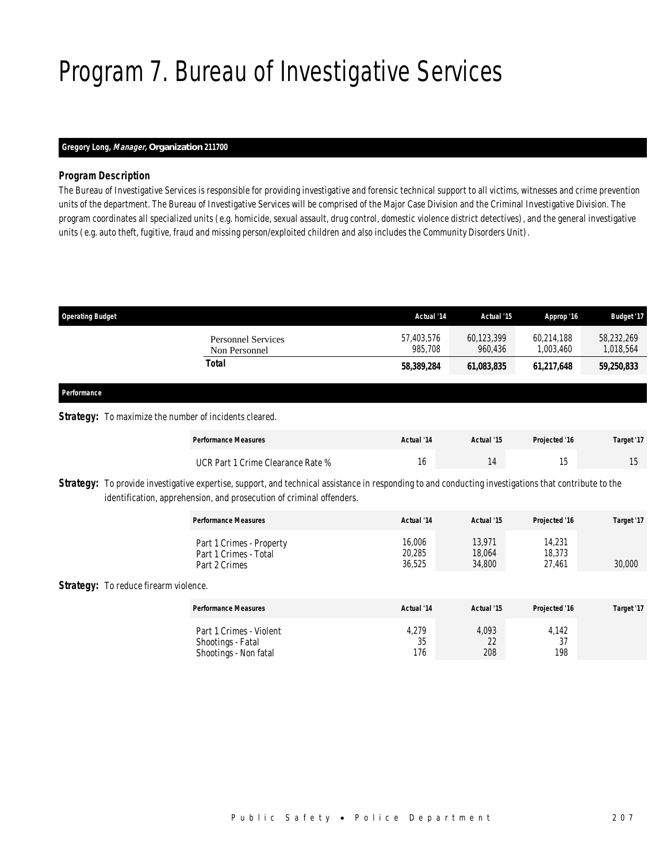## Program 7. Bureau of Investigative Services

## *Gregory Long, Manager, Organization 211700*

### *Program Description*

The Bureau of Investigative Services is responsible for providing investigative and forensic technical support to all victims, witnesses and crime prevention units of the department. The Bureau of Investigative Services will be comprised of the Major Case Division and the Criminal Investigative Division. The program coordinates all specialized units (e.g. homicide, sexual assault, drug control, domestic violence district detectives), and the general investigative units (e.g. auto theft, fugitive, fraud and missing person/exploited children and also includes the Community Disorders Unit).

| <b>Operating Budget</b> |                                                                                                                                                                                                                               | Actual '14            | Actual '15            | Approp '16              | <b>Budget '17</b>       |
|-------------------------|-------------------------------------------------------------------------------------------------------------------------------------------------------------------------------------------------------------------------------|-----------------------|-----------------------|-------------------------|-------------------------|
|                         | <b>Personnel Services</b><br>Non Personnel                                                                                                                                                                                    | 57,403,576<br>985,708 | 60,123,399<br>960.436 | 60.214.188<br>1.003.460 | 58,232,269<br>1,018,564 |
|                         | <b>Total</b>                                                                                                                                                                                                                  | 58,389,284            | 61,083,835            | 61,217,648              | 59,250,833              |
| Performance             |                                                                                                                                                                                                                               |                       |                       |                         |                         |
|                         | <b>Strategy:</b> To maximize the number of incidents cleared.                                                                                                                                                                 |                       |                       |                         |                         |
|                         | <b>Performance Measures</b>                                                                                                                                                                                                   | Actual '14            | Actual '15            | Projected '16           | Target '17              |
|                         | UCR Part 1 Crime Clearance Rate %                                                                                                                                                                                             | 16                    | 14                    | 15                      | 15                      |
|                         | Strategy: To provide investigative expertise, support, and technical assistance in responding to and conducting investigations that contribute to the<br>identification, apprehension, and prosecution of criminal offenders. |                       |                       |                         |                         |

| <b>Performance Measures</b>                                        | Actual '14                 | Actual '15                 | Projected '16              | Target '17 |
|--------------------------------------------------------------------|----------------------------|----------------------------|----------------------------|------------|
| Part 1 Crimes - Property<br>Part 1 Crimes - Total<br>Part 2 Crimes | 16,006<br>20,285<br>36.525 | 13.971<br>18,064<br>34,800 | 14,231<br>18,373<br>27.461 | 30,000     |

### Strategy: To reduce firearm violence.

| <b>Performance Measures</b> | Actual '14 | Actual '15 | Projected '16 | Target '17 |
|-----------------------------|------------|------------|---------------|------------|
| Part 1 Crimes - Violent     | 4,279      | 4,093      | 4,142         |            |
| Shootings - Fatal           | 35         | 22         | 37            |            |
| Shootings - Non fatal       | 176        | 208        | 198           |            |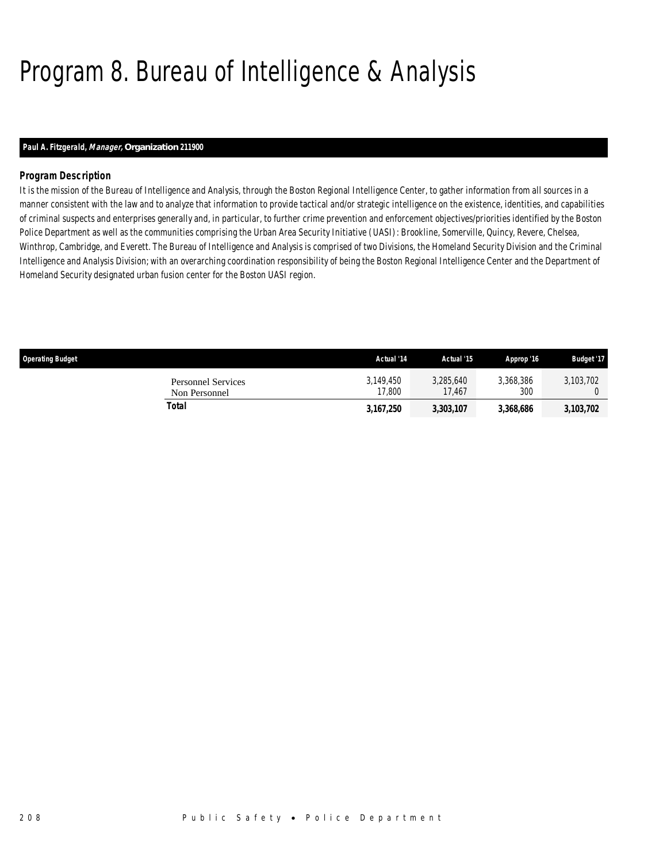## Program 8. Bureau of Intelligence & Analysis

## *Paul A. Fitzgerald, Manager, Organization 211900*

## *Program Description*

It is the mission of the Bureau of Intelligence and Analysis, through the Boston Regional Intelligence Center, to gather information from all sources in a manner consistent with the law and to analyze that information to provide tactical and/or strategic intelligence on the existence, identities, and capabilities of criminal suspects and enterprises generally and, in particular, to further crime prevention and enforcement objectives/priorities identified by the Boston Police Department as well as the communities comprising the Urban Area Security Initiative (UASI): Brookline, Somerville, Quincy, Revere, Chelsea, Winthrop, Cambridge, and Everett. The Bureau of Intelligence and Analysis is comprised of two Divisions, the Homeland Security Division and the Criminal Intelligence and Analysis Division; with an overarching coordination responsibility of being the Boston Regional Intelligence Center and the Department of Homeland Security designated urban fusion center for the Boston UASI region.

| <b>Operating Budget</b>                    | Actual '14          | Actual '15          | Approp '16       | <b>Budget '17</b> |
|--------------------------------------------|---------------------|---------------------|------------------|-------------------|
| <b>Personnel Services</b><br>Non Personnel | 3.149.450<br>17,800 | 3,285,640<br>17.467 | 3,368,386<br>300 | 3.103.702         |
| Total                                      | 3,167,250           | 3,303,107           | 3,368,686        | 3,103,702         |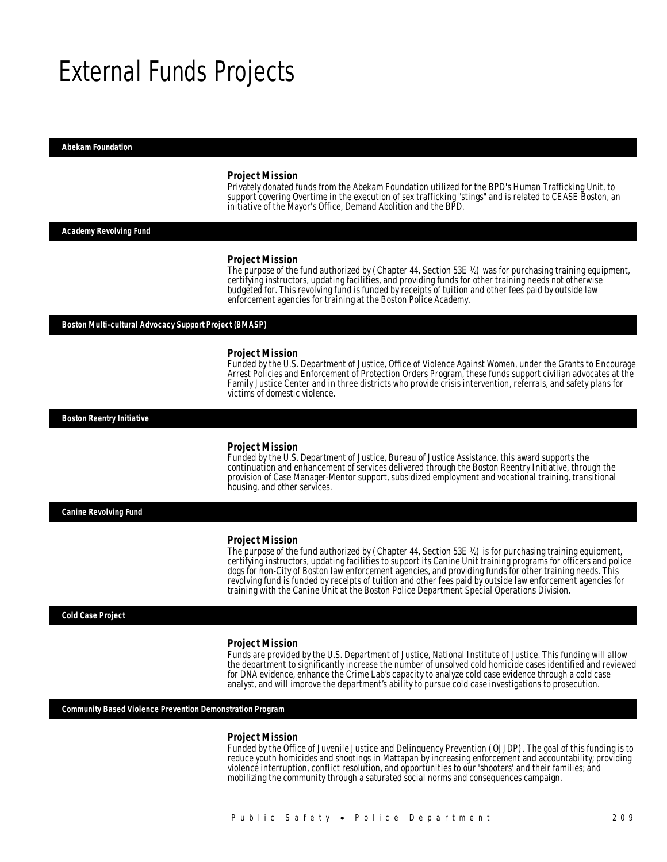## External Funds Projects

#### *Abekam Foundation*

#### *Project Mission*

Privately donated funds from the Abekam Foundation utilized for the BPD's Human Trafficking Unit, to support covering Overtime in the execution of sex trafficking "stings" and is related to CEASE Boston, an initiative of the Mayor's Office, Demand Abolition and the BPD.

#### *Academy Revolving Fund*

#### *Project Mission*

The purpose of the fund authorized by (Chapter 44, Section 53E ½) was for purchasing training equipment, certifying instructors, updating facilities, and providing funds for other training needs not otherwise budgeted for. This revolving fund is funded by receipts of tuition and other fees paid by outside law enforcement agencies for training at the Boston Police Academy.

#### *Boston Multi-cultural Advocacy Support Project (BMASP)*

#### *Project Mission*

Funded by the U.S. Department of Justice, Office of Violence Against Women, under the Grants to Encourage Arrest Policies and Enforcement of Protection Orders Program, these funds support civilian advocates at the Family Justice Center and in three districts who provide crisis intervention, referrals, and safety plans for victims of domestic violence.

*Boston Reentry Initiative* 

#### *Project Mission*

Funded by the U.S. Department of Justice, Bureau of Justice Assistance, this award supports the continuation and enhancement of services delivered through the Boston Reentry Initiative, through the provision of Case Manager-Mentor support, subsidized employment and vocational training, transitional housing, and other services.

*Canine Revolving Fund* 

#### *Project Mission*

The purpose of the fund authorized by (Chapter 44, Section 53E ½) is for purchasing training equipment, certifying instructors, updating facilities to support its Canine Unit training programs for officers and police dogs for non-City of Boston law enforcement agencies, and providing funds for other training needs. This revolving fund is funded by receipts of tuition and other fees paid by outside law enforcement agencies for training with the Canine Unit at the Boston Police Department Special Operations Division.

#### *Cold Case Project*

#### *Project Mission*

Funds are provided by the U.S. Department of Justice, National Institute of Justice. This funding will allow the department to significantly increase the number of unsolved cold homicide cases identified and reviewed for DNA evidence, enhance the Crime Lab's capacity to analyze cold case evidence through a cold case analyst, and will improve the department's ability to pursue cold case investigations to prosecution.

*Community Based Violence Prevention Demonstration Program* 

#### *Project Mission*

Funded by the Office of Juvenile Justice and Delinquency Prevention (OJJDP). The goal of this funding is to reduce youth homicides and shootings in Mattapan by increasing enforcement and accountability; providing violence interruption, conflict resolution, and opportunities to our 'shooters' and their families; and mobilizing the community through a saturated social norms and consequences campaign.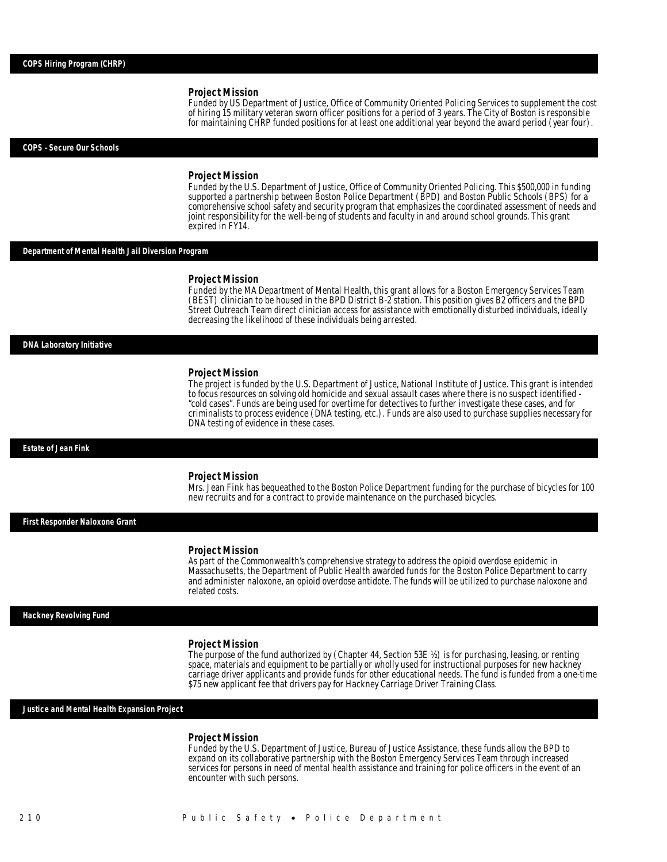Funded by US Department of Justice, Office of Community Oriented Policing Services to supplement the cost of hiring 15 military veteran sworn officer positions for a period of 3 years. The City of Boston is responsible for maintaining CHRP funded positions for at least one additional year beyond the award period (year four).

#### *COPS –Secure Our Schools*

#### *Project Mission*

Funded by the U.S. Department of Justice, Office of Community Oriented Policing. This \$500,000 in funding supported a partnership between Boston Police Department (BPD) and Boston Public Schools (BPS) for a comprehensive school safety and security program that emphasizes the coordinated assessment of needs and joint responsibility for the well-being of students and faculty in and around school grounds. This grant expired in FY14.

#### *Department of Mental Health Jail Diversion Program*

#### *Project Mission*

Funded by the MA Department of Mental Health, this grant allows for a Boston Emergency Services Team (BEST) clinician to be housed in the BPD District B-2 station. This position gives B2 officers and the BPD Street Outreach Team direct clinician access for assistance with emotionally disturbed individuals, ideally decreasing the likelihood of these individuals being arrested.

#### *DNA Laboratory Initiative*

#### *Project Mission*

The project is funded by the U.S. Department of Justice, National Institute of Justice. This grant is intended to focus resources on solving old homicide and sexual assault cases where there is no suspect identified - "cold cases". Funds are being used for overtime for detectives to further investigate these cases, and for criminalists to process evidence (DNA testing, etc.). Funds are also used to purchase supplies necessary for DNA testing of evidence in these cases.

#### *Estate of Jean Fink*

#### *Project Mission*

Mrs. Jean Fink has bequeathed to the Boston Police Department funding for the purchase of bicycles for 100 new recruits and for a contract to provide maintenance on the purchased bicycles.

*First Responder Naloxone Grant* 

#### *Project Mission*

As part of the Commonwealth's comprehensive strategy to address the opioid overdose epidemic in Massachusetts, the Department of Public Health awarded funds for the Boston Police Department to carry and administer naloxone, an opioid overdose antidote. The funds will be utilized to purchase naloxone and related costs.

#### *Hackney Revolving Fund*

#### *Project Mission*

The purpose of the fund authorized by (Chapter 44, Section 53E  $\frac{1}{2}$ ) is for purchasing, leasing, or renting space, materials and equipment to be partially or wholly used for instructional purposes for new hackney carriage driver applicants and provide funds for other educational needs. The fund is funded from a one-time \$75 new applicant fee that drivers pay for Hackney Carriage Driver Training Class.

#### *Justice and Mental Health Expansion Project*

#### *Project Mission*

Funded by the U.S. Department of Justice, Bureau of Justice Assistance, these funds allow the BPD to expand on its collaborative partnership with the Boston Emergency Services Team through increased services for persons in need of mental health assistance and training for police officers in the event of an encounter with such persons.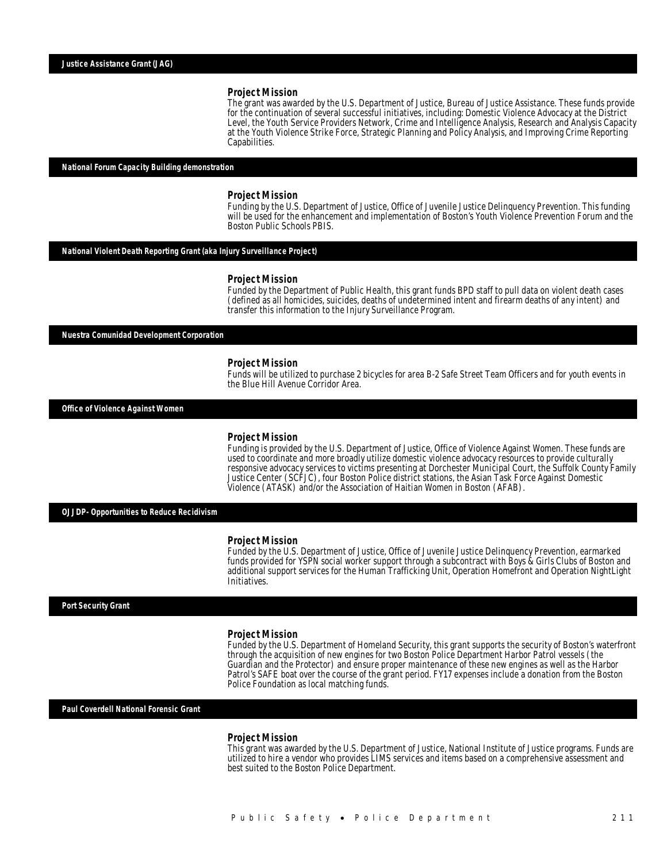The grant was awarded by the U.S. Department of Justice, Bureau of Justice Assistance. These funds provide for the continuation of several successful initiatives, including: Domestic Violence Advocacy at the District Level, the Youth Service Providers Network, Crime and Intelligence Analysis, Research and Analysis Capacity at the Youth Violence Strike Force, Strategic Planning and Policy Analysis, and Improving Crime Reporting Capabilities.

### *National Forum Capacity Building demonstration*

#### *Project Mission*

Funding by the U.S. Department of Justice, Office of Juvenile Justice Delinquency Prevention. This funding will be used for the enhancement and implementation of Boston's Youth Violence Prevention Forum and the Boston Public Schools PBIS.

### *National Violent Death Reporting Grant (aka Injury Surveillance Project)*

#### *Project Mission*

Funded by the Department of Public Health, this grant funds BPD staff to pull data on violent death cases (defined as all homicides, suicides, deaths of undetermined intent and firearm deaths of any intent) and transfer this information to the Injury Surveillance Program.

*Nuestra Comunidad Development Corporation* 

#### *Project Mission*

Funds will be utilized to purchase 2 bicycles for area B-2 Safe Street Team Officers and for youth events in the Blue Hill Avenue Corridor Area.

*Office of Violence Against Women* 

### *Project Mission*

Funding is provided by the U.S. Department of Justice, Office of Violence Against Women. These funds are used to coordinate and more broadly utilize domestic violence advocacy resources to provide culturally responsive advocacy services to victims presenting at Dorchester Municipal Court, the Suffolk County Family Justice Center (SCFJC), four Boston Police district stations, the Asian Task Force Against Domestic Violence (ATASK) and/or the Association of Haitian Women in Boston (AFAB).

*OJJDP- Opportunities to Reduce Recidivism* 

#### *Project Mission*

Funded by the U.S. Department of Justice, Office of Juvenile Justice Delinquency Prevention, earmarked funds provided for YSPN social worker support through a subcontract with Boys & Girls Clubs of Boston and additional support services for the Human Trafficking Unit, Operation Homefront and Operation NightLight Initiatives.

*Port Security Grant* 

#### *Project Mission*

Funded by the U.S. Department of Homeland Security, this grant supports the security of Boston's waterfront through the acquisition of new engines for two Boston Police Department Harbor Patrol vessels (the Guardian and the Protector) and ensure proper maintenance of these new engines as well as the Harbor Patrol's SAFE boat over the course of the grant period. FY17 expenses include a donation from the Boston Police Foundation as local matching funds.

*Paul Coverdell National Forensic Grant* 

#### *Project Mission*

This grant was awarded by the U.S. Department of Justice, National Institute of Justice programs. Funds are utilized to hire a vendor who provides LIMS services and items based on a comprehensive assessment and best suited to the Boston Police Department.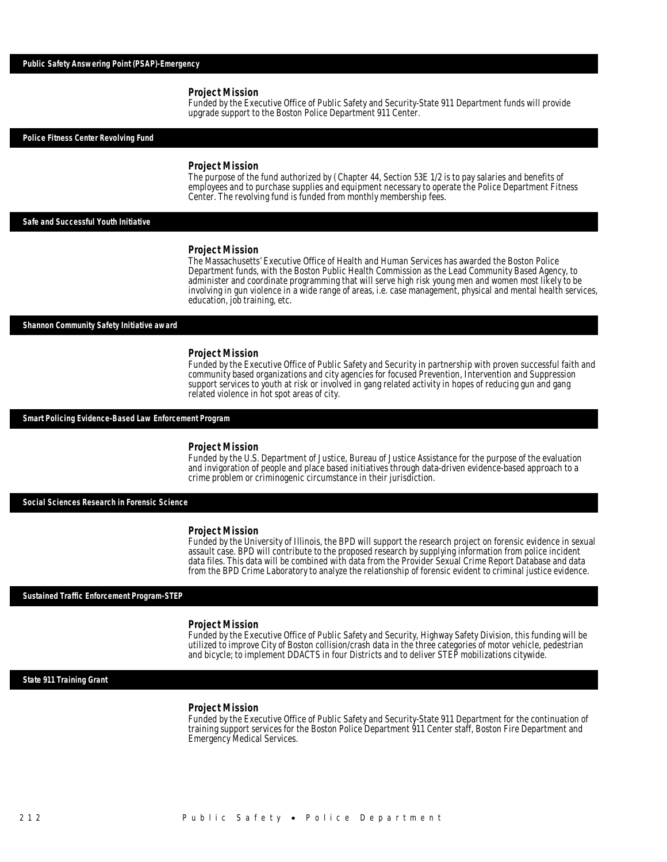Funded by the Executive Office of Public Safety and Security-State 911 Department funds will provide upgrade support to the Boston Police Department 911 Center.

*Police Fitness Center Revolving Fund* 

#### *Project Mission*

The purpose of the fund authorized by (Chapter 44, Section 53E 1/2 is to pay salaries and benefits of employees and to purchase supplies and equipment necessary to operate the Police Department Fitness Center. The revolving fund is funded from monthly membership fees.

*Safe and Successful Youth Initiative* 

#### *Project Mission*

The Massachusetts' Executive Office of Health and Human Services has awarded the Boston Police Department funds, with the Boston Public Health Commission as the Lead Community Based Agency, to administer and coordinate programming that will serve high risk young men and women most likely to be involving in gun violence in a wide range of areas, i.e. case management, physical and mental health services, education, job training, etc.

#### *Shannon Community Safety Initiative award*

#### *Project Mission*

Funded by the Executive Office of Public Safety and Security in partnership with proven successful faith and community based organizations and city agencies for focused Prevention, Intervention and Suppression support services to youth at risk or involved in gang related activity in hopes of reducing gun and gang related violence in hot spot areas of city.

#### *Smart Policing Evidence-Based Law Enforcement Program*

#### *Project Mission*

Funded by the U.S. Department of Justice, Bureau of Justice Assistance for the purpose of the evaluation and invigoration of people and place based initiatives through data-driven evidence-based approach to a crime problem or criminogenic circumstance in their jurisdiction.

#### *Social Sciences Research in Forensic Science*

#### *Project Mission*

Funded by the University of Illinois, the BPD will support the research project on forensic evidence in sexual assault case. BPD will contribute to the proposed research by supplying information from police incident data files. This data will be combined with data from the Provider Sexual Crime Report Database and data from the BPD Crime Laboratory to analyze the relationship of forensic evident to criminal justice evidence.

#### *Sustained Traffic Enforcement Program-STEP*

#### *Project Mission*

Funded by the Executive Office of Public Safety and Security, Highway Safety Division, this funding will be utilized to improve City of Boston collision/crash data in the three categories of motor vehicle, pedestrian and bicycle; to implement DDACTS in four Districts and to deliver STEP mobilizations citywide.

#### *State 911 Training Grant*

#### *Project Mission*

Funded by the Executive Office of Public Safety and Security-State 911 Department for the continuation of training support services for the Boston Police Department 911 Center staff, Boston Fire Department and Emergency Medical Services.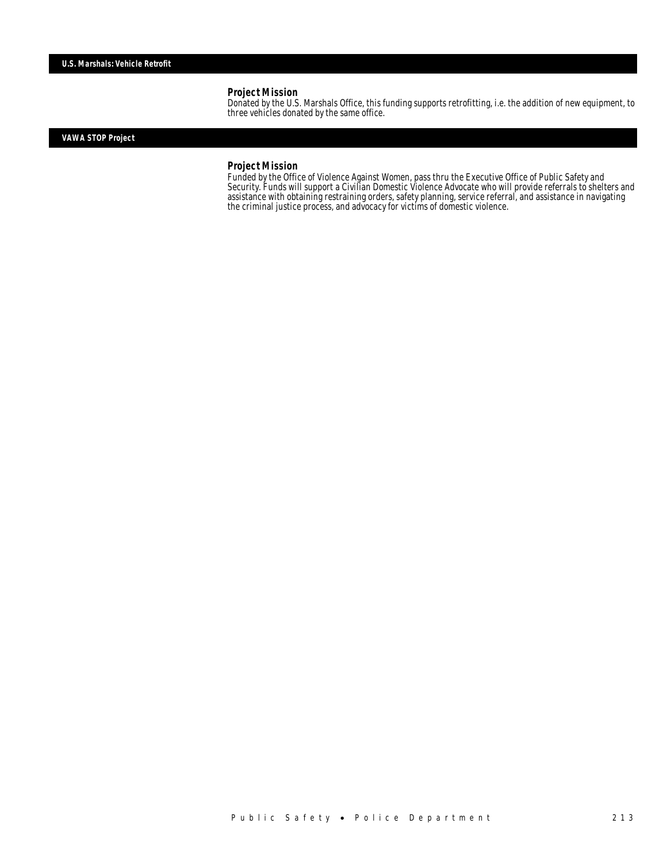Donated by the U.S. Marshals Office, this funding supports retrofitting, i.e. the addition of new equipment, to three vehicles donated by the same office.

## *VAWA STOP Project*

#### *Project Mission*

Funded by the Office of Violence Against Women, pass thru the Executive Office of Public Safety and Security. Funds will support a Civilian Domestic Violence Advocate who will provide referrals to shelters and assistance with obtaining restraining orders, safety planning, service referral, and assistance in navigating the criminal justice process, and advocacy for victims of domestic violence.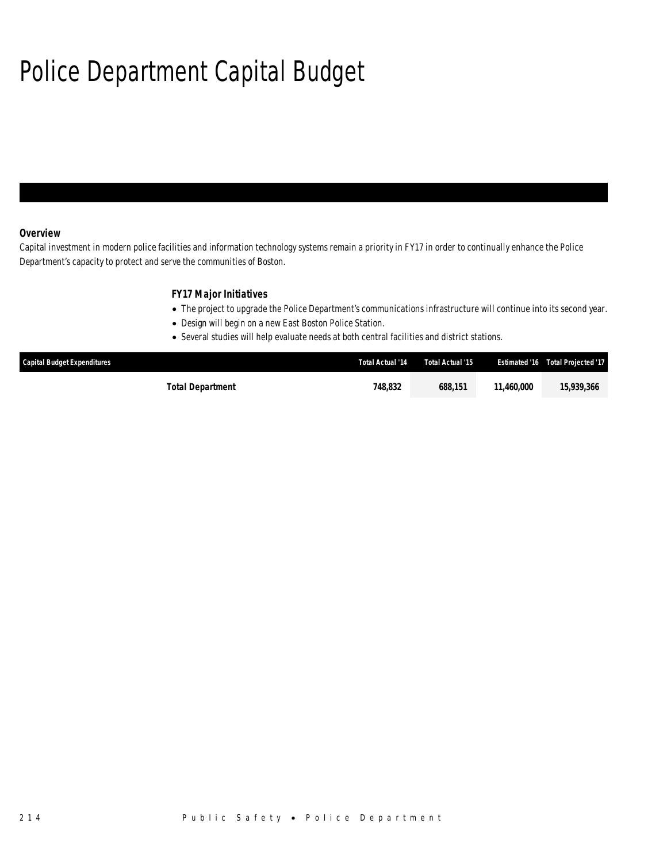## Police Department Capital Budget

## *Overview*

Capital investment in modern police facilities and information technology systems remain a priority in FY17 in order to continually enhance the Police Department's capacity to protect and serve the communities of Boston.

## *FY17 Major Initiatives*

- The project to upgrade the Police Department's communications infrastructure will continue into its second year.
- Design will begin on a new East Boston Police Station.
- Several studies will help evaluate needs at both central facilities and district stations.

| <b>Capital Budget Expenditures</b> | Total Actual '14 | Total Actual '15 |            | <b>Estimated '16 Total Projected '17</b> |
|------------------------------------|------------------|------------------|------------|------------------------------------------|
| Total Department                   | 748.832          | 688.151          | 11.460.000 | 15,939,366                               |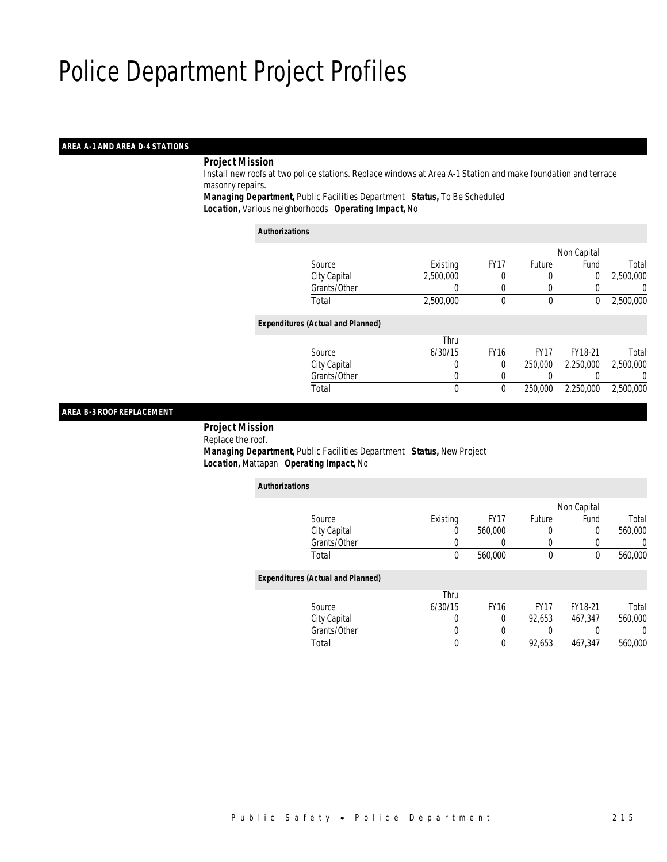### *AREA A-1 AND AREA D-4 STATIONS*

### *Project Mission*

 Install new roofs at two police stations. Replace windows at Area A-1 Station and make foundation and terrace masonry repairs.

*Managing Department,* Public Facilities Department *Status,* To Be Scheduled*Location,* Various neighborhoods *Operating Impact,* No

| Authorizations |
|----------------|
|----------------|

|                                          |           |             |             | Non Capital |           |
|------------------------------------------|-----------|-------------|-------------|-------------|-----------|
| Source                                   | Existing  | <b>FY17</b> | Future      | Fund        | Total     |
| City Capital                             | 2,500,000 |             |             | 0           | 2,500,000 |
| Grants/Other                             |           |             |             |             | 0         |
| Total                                    | 2,500,000 | 0           | $\mathbf 0$ | 0           | 2,500,000 |
| <b>Expenditures (Actual and Planned)</b> |           |             |             |             |           |
|                                          | Thru      |             |             |             |           |
| Source                                   | 6/30/15   | <b>FY16</b> | <b>FY17</b> | FY18-21     | Total     |
| City Capital                             | 0         | $\Omega$    | 250,000     | 2,250,000   | 2,500,000 |
| Grants/Other                             | 0         |             |             |             | 0         |
| Total                                    | 0         | $\theta$    | 250,000     | 2,250,000   | 2,500,000 |
|                                          |           |             |             |             |           |

## *AREA B-3 ROOF REPLACEMENT*

 *Project Mission* Replace the roof. *Managing Department,* Public Facilities Department *Status,* New Project*Location,* Mattapan *Operating Impact,* No

| <b>Authorizations</b>                    |          |             |             |             |         |
|------------------------------------------|----------|-------------|-------------|-------------|---------|
|                                          |          |             |             | Non Capital |         |
| Source                                   | Existing | <b>FY17</b> | Future      | Fund        | Total   |
| City Capital                             | 0        | 560,000     | 0           | 0           | 560,000 |
| Grants/Other                             |          |             | 0           |             | 0       |
| Total                                    | 0        | 560.000     | 0           | 0           | 560,000 |
| <b>Expenditures (Actual and Planned)</b> |          |             |             |             |         |
|                                          | Thru     |             |             |             |         |
| Source                                   | 6/30/15  | <b>FY16</b> | <b>FY17</b> | FY18-21     | Total   |
| City Capital                             | 0        | 0           | 92,653      | 467,347     | 560,000 |
| Grants/Other                             | 0        |             | 0           |             | 0       |
| Total                                    | 0        | 0           | 92,653      | 467.347     | 560,000 |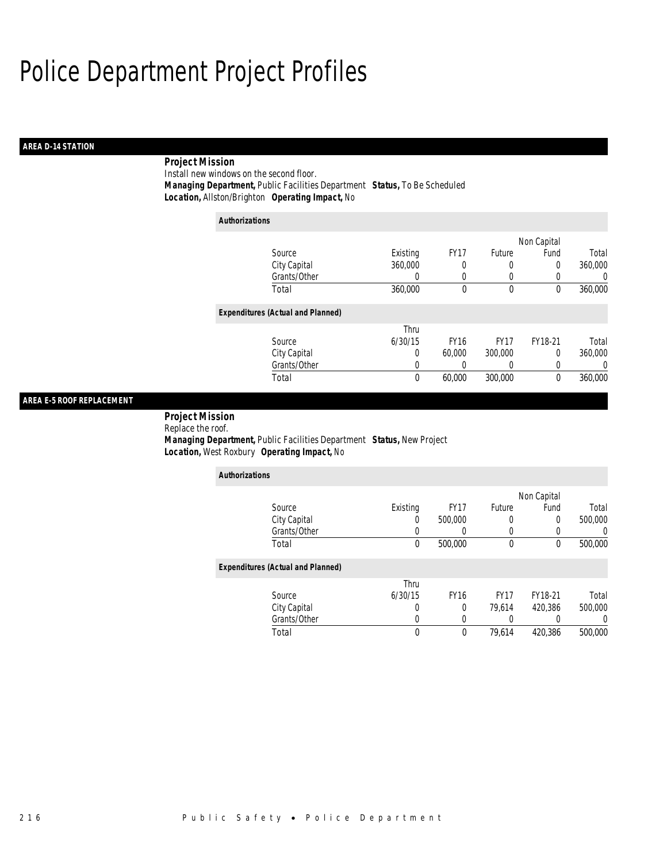## *AREA D-14 STATION*

## *Project Mission*

Install new windows on the second floor.*Managing Department,* Public Facilities Department *Status,* To Be Scheduled

*Location,* Allston/Brighton *Operating Impact,* No

| <b>Authorizations</b>                    |          |             |             |                  |                |
|------------------------------------------|----------|-------------|-------------|------------------|----------------|
|                                          |          |             |             | Non Capital      |                |
| Source                                   | Existing | <b>FY17</b> | Future      | Fund             | Total          |
| City Capital                             | 360,000  | 0           | 0           | 0                | 360,000        |
| Grants/Other                             | $\left($ | 0           | 0           | $\left( \right)$ | $\overline{0}$ |
| Total                                    | 360,000  | 0           | 0           | 0                | 360,000        |
| <b>Expenditures (Actual and Planned)</b> |          |             |             |                  |                |
|                                          | Thru     |             |             |                  |                |
| Source                                   | 6/30/15  | <b>FY16</b> | <b>FY17</b> | FY18-21          | Total          |
| City Capital                             | 0        | 60,000      | 300,000     | 0                | 360,000        |
| Grants/Other                             | 0        | 0           | 0           |                  | 0              |
| Total                                    | 0        | 60,000      | 300,000     | 0                | 360,000        |

## *AREA E-5 ROOF REPLACEMENT*

 *Project Mission* Replace the roof. *Managing Department,* Public Facilities Department *Status,* New Project*Location,* West Roxbury *Operating Impact,* No

| <b>Authorizations</b>                    |          |             |             |             |                  |
|------------------------------------------|----------|-------------|-------------|-------------|------------------|
|                                          |          |             |             | Non Capital |                  |
| Source                                   | Existing | <b>FY17</b> | Future      | Fund        | Total            |
| City Capital                             | 0        | 500,000     | 0           | 0           | 500,000          |
| Grants/Other                             |          | $\left($    | 0           | $\left($    |                  |
| Total                                    | $\theta$ | 500,000     | $\mathbf 0$ | 0           | 500,000          |
| <b>Expenditures (Actual and Planned)</b> |          |             |             |             |                  |
|                                          | Thru     |             |             |             |                  |
| Source                                   | 6/30/15  | <b>FY16</b> | <b>FY17</b> | FY18-21     | Total            |
| City Capital                             | 0        | $\Omega$    | 79.614      | 420.386     | 500,000          |
| Grants/Other                             | 0        | 0           | 0           | 0           | $\left( \right)$ |
| Total                                    | $\theta$ | $\theta$    | 79.614      | 420,386     | 500,000          |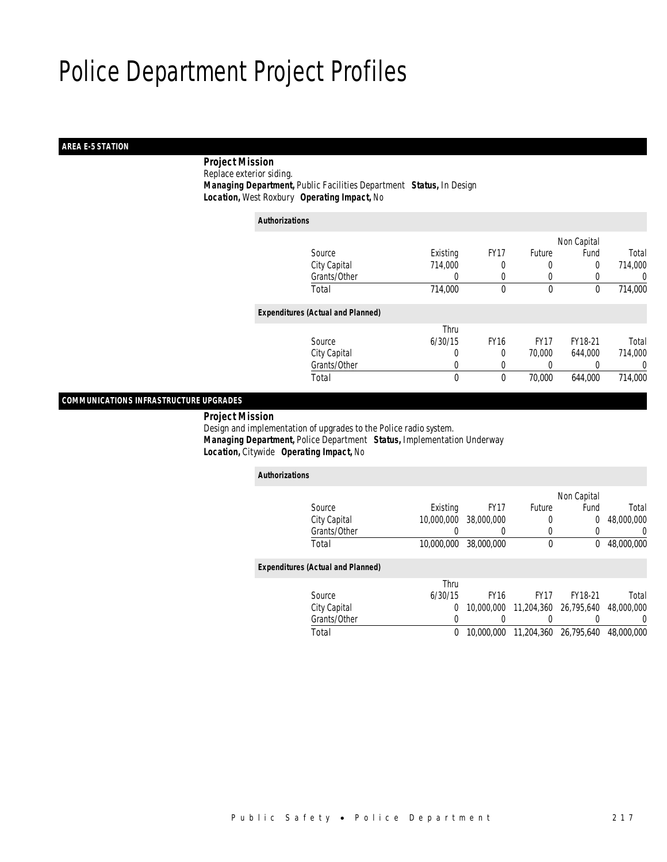## *AREA E-5 STATION*

 *Project Mission*Replace exterior siding.

*Managing Department,* Public Facilities Department *Status,* In Design

*Location,* West Roxbury *Operating Impact,* No

| <b>Authorizations</b>                    |              |             |             |             |         |
|------------------------------------------|--------------|-------------|-------------|-------------|---------|
|                                          |              |             |             | Non Capital |         |
| Source                                   | Existing     | <b>FY17</b> | Future      | Fund        | Total   |
| City Capital                             | 714,000      |             | 0           | 0           | 714,000 |
| Grants/Other                             | 0            | 0           | $\left($    | 0           | 0       |
| Total                                    | 714,000      | $\theta$    | $\mathbf 0$ | 0           | 714,000 |
| <b>Expenditures (Actual and Planned)</b> |              |             |             |             |         |
|                                          | Thru         |             |             |             |         |
| Source                                   | 6/30/15      | <b>FY16</b> | <b>FY17</b> | FY18-21     | Total   |
| City Capital                             | 0            | 0           | 70,000      | 644.000     | 714,000 |
| Grants/Other                             | 0            |             |             |             | 0       |
| Total                                    | $\mathbf{0}$ | 0           | 70,000      | 644.000     | 714,000 |
|                                          |              |             |             |             |         |

*COMMUNICATIONS INFRASTRUCTURE UPGRADES* 

*Project Mission*

 Design and implementation of upgrades to the Police radio system. *Managing Department,* Police Department *Status,* Implementation Underway*Location,* Citywide *Operating Impact,* No

| <b>Authorizations</b>                    |            |             |             |                |            |
|------------------------------------------|------------|-------------|-------------|----------------|------------|
|                                          |            |             |             | Non Capital    |            |
| Source                                   | Existing   | <b>FY17</b> | Future      | Fund           | Total      |
| City Capital                             | 10,000,000 | 38,000,000  | 0           | $\overline{0}$ | 48,000,000 |
| Grants/Other                             |            |             | 0           |                | 0          |
| Total                                    | 10,000,000 | 38,000,000  | $\mathbf 0$ | 0              | 48,000,000 |
| <b>Expenditures (Actual and Planned)</b> |            |             |             |                |            |
|                                          | Thru       |             |             |                |            |
| Source                                   | 6/30/15    | <b>FY16</b> | FY17        | FY18-21        | Total      |
| City Capital                             | $\Omega$   | 10,000,000  | 11,204,360  | 26.795.640     | 48,000,000 |
| Grants/Other                             | 0          |             |             |                | $\left($   |
| Total                                    | 0          | 10,000,000  | 11,204,360  | 26,795,640     | 48,000,000 |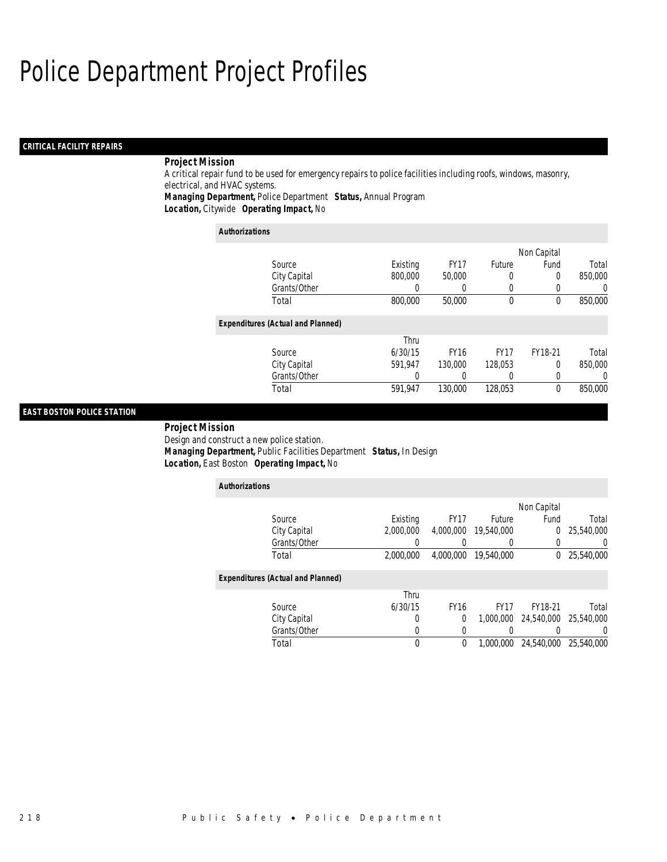## *CRITICAL FACILITY REPAIRS*

## *Project Mission*

A critical repair fund to be used for emergency repairs to police facilities including roofs, windows, masonry, electrical, and HVAC systems.

*Managing Department,* Police Department *Status,* Annual Program

*Location,* Citywide *Operating Impact,* No

| <b>Authorizations</b>                    |          |             |             |             |         |
|------------------------------------------|----------|-------------|-------------|-------------|---------|
|                                          |          |             |             | Non Capital |         |
| Source                                   | Existing | <b>FY17</b> | Future      | Fund        | Total   |
| City Capital                             | 800,000  | 50,000      | 0           | 0           | 850,000 |
| Grants/Other                             |          |             | 0           | 0           | 0       |
| Total                                    | 800,000  | 50,000      | $\mathbf 0$ | 0           | 850,000 |
| <b>Expenditures (Actual and Planned)</b> |          |             |             |             |         |
|                                          | Thru     |             |             |             |         |
| Source                                   | 6/30/15  | <b>FY16</b> | <b>FY17</b> | FY18-21     | Total   |
| City Capital                             | 591.947  | 130,000     | 128.053     | $\Omega$    | 850,000 |
| Grants/Other                             | 0        |             | 0           | 0           | 0       |
| Total                                    | 591.947  | 130,000     | 128.053     | 0           | 850,000 |

## *EAST BOSTON POLICE STATION*

*Project Mission* 

Design and construct a new police station. *Managing Department,* Public Facilities Department *Status,* In Design*Location,* East Boston *Operating Impact,* No

*Authorizations*

| AUUNULLAUUNS                             |           |             |             |             |            |
|------------------------------------------|-----------|-------------|-------------|-------------|------------|
|                                          |           |             |             | Non Capital |            |
| Source                                   | Existing  | <b>FY17</b> | Future      | Fund        | Total      |
| City Capital                             | 2.000.000 | 4,000,000   | 19,540,000  | 0           | 25,540,000 |
| Grants/Other                             |           |             |             | 0           | U          |
| Total                                    | 2,000,000 | 4,000,000   | 19,540,000  | 0           | 25,540,000 |
|                                          |           |             |             |             |            |
| <b>Expenditures (Actual and Planned)</b> |           |             |             |             |            |
|                                          | Thru      |             |             |             |            |
| Source                                   | 6/30/15   | <b>FY16</b> | <b>FY17</b> | FY18-21     | Total      |
| City Capital                             | 0         | $\Omega$    | 1.000.000   | 24,540,000  | 25,540,000 |
| Grants/Other                             | 0         |             |             |             |            |
| Total                                    | 0         | 0           | 1.000.000   | 24,540,000  | 25,540,000 |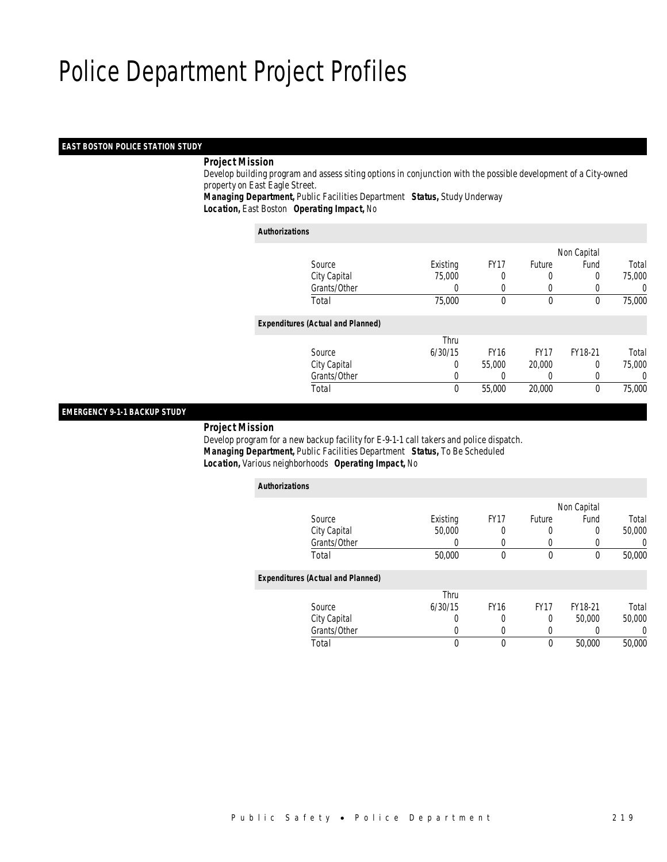### *EAST BOSTON POLICE STATION STUDY*

### *Project Mission*

 Develop building program and assess siting options in conjunction with the possible development of a City-owned property on East Eagle Street.

*Managing Department,* Public Facilities Department *Status,* Study Underway*Location,* East Boston *Operating Impact,* No

#### *Authorizations*

|                                          |          |             |             | Non Capital |        |
|------------------------------------------|----------|-------------|-------------|-------------|--------|
| Source                                   | Existing | <b>FY17</b> | Future      | Fund        | Total  |
| City Capital                             | 75,000   |             |             | 0           | 75,000 |
| Grants/Other                             | 0        |             |             |             | 0      |
| Total                                    | 75,000   | $\theta$    | $\mathbf 0$ | 0           | 75,000 |
| <b>Expenditures (Actual and Planned)</b> |          |             |             |             |        |
|                                          | Thru     |             |             |             |        |
| Source                                   | 6/30/15  | <b>FY16</b> | <b>FY17</b> | FY18-21     | Total  |
| City Capital                             | 0        | 55,000      | 20,000      | 0           | 75,000 |
| Grants/Other                             | 0        |             | 0           |             | 0      |
| Total                                    | 0        | 55,000      | 20,000      | 0           | 75,000 |
|                                          |          |             |             |             |        |

### *EMERGENCY 9-1-1 BACKUP STUDY*

*Project Mission*

*Authorizations*

 Develop program for a new backup facility for E-9-1-1 call takers and police dispatch. *Managing Department,* Public Facilities Department *Status,* To Be Scheduled*Location,* Various neighborhoods *Operating Impact,* No

| <b>Authorizations</b>                    |          |             |             |             |        |
|------------------------------------------|----------|-------------|-------------|-------------|--------|
|                                          |          |             |             | Non Capital |        |
| Source                                   | Existing | <b>FY17</b> | Future      | Fund        | Total  |
| City Capital                             | 50,000   | 0           | 0           | 0           | 50,000 |
| Grants/Other                             | 0        |             | 0           |             | 0      |
| Total                                    | 50,000   | 0           | 0           | 0           | 50,000 |
| <b>Expenditures (Actual and Planned)</b> |          |             |             |             |        |
|                                          | Thru     |             |             |             |        |
| Source                                   | 6/30/15  | <b>FY16</b> | <b>FY17</b> | FY18-21     | Total  |
| City Capital                             | 0        |             | 0           | 50,000      | 50,000 |
| Grants/Other                             | 0        |             | 0           |             | 0      |
| Total                                    | 0        | 0           | 0           | 50,000      | 50,000 |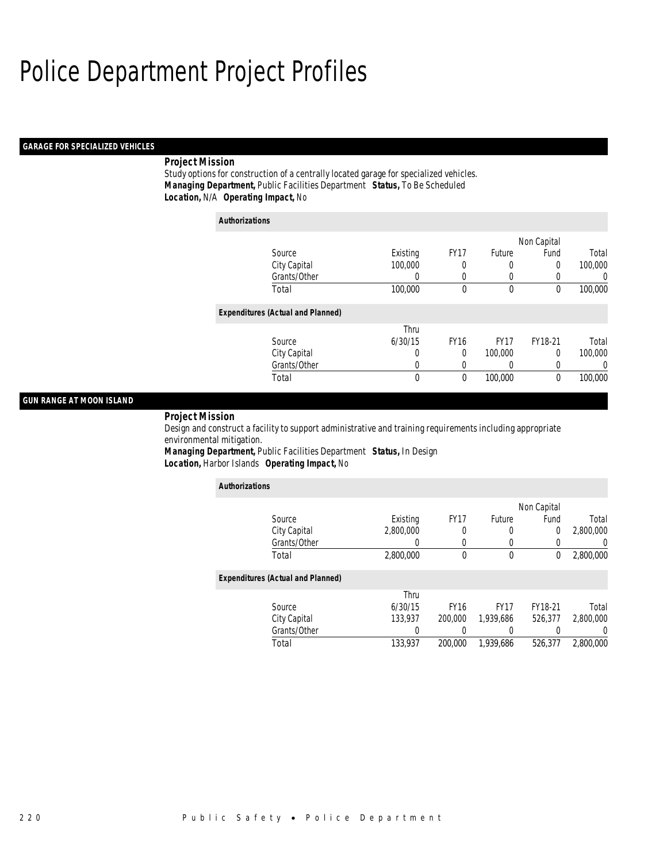## *GARAGE FOR SPECIALIZED VEHICLES*

## *Project Mission*

Study options for construction of a centrally located garage for specialized vehicles. *Managing Department,* Public Facilities Department *Status,* To Be Scheduled*Location,* N/A *Operating Impact,* No

| <b>Authorizations</b>                    |          |             |             |             |         |
|------------------------------------------|----------|-------------|-------------|-------------|---------|
|                                          |          |             |             | Non Capital |         |
| Source                                   | Existing | <b>FY17</b> | Future      | Fund        | Total   |
| City Capital                             | 100,000  | 0           | 0           | $\Omega$    | 100,000 |
| Grants/Other                             | 0        | $\Omega$    | 0           | 0           | 0       |
| Total                                    | 100,000  | 0           | 0           | 0           | 100,000 |
| <b>Expenditures (Actual and Planned)</b> |          |             |             |             |         |
|                                          | Thru     |             |             |             |         |
| Source                                   | 6/30/15  | <b>FY16</b> | <b>FY17</b> | FY18-21     | Total   |
| City Capital                             | 0        | $\Omega$    | 100,000     | $\Omega$    | 100,000 |
| Grants/Other                             | 0        | 0           | 0           | 0           | 0       |
| Total                                    | 0        | 0           | 100,000     | $\theta$    | 100,000 |

## *GUN RANGE AT MOON ISLAND*

*Project Mission* 

Design and construct a facility to support administrative and training requirements including appropriate environmental mitigation. *Managing Department,* Public Facilities Department *Status,* In Design

*Location,* Harbor Islands *Operating Impact,* No

| <b>Authorizations</b>                    |           |             |             |             |                  |
|------------------------------------------|-----------|-------------|-------------|-------------|------------------|
|                                          |           |             |             | Non Capital |                  |
| Source                                   | Existing  | <b>FY17</b> | Future      | Fund        | Total            |
| City Capital                             | 2.800.000 | 0           | 0           | 0           | 2,800,000        |
| Grants/Other                             | 0         | 0           |             | 0           | 0                |
| Total                                    | 2,800,000 | $\theta$    | $\mathbf 0$ | $\mathbf 0$ | 2,800,000        |
| <b>Expenditures (Actual and Planned)</b> |           |             |             |             |                  |
|                                          | Thru      |             |             |             |                  |
| Source                                   | 6/30/15   | <b>FY16</b> | <b>FY17</b> | FY18-21     | Total            |
| City Capital                             | 133.937   | 200,000     | 1.939.686   | 526,377     | 2,800,000        |
| Grants/Other                             |           |             |             |             | $\left( \right)$ |
| Total                                    | 133,937   | 200,000     | 1.939.686   | 526,377     | 2,800,000        |